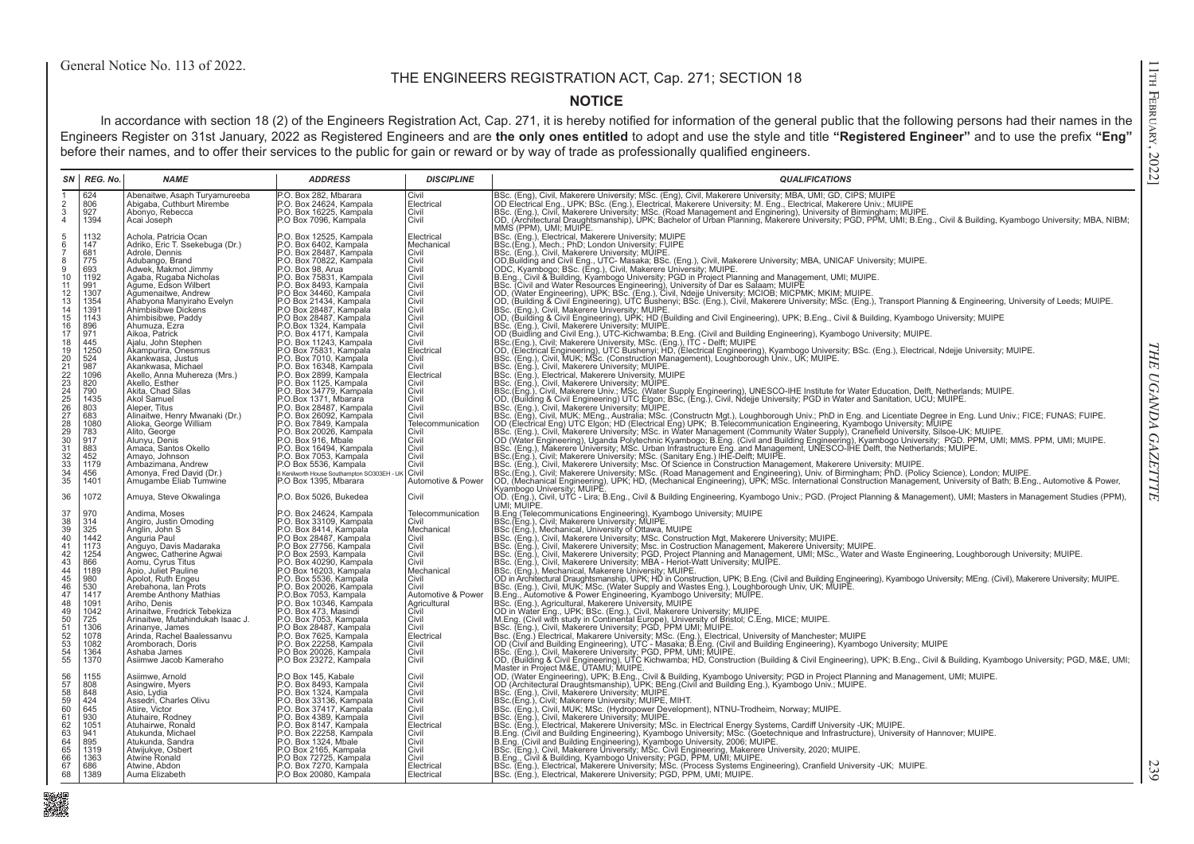## THE ENGINEERS REGISTRATION ACT, Cap. 271; SECTION 18

## **NOTICE**

In accordance with section 18 (2) of the Engineers Registration Act, Cap. 271, it is hereby notified for information of the general public that the following persons had their names in the Engineers Register on 31st January, 2022 as Registered Engineers and are **the only ones entitled** to adopt and use the style and title **"Registered Engineer"** and to use the prefix **"Eng"**  before their names, and to offer their services to the public for gain or reward or by way of trade as professionally qualified engineers.

|                                              | SN REG. No.       | <b>NAME</b>                                              | <b>ADDRESS</b>                                                              | <b>DISCIPLINE</b>   | <b>QUALIFICATIONS</b>                                                                                                                                                                                                                                                                                                                                |
|----------------------------------------------|-------------------|----------------------------------------------------------|-----------------------------------------------------------------------------|---------------------|------------------------------------------------------------------------------------------------------------------------------------------------------------------------------------------------------------------------------------------------------------------------------------------------------------------------------------------------------|
|                                              | 624               | Abenaitwe, Asaph Turyamureeba                            | P.O. Box 282, Mbarara                                                       | Civil               | BSc. (Eng), Civil, Makerere University; MSc. (Eng), Civil, Makerere University; MBA, UMI; GD, CIPS; MUIPE<br>OD Electrical Eng., UPK; BSc. (Eng.), Electrical, Makerere University; M. Eng., Electrical, Makerere Univ.; MUIPE                                                                                                                       |
| $\frac{2}{3}$                                | 806               | Abigaba, Cuthburt Mirembe                                | P.O. Box 24624, Kampala                                                     | Electrical          |                                                                                                                                                                                                                                                                                                                                                      |
| $\overline{4}$                               | 927<br>1394       | Abonyo, Rebecca<br>Acai Joseph                           | P.O. Box 16225, Kampala<br>P.O Box 7096, Kampala                            | Civil<br>Civil      | BSc. (Eng.), Civil, Makerere University, MSc. (Road Management and Enginering), University of Birmingham; MUIPE.<br>OD, (Architectural Draughtsmanship), UPK; Bachelor of Urban Planning, Makerere University; PGD, PPM, UMI; B.Eng., Civil & Building, Kyambogo University; MBA, NIBM;                                                              |
|                                              |                   |                                                          |                                                                             |                     | MMS (PPM), UMI; MUIPE.                                                                                                                                                                                                                                                                                                                               |
| 5                                            | 1132              | Achola, Patricia Ocan                                    | P.O. Box 12525, Kampala                                                     | Electrical          |                                                                                                                                                                                                                                                                                                                                                      |
| $\frac{6}{7}$                                | 147               | Adriko, Eric T. Ssekebuga (Dr.)                          | P.O. Box 6402, Kampala                                                      | Mechanical          | BSc. (Eng.), Electrical, Makerere University; MUIPE<br>BSc.(Eng.), Mech.; PhD; London University; FUIPE                                                                                                                                                                                                                                              |
|                                              | 681               | Adrole, Dennis                                           | P.O. Box 28487, Kampala                                                     | Civil               |                                                                                                                                                                                                                                                                                                                                                      |
| 8<br>9                                       | 775<br>693        | Adubango, Brand                                          | P.O. Box 70822, Kampala                                                     | Civil<br>Civil      |                                                                                                                                                                                                                                                                                                                                                      |
| 10                                           | 1192              | Adwek, Makmot Jimmy<br>Agaba, Rugaba Nicholas            | P.O. Box 98, Arua<br>P.O. Box 75831, Kampala                                | Civil               |                                                                                                                                                                                                                                                                                                                                                      |
| 11                                           | 991               | Agume, Edson Wilbert                                     | P.O. Box 8493, Kampala                                                      | Civil               |                                                                                                                                                                                                                                                                                                                                                      |
| $\frac{12}{13}$                              | 1307              | Ağumenaitwe, Andrew                                      | P.O Box 34460, Kampala                                                      | Civil               | BSc. (Eng.), Mech.; PriD; London University; MUIPE.<br>  BSc. (Eng.), Mech.; PriD; London University; MUIPE.<br>  OD Building and Civil Eng., UTC- Masaka; BSc. (Eng.), Civil, Makerere University; MBA, UNICAF University; MUIPE.<br>                                                                                                               |
|                                              | 1354              | Ahabyona Manyiraho Evelyn                                | P.O Box 21434, Kampala                                                      | Civil               |                                                                                                                                                                                                                                                                                                                                                      |
| $\frac{14}{15}$<br>16                        | 1391<br>1143      | Ahimbisibwe Dickens<br>Ahimbisibwe, Paddy                | P.O Box 28487, Kampala<br>P.O Box 28487, Kampala                            | Civil<br>Civil      | BSc. (Eng.), Civil, Makerere University; MUIPE.                                                                                                                                                                                                                                                                                                      |
|                                              | 896               | Ahumuza, Ezra                                            | P.O.Box 1324, Kampala                                                       | Civil               | OD, (Building & Civil Engineering), UPK; HD (Building and Civil Engineering), UPK; B.Eng., Civil & Building, Kyambogo University; MUIPE<br> BSc. (Eng.), Civil, Makerere University; MUIPE.                                                                                                                                                          |
| 17                                           | 971               | Aikoa, Patrick                                           | P.O. Box 4171, Kampala                                                      | Civil               |                                                                                                                                                                                                                                                                                                                                                      |
|                                              | 445               | Ajalu, John Stephen                                      | P.O. Box 11243, Kampala                                                     | Civil               | OD (Buidling and Civil Eng.), UTC-Kichwamba; B.Eng. (Civil and Building Engineering), Kyambogo University; MUIPE.<br>[BSc.(Eng.), Civil; Makerere University, MSc. (Eng.), ITC - Delft; MUIPE                                                                                                                                                        |
|                                              | 1250              | Akampurira, Onesmus                                      | P.O Box 75831, Kampala                                                      | Electrical          | OD, (Electrical Engineering), UTC Bushenyi; HD, (Electrical Engineering), Kyambogo University; BSc. (Eng.), Electrical, Ndejje University; MUIPE.                                                                                                                                                                                                    |
|                                              | 524               | Akankwasa, Justus<br>Akankwasa, Michael                  | P.O. Box 7010, Kampala                                                      | Civil<br>Civil      | BSc. (Eng.), Civil, MUK; MSc. (Construction Management), Loughborough Univ., UK; MUIPE.                                                                                                                                                                                                                                                              |
|                                              | 987<br>1096       | Akello, Anna Muhereza (Mrs.)                             | P.O. Box 16348, Kampala<br>P.O. Box 2899, Kampala                           | Electrical          | BSc. (Eng.), Civil, Makerere University, MUIPE.<br>BSc. (Eng.), Civil, Makerere University, MUIPE.                                                                                                                                                                                                                                                   |
|                                              | 820               | Akello, Esther                                           |                                                                             | Civil               | BSc. (Eng.), Civil, Makerere University; MUIPE.                                                                                                                                                                                                                                                                                                      |
|                                              | 790               | Akita, Chad Silas                                        | P.O. Box 1125, Kampala<br>P.O. Box 34779, Kampala                           | Civil               | BSc.(Eng.), Civil, Makerere Univ.; MSc. (Water Supply Engineering), UNESCO-IHE Institute for Water Education, Delft, Netherlands; MUIPE.<br> OD, (Building & Civil Engineering) UTC Elgon; BSc, (Eng.), Civil, Ndejje University;                                                                                                                    |
|                                              | 1435              | Akol Samuel                                              | P.O.Box 1371, Mbarara                                                       | Civil               |                                                                                                                                                                                                                                                                                                                                                      |
|                                              | 803               | Aleper, Titus                                            | P.O. Box 28487, Kampala                                                     | Civil<br>Civil      | BSc. (Eng.), Civil, Makerere University; MUIPE.                                                                                                                                                                                                                                                                                                      |
|                                              | 683<br>1080       | Alinaitwe, Henry Mwanaki (Dr.)<br>Alioka, George William | P.O. Box 26092, Kampala                                                     | Telecommunication   |                                                                                                                                                                                                                                                                                                                                                      |
|                                              | 783               | Alito, George                                            | P.O. Box 7849, Kampala<br>P.O. Box 20026, Kampala                           | Civil               |                                                                                                                                                                                                                                                                                                                                                      |
|                                              | 917               | Alunyu, Denis                                            | P.O. Box 916, Mbale                                                         | Civil               |                                                                                                                                                                                                                                                                                                                                                      |
|                                              | 883               | Amaca, Santos Okello                                     | P.O. Box 16494, Kampala<br>P.O. Box 7053, Kampala                           | Civil               |                                                                                                                                                                                                                                                                                                                                                      |
|                                              | 452<br>1179       | Amayo, Johnson                                           |                                                                             | Civil<br>Civil      | BSC. (Eng.), Civil, MUK: MEng., Australia, MSC. (Constructn Mgt.), Loughborough Univ.; PhD in Eng. and Licentiate Degree in Eng. Lund Univ.; FICE; FUNAS; FUIPE.<br>OD (Electrical Eng) UTC Elgon; HD (Electrical Eng) UPK; B. T<br>BSc. (Eng.), Civil, Makerere University; Msc. Of Science in Construction Management, Makerere University; MUIPE. |
|                                              | 456               | Ambazimana, Andrew<br>Amonya, Fred David (Dr.)           | P.O Box 5536, Kampala<br>6 Kenilworth House Southampton SO303EH - UI        | Civil               |                                                                                                                                                                                                                                                                                                                                                      |
|                                              | 1401              | Amugambe Eliab Tumwine                                   | P.O Box 1395, Mbarara                                                       | Automotive & Power  |                                                                                                                                                                                                                                                                                                                                                      |
|                                              |                   |                                                          |                                                                             |                     | BSc. (Eng.), Civil; Makerere University; MSc. (Road Management and Engineering), Univ. of Birmingham; PhD. (Policy Science), London; MUIPE.<br> OD, (Mechanical Engineering), UPK; HD, (Mechanical Engineering), UPK; MSc. Intern                                                                                                                    |
| 36                                           | 1072              | Amuya, Steve Okwalinga                                   | P.O. Box 5026, Bukedea                                                      | Civil               | OD" (Eng.), Civil, UTC - Lira, B.Eng., Civil & Building Engineering, Kyambogo Univ.; PGD. (Project Planning & Management), UMI; Masters in Management Studies (PPM),<br> UMI; MUIPE.<br> B.Eng (Telecommunications Engineering), K                                                                                                                   |
| 37                                           | 970               | Andima, Moses                                            | P.O. Box 24624, Kampala                                                     | Telecommunication   |                                                                                                                                                                                                                                                                                                                                                      |
|                                              | 314<br>325        | Angiro, Justin Omoding                                   | P.O. Box 33109, Kampala<br>P.O. Box 8414, Kampala                           | Civil<br>Mechanical | BSc. (Eng.), Civil; Makerere University; MUIPE.<br>BSc. (Eng.), Mechanical, University of Ottawa, MUIPE                                                                                                                                                                                                                                              |
| 38<br>39<br>40                               | 1442              | Anglin, John S<br>Anguria Paul                           | P.O Box 28487, Kampala                                                      | Civil               | BSc. (Eng.), Civil, Makerere University; MSc. Construction Mgt, Makerere University; MUIPE.                                                                                                                                                                                                                                                          |
|                                              | 1173              | Anguyo, Davis Madaraka                                   | P.O Box 27756, Kampala                                                      | Civil               | IBSc. (Eng.), Civil, Makerere University; Msc. in Costruction Management, Makerere University; MUIPE.<br>IBSc. (Eng.), Civil, Makerere University; Msc. in Costruction Management, Makerere University; MUIPE.<br>IBSc. (Eng.), Civi                                                                                                                 |
| $41$<br>$42$<br>$43$                         | 1254              | Angwec, Catherine Agwai                                  | P.O Box 2593, Kampala                                                       | Civil               |                                                                                                                                                                                                                                                                                                                                                      |
|                                              | 866               | Aomu, Cyrus Titus                                        | P.O. Box 40290, Kampala                                                     | Civil               |                                                                                                                                                                                                                                                                                                                                                      |
| $\frac{44}{45}$<br>46                        | 1189              | Apio, Juliet Pauline<br>Apolot, Ruth Engeu               | P.O Box 16203, Kampala<br>P.O. Box 5536, Kampala                            | Mechanical<br>Civil | BSc. (Eng.), Mechanical, Makerere University; MUIPE.                                                                                                                                                                                                                                                                                                 |
|                                              | $\frac{980}{530}$ | Arebahona, Ian Prots                                     | P.O. Box 20026, Kampala                                                     | Civil               | OD in Architectural Draughtsmanship, UPK; HD in Construction, UPK; B.Eng. (Civil and Building Engineering), Kyambogo University; MEng. (Civil), Makerere University; MUIPE.<br> BSc. (Eng.), Civil, MUK; MSc. (Water Supply and                                                                                                                      |
| 47                                           | 1417              | Arembe Anthony Mathias                                   |                                                                             | Automotive & Power  |                                                                                                                                                                                                                                                                                                                                                      |
|                                              | 1091              | Ariho, Denis                                             | P.O.Box 7053, Kampala<br>P.O. Box 10346, Kampala<br>P.O. Box 473, Masindi   | Agricultural        |                                                                                                                                                                                                                                                                                                                                                      |
|                                              | 1042              | Arinaitwe, Fredrick Tebekiza                             |                                                                             | Civil               |                                                                                                                                                                                                                                                                                                                                                      |
|                                              | 725<br>1306       | Arinaitwe, Mutahindukah Isaac J.<br>Arinanye, James      | P.O. Box 7053, Kampala<br>P.O Box 28487, Kampala                            | Civil<br>Civil      |                                                                                                                                                                                                                                                                                                                                                      |
|                                              | 1078              | Arinda, Rachel Baalessanvu                               | P.O. Box 7625, Kampala                                                      | Electrical          |                                                                                                                                                                                                                                                                                                                                                      |
| 48<br>49<br>50<br>55<br>52<br>53<br>54<br>55 | 1082              | Aromborach, Doris                                        | P.O. Box 22258, Kampala                                                     | Civil               | BSc. (Eng.), Civil, MUN; MSc. (Water Supply and Wastes Eng.), Lougnborough Univ, UK; MUIPE.<br>IB.Eng., Automotive & Power Engineering, Kyambogo University; MUIPE.<br>IB.C. (Eng.), Agricultural, Makerere University, MUIPE.<br>IOD i                                                                                                              |
|                                              | 1364              | Ashaba James                                             | P.O Box 20026, Kampala                                                      | Civil               |                                                                                                                                                                                                                                                                                                                                                      |
|                                              | 1370              | Asiimwe Jacob Kameraho                                   | P.O Box 23272, Kampala                                                      | Civil               |                                                                                                                                                                                                                                                                                                                                                      |
|                                              | 1155              | Asiimwe, Arnold                                          | P.O Box 145, Kabale                                                         | Civil               | Master in Project M&E, UTAMU; MUIPE.                                                                                                                                                                                                                                                                                                                 |
|                                              | 808               | Asingwire, Myers                                         | P.O. Box 8493, Kampala                                                      | Civil               | CO, (Water Engineering), UPK; B.Eng., Civil & Building, Kyambogo University; PGD in Project Planning and Management, UMI; MUIPE.<br>OD (Architectural Draughtsmanship), UPK; BEng.(Civil and Building Eng.), Kyambogo Univ.; MUIP                                                                                                                    |
|                                              | 848               | Asio, Lydia                                              | P.O. Box 1324, Kampala                                                      | Civil               |                                                                                                                                                                                                                                                                                                                                                      |
| 56<br>57<br>58<br>59<br>60                   | 424               | Assedri, Charles Olivu                                   | P.O. Box 33136, Kampala                                                     | Civil               | BSc. (Eng.), Civil, Makerere University; MUIPE.<br>BSc.(Eng.), Civil: Makerere University; MUIPE, MIHT.                                                                                                                                                                                                                                              |
|                                              | 645               | Atiire, Victor                                           | P.O. Box 37417, Kampala                                                     | Civil               | BSc. (Eng.), Civil, MUK; MSc. (Hydropower Development), NTNU-Trodheim, Norway; MUIPE.                                                                                                                                                                                                                                                                |
| 61                                           | 930<br>1051       | Atuhaire, Rodney<br>Atuhairwe, Ronald                    | P.O. Box 4389, Kampala<br>P.O. Box 8147, Kampala<br>P.O. Box 22258, Kampala | Civil<br>Electrical | BSc. (Eng.), Civil, Makerere University; MUIPE.                                                                                                                                                                                                                                                                                                      |
|                                              | 941               | Atukunda, Michael                                        |                                                                             | Civil               | BSc. (Eng.), Electrical, Makerere University; MSc. in Electrical Energy Systems, Cardiff University -UK; MUIPE.<br>B.Eng. (Civil and Building Engineering), Kyambogo University; MSc. (Goetechnique and Infrastructure), Universi                                                                                                                    |
|                                              | 895               | Atukunda, Sandra                                         | P.O. Box 1324, Mbale                                                        | Civil               | B.Eng. (Civil and Building Engineering), Kyambogo University, 2006; MUIPE.<br>BSc. (Eng.), Civil, Makerere University, MSc. Civil Engineering, Makerere University, 2006; MUIPE.<br>BSc. (Eng.), Civil, & Building. Kyambogo Univers                                                                                                                 |
|                                              | 1319              | Atwijukye, Osbert                                        | P.O Box 2165, Kampala                                                       | Civil               |                                                                                                                                                                                                                                                                                                                                                      |
| 62<br>63<br>64<br>65<br>66<br>67             | 1363<br>686       | Atwine Ronald<br>Atwine, Abdon                           | P.O Box 72725, Kampala<br>P.O. Box 7270, Kampala                            | Civil<br>Electrical | BSc. (Eng.), Electrical, Makerere University; MSc. (Process Systems Engineering), Cranfield University -UK; MUIPE.                                                                                                                                                                                                                                   |
| 68                                           | 1389              | Auma Elizabeth                                           | P.O Box 20080, Kampala                                                      | Electrical          | BSc. (Eng.), Electrical, Makerere University; PGD, PPM, UMI; MUIPE.                                                                                                                                                                                                                                                                                  |
|                                              |                   |                                                          |                                                                             |                     |                                                                                                                                                                                                                                                                                                                                                      |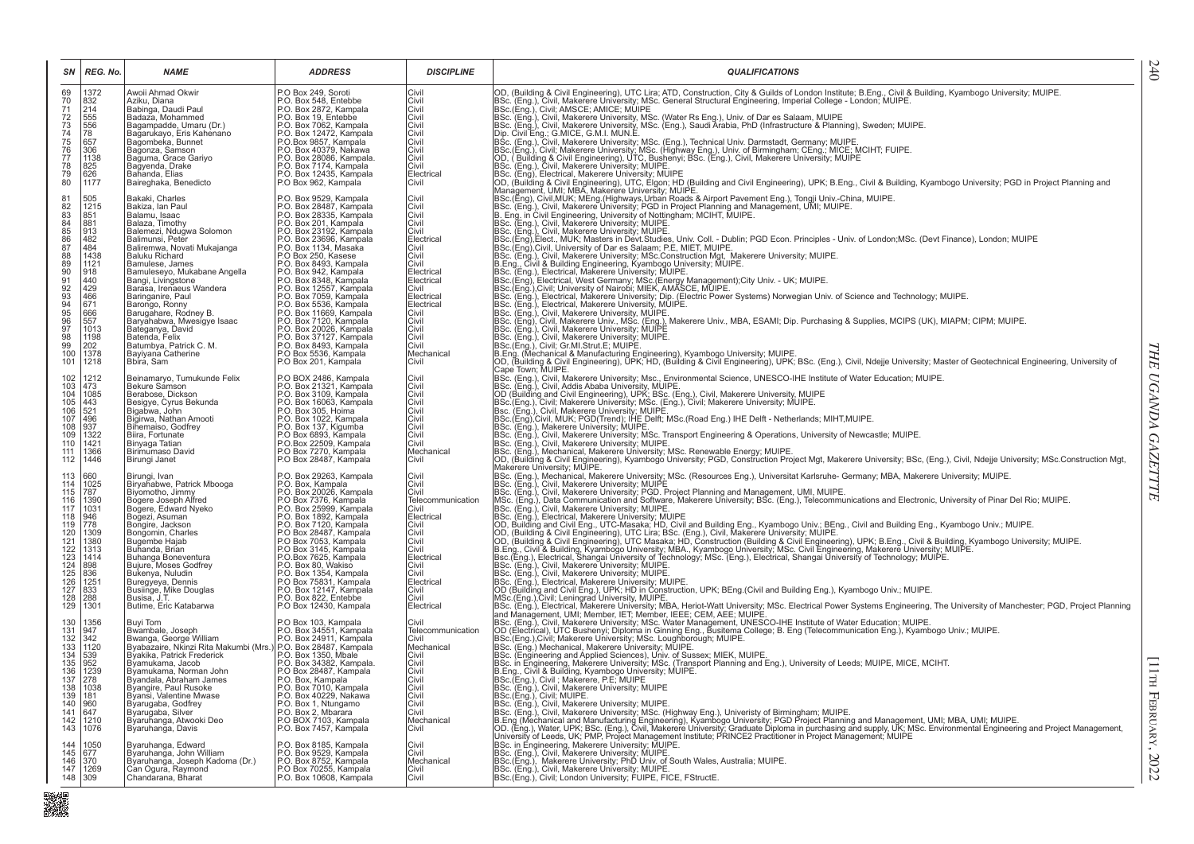| SN                                                                 | REG. No.                                                   | <b>NAME</b>                                                                                                              | <b>ADDRESS</b>                                                                                                                                                                                                                                            | <b>DISCIPLINE</b>        | <b>QUALIFICATIONS</b>                                                                                                                                                                                                                                                                                                                                                                             |
|--------------------------------------------------------------------|------------------------------------------------------------|--------------------------------------------------------------------------------------------------------------------------|-----------------------------------------------------------------------------------------------------------------------------------------------------------------------------------------------------------------------------------------------------------|--------------------------|---------------------------------------------------------------------------------------------------------------------------------------------------------------------------------------------------------------------------------------------------------------------------------------------------------------------------------------------------------------------------------------------------|
| 69                                                                 | 1372                                                       | Awoii Ahmad Okwir<br>Aziku, Diana                                                                                        | P.O Box 249, Soroti<br>P.O. Box 548, Entebbe                                                                                                                                                                                                              | Civil<br>Civil           | OD, (Building & Civil Engineering), UTC Lira; ATD, Construction, City & Guilds of London Institute; B.Eng., Civil & Building, Kyambogo University; MUIPE.<br>BBC. (Eng.), Civil, Makerere University, MSc. General Structural Engineering, Imperial College - London; MUIPE.<br>BSC. (Eng.), Civil; AMSCE; AMICE; MUIPE<br>BSC. (Eng.), Civil; AMSCE; AMICE; MUIPE<br>BSC. (Eng.), Civil; Makerer |
| 7777345677890                                                      | 832<br>214                                                 | Babinga, Daudi Paul                                                                                                      | P.O. Box 2872, Kampala<br>P.O. Box 19, Entebbe                                                                                                                                                                                                            | Civil                    |                                                                                                                                                                                                                                                                                                                                                                                                   |
|                                                                    | 555<br>556<br>78                                           | Badaza, Mohammed                                                                                                         |                                                                                                                                                                                                                                                           | Civil<br>Civil           |                                                                                                                                                                                                                                                                                                                                                                                                   |
|                                                                    |                                                            | Bagampadde, Umaru (Dr.)<br>Bagarukayo, Eris Kahenano                                                                     | P.O. Box 7062, Kampala<br>P.O. Box 7062, Kampala<br>P.O.Box 9857, Kampala                                                                                                                                                                                 | Civil                    |                                                                                                                                                                                                                                                                                                                                                                                                   |
|                                                                    | 657                                                        | Bagombeka, Bunnet                                                                                                        |                                                                                                                                                                                                                                                           | Civil                    |                                                                                                                                                                                                                                                                                                                                                                                                   |
|                                                                    | 306<br>1138                                                | Bagonza, Samson<br>Baguma, Grace Gariyo                                                                                  | P.O. Box 40379, Nakawa<br>P.O. Box 28086, Kampala.                                                                                                                                                                                                        | Civil<br>Civil           |                                                                                                                                                                                                                                                                                                                                                                                                   |
|                                                                    |                                                            | Bagyenda, Drake                                                                                                          | P.O. Box 7174, Kampala                                                                                                                                                                                                                                    | Civil                    |                                                                                                                                                                                                                                                                                                                                                                                                   |
|                                                                    | 825<br>626<br>1177                                         | Bahanda, Elias<br>Baireghaka, Benedicto                                                                                  | P.O. Box 12435, Kampala<br>P.O. Box 12435, Kampala                                                                                                                                                                                                        | Electrical<br>Civil      |                                                                                                                                                                                                                                                                                                                                                                                                   |
|                                                                    |                                                            |                                                                                                                          |                                                                                                                                                                                                                                                           |                          |                                                                                                                                                                                                                                                                                                                                                                                                   |
| $^{81}_{82}$                                                       | 505<br>1215                                                | Bakaki, Charles<br>Bakiza, Ian Paul                                                                                      | P.O. Box 9529, Kampala<br>P.O. Box 28487, Kampala                                                                                                                                                                                                         | Civil<br>Civil           | Dip. Civil Eng.; G.MICE, G.M.I. MJN.E.<br>BSc. (Eng.), Civil, Makerere University; MSc. (Eng.), Technical Univ. Darmstadt, Germany; MUIPE.<br>BSc. (Eng.), Civil; Makerere University; MSc. (Highway Eng.), Univ. of Birmingham; C                                                                                                                                                                |
|                                                                    | 851                                                        | Balamu, Isaac                                                                                                            |                                                                                                                                                                                                                                                           | Civil                    |                                                                                                                                                                                                                                                                                                                                                                                                   |
|                                                                    | 881<br>913                                                 | Balaza, Timothy                                                                                                          |                                                                                                                                                                                                                                                           | Civil                    |                                                                                                                                                                                                                                                                                                                                                                                                   |
| 83<br>88<br>85<br>86<br>87<br>88                                   |                                                            | Balemezi, Ndugwa Solomon<br>Balimunsi, Peter                                                                             | P.O. Box 28335, Kampala<br>P.O. Box 28335, Kampala<br>P.O. Box 23192, Kampala<br>P.O. Box 23192, Kampala<br>P.O. Box 23696, Kampala<br>P.O. Box 8493, Kampala<br>P.O. Box 8493, Kampala<br>P.O. Box 8493, Kampala<br>P.O. Box 8493, Kampala<br>P.O. Box 8 | Civil<br>Electrical      | BSc. (Eng.), Civil, Makerere University; MUIPE.<br>BSc. (Eng.), Civil, Makerere University; MUIPE.<br>BSc. (Eng.), Civil, Makerere University; MUIPE.<br>BSc. (Eng.), Civil, University of Dar es Salaram; P.E., MIET, MUIPE.<br>BSC. (Eng.), Civil, University of Dar es Salaram; P.E., M                                                                                                        |
|                                                                    | $\frac{482}{484}$                                          | Baliremwa, Novati Mukajanga                                                                                              |                                                                                                                                                                                                                                                           | Civil                    |                                                                                                                                                                                                                                                                                                                                                                                                   |
|                                                                    | 1438                                                       | Baluku Richard                                                                                                           |                                                                                                                                                                                                                                                           | Civil                    |                                                                                                                                                                                                                                                                                                                                                                                                   |
| $\frac{89}{90}$<br>91                                              | 1121                                                       | Bamulese, James<br>Bamuleseyo, Mukabane Angella                                                                          |                                                                                                                                                                                                                                                           | Civil<br>Electrical      |                                                                                                                                                                                                                                                                                                                                                                                                   |
|                                                                    | $\frac{918}{440}$                                          | Bangi, Livingstone                                                                                                       |                                                                                                                                                                                                                                                           | Electrical               |                                                                                                                                                                                                                                                                                                                                                                                                   |
|                                                                    | 429                                                        | Barasa, Irenaeus Wandera                                                                                                 |                                                                                                                                                                                                                                                           | Civil                    |                                                                                                                                                                                                                                                                                                                                                                                                   |
|                                                                    | 466<br>671                                                 | Baringanire, Paul<br>Barongo, Ronny                                                                                      |                                                                                                                                                                                                                                                           | Electrical<br>Electrical |                                                                                                                                                                                                                                                                                                                                                                                                   |
|                                                                    | 666                                                        | Barugahare, Rodney B.                                                                                                    | P.O. Box 8348, Kampala<br>P.O. Box 7059, Kampala<br>P.O. Box 7059, Kampala<br>P.O. Box 7059, Kampala<br>P.O. Box 71669, Kampala<br>P.O. Box 71200, Kampala<br>P.O. Box 71200, Kampala                                                                     | Civil                    |                                                                                                                                                                                                                                                                                                                                                                                                   |
|                                                                    | 557<br>1013                                                | Baryahabwa, Mwesigye Isaac                                                                                               |                                                                                                                                                                                                                                                           | Civil<br>Civil           |                                                                                                                                                                                                                                                                                                                                                                                                   |
|                                                                    | 1198                                                       | Bateganya, David<br>Batenda, Felix                                                                                       | P.O. Box 20026, Kampala<br>P.O. Box 37127, Kampala<br>P.O. Box 8493, Kampala                                                                                                                                                                              | Civil                    |                                                                                                                                                                                                                                                                                                                                                                                                   |
| 92<br>93<br>94<br>95<br>96<br>97<br>98<br>99<br>100                | 202<br>1378                                                | Batumbya, Patrick C. M.<br>Bayiyana Catherine                                                                            |                                                                                                                                                                                                                                                           | Civil<br>Mechanical      |                                                                                                                                                                                                                                                                                                                                                                                                   |
| 101                                                                | 1218                                                       | Bbira, Sam                                                                                                               | P.O Box 5536, Kampala<br>P.O Box 201, Kampala                                                                                                                                                                                                             | Civil                    | BSc. (Eng.), Electrical, Makerere University, MUIPE.<br> BSc. (Eng.), Civil, Makerere University, MUIPE.<br> BSc. (Eng.), Civil, Makerere University, MUIPE.<br> BSc. (Eng.), Civil, Makerere University; MUIPE.<br> BSc. (Eng.), Civil, M                                                                                                                                                        |
|                                                                    |                                                            |                                                                                                                          |                                                                                                                                                                                                                                                           |                          | Cape Town; MUIPE.                                                                                                                                                                                                                                                                                                                                                                                 |
| 102<br>103<br>104<br>105<br>106<br>107<br>108<br>109               | 1212<br>473                                                | Beinamaryo, Tumukunde Felix<br>Bekure Samson                                                                             | P.O BOX 2486, Kampala<br>P.O. Box 21321, Kampala                                                                                                                                                                                                          | Civil<br>Civil           | Cape Town; MUIPE.<br>IBSC. (Eng.), Civil, Makerere University; Msc., Environmental Science, UNESCO-IHE Institute of Water Education; MUIPE.<br>IBSC. (Eng.), Civil, Addis Ababa University; MUIPE.<br>IDC (Building and Civil Engine                                                                                                                                                              |
|                                                                    | 1085                                                       | Berabose, Dickson                                                                                                        |                                                                                                                                                                                                                                                           | Civil                    |                                                                                                                                                                                                                                                                                                                                                                                                   |
|                                                                    | $\frac{100}{443}$<br>521                                   | Besigye, Cyrus Bekunda<br>Bigabwa, John                                                                                  |                                                                                                                                                                                                                                                           | Civil<br>Civil           |                                                                                                                                                                                                                                                                                                                                                                                                   |
|                                                                    | $\frac{496}{937}$                                          | Bigirwa, Nathan Amooti                                                                                                   |                                                                                                                                                                                                                                                           | Civil                    |                                                                                                                                                                                                                                                                                                                                                                                                   |
|                                                                    |                                                            | Bihemaiso, Godfrey                                                                                                       | P.O. Box 31309, Kampala<br>P.O. Box 3109, Kampala<br>P.O. Box 305, Hoima<br>P.O. Box 305, Hoima<br>P.O. Box 137, Kigumba<br>P.O. Box 137, Kigumba                                                                                                         | Civil                    |                                                                                                                                                                                                                                                                                                                                                                                                   |
|                                                                    | 1322<br>1421<br>1366                                       | Biira, Fortunate<br>Binyaga Tatian                                                                                       | P.O Box 6893, Kampala                                                                                                                                                                                                                                     | Civil<br>Civil           | BSc. (Eng.), Civil, Makerere University; MSc. Transport Engineering & Operations, University of Newcastle; MUIPE.<br>[BSc. (Eng.), Civil, Makerere University; MSc. Transport Engineering & Operations, University of Newcastle;                                                                                                                                                                  |
| $\frac{110}{111}$                                                  |                                                            | Birimumaso David                                                                                                         | P.O.Box 22509, Kampala<br>P.O.Box 7270, Kampala                                                                                                                                                                                                           | Mechanical               |                                                                                                                                                                                                                                                                                                                                                                                                   |
| 112                                                                | 1446                                                       | Birungi Janet                                                                                                            | P.O Box 28487, Kampala                                                                                                                                                                                                                                    | Civil                    | OD, (Building & Civil Engineering), Kyambogo University; PGD, Construction Project Mgt, Makerere University; BSc, (Eng.), Civil, Ndejje University; MSc.Construction Mgt,<br>Makerere University; MUIPE.                                                                                                                                                                                          |
| 113                                                                | 660                                                        | Birungi, Ivan                                                                                                            | P.O. Box 29263, Kampala<br>P.O. Box, Kampala                                                                                                                                                                                                              | Civil                    | waketere University, wurr_c.<br> BSc. (Eng.), Mechanical, Makerere University; MSc. (Resources Eng.), Universitat Karlsruhe- Germany; MBA, Makerere University; MUIPE.<br> BSc. (Eng.), Civil, Makerere University; PGD. Project                                                                                                                                                                  |
| $\frac{114}{115}$<br>115                                           | 1025<br>787                                                | Biryahabwe, Patrick Mbooga                                                                                               | P.O. Box 20026, Kampala                                                                                                                                                                                                                                   | Civil<br>Civil           |                                                                                                                                                                                                                                                                                                                                                                                                   |
|                                                                    | 1390                                                       | Biyomotho, Jimmy<br>Bogere Joseph Alfred                                                                                 | P.O Box 7376, Kampala                                                                                                                                                                                                                                     | Telecommunication        |                                                                                                                                                                                                                                                                                                                                                                                                   |
| $\frac{117}{118}$<br>118                                           | $\begin{array}{r} 1031 \\ 946 \\ 778 \end{array}$          | Bogere, Edward Nyeko<br>Bogezi, Asuman                                                                                   | P.O. Box 25999, Kampala<br>P.O. Box 1892, Kampala<br>P.O. Box 7120, Kampala                                                                                                                                                                               | Civil<br>Electrical      |                                                                                                                                                                                                                                                                                                                                                                                                   |
|                                                                    |                                                            | Bongire, Jackson                                                                                                         |                                                                                                                                                                                                                                                           | Civil                    |                                                                                                                                                                                                                                                                                                                                                                                                   |
|                                                                    | 1309<br>1380                                               | Bongomin, Charles                                                                                                        | P.O. Box 7120, Rampala<br>P.O Box 28487, Kampala<br>P.O Box 3145, Kampala                                                                                                                                                                                 | Civil                    |                                                                                                                                                                                                                                                                                                                                                                                                   |
|                                                                    | 1313                                                       | Bugembe Hajab<br>Buhanda, Brian                                                                                          |                                                                                                                                                                                                                                                           | Civil<br>Civil           |                                                                                                                                                                                                                                                                                                                                                                                                   |
|                                                                    |                                                            | Buhanga Boneventura                                                                                                      | P.O.Box 7625, Kampala                                                                                                                                                                                                                                     | Electrical               |                                                                                                                                                                                                                                                                                                                                                                                                   |
| 120<br>121<br>123<br>124<br>125<br>126<br>127                      | $\begin{array}{r} 1010 \\ 1414 \\ 898 \\ 836 \end{array}$  | Bujure, Moses Godfrey<br>Bukenya, Nuludin                                                                                | P.O. Box 80, Wakiso<br>P.O. Box 1354, Kampala                                                                                                                                                                                                             | Civil<br>Civil           |                                                                                                                                                                                                                                                                                                                                                                                                   |
|                                                                    | $\frac{1251}{833}$                                         | Buregyeya, Dennis<br>Busiinge, Mike Douglas                                                                              | P.O Box 75831, Kampala                                                                                                                                                                                                                                    | Electrical               |                                                                                                                                                                                                                                                                                                                                                                                                   |
|                                                                    | 288                                                        |                                                                                                                          | P.O. Box 12147, Kampala                                                                                                                                                                                                                                   | Civil<br>Civil           |                                                                                                                                                                                                                                                                                                                                                                                                   |
| $\frac{128}{129}$                                                  | 1301                                                       | Busisa, J.T.<br>Butime, Eric Katabarwa                                                                                   | P.O. Box 822, Entebbe<br>P.O. Box 822, Entebbe<br>P.O Box 12430, Kampala                                                                                                                                                                                  | Electrical               | isso. (Eng.), Dui, Makerere University, Houlth (Dietory), Houlth (E. C. Eng.), The economic incitions and Electronic, University of Pinar Del Rio; MUPE.<br>Sign. (Eng.), Data Communication and Software, Makerer University, B                                                                                                                                                                  |
|                                                                    |                                                            |                                                                                                                          |                                                                                                                                                                                                                                                           | Civil                    |                                                                                                                                                                                                                                                                                                                                                                                                   |
|                                                                    | 1356<br>947                                                | <b>Buyi Tom</b><br>Bwambale, Joseph                                                                                      | P.O Box 103, Kampala<br>P.O. Box 34551, Kampala<br>P.O. Box 24911, Kampala                                                                                                                                                                                | Telecommunication        |                                                                                                                                                                                                                                                                                                                                                                                                   |
|                                                                    | 342                                                        | Bwanga, George William                                                                                                   |                                                                                                                                                                                                                                                           | Civil                    |                                                                                                                                                                                                                                                                                                                                                                                                   |
|                                                                    | 1120                                                       | Byabazaire, Nkinzi Rita Makumbi (Mrs.) P.O. Box 28487, Kampala<br>Byakika, Patrick Frederick (Mrs.) P.O. Box 1350, Mbale |                                                                                                                                                                                                                                                           | Mechanical<br>Civil      |                                                                                                                                                                                                                                                                                                                                                                                                   |
|                                                                    | 539<br>952                                                 | Byamukama, Jacob                                                                                                         | P.O. Box 34382, Kampala.                                                                                                                                                                                                                                  | Civil                    |                                                                                                                                                                                                                                                                                                                                                                                                   |
| 130<br>131<br>132<br>133<br>134<br>135<br>136<br>137<br>139<br>140 | $\begin{array}{r} 239 \\ 1239 \\ 278 \end{array}$          | Byamukama, Norman John<br>Byandala, Abraham James                                                                        | P.O. Box 04002, Rampala<br>P.O. Box 28487, Kampala<br>P.O. Box, Kampala                                                                                                                                                                                   | Civil<br>Civil           |                                                                                                                                                                                                                                                                                                                                                                                                   |
|                                                                    | $\begin{bmatrix} 1 & 0 & 3 & 8 \\ 1 & 8 & 1 \end{bmatrix}$ | Byangire, Paul Rusoke                                                                                                    | P.O. Box 7010, Kampala<br>P.O. Box 40229, Nakawa                                                                                                                                                                                                          | Civil                    | BSc. (Eng.), Civil; Makerere, P.E.; MUIPE<br>IBSc. (Eng.), Civil, Makerere University; MUIPE                                                                                                                                                                                                                                                                                                      |
|                                                                    |                                                            | Byansi, Valentine Mwase                                                                                                  |                                                                                                                                                                                                                                                           | Civil                    | BSc.(Eng.), Civil; MUIPE.                                                                                                                                                                                                                                                                                                                                                                         |
| 141                                                                | 960<br>647                                                 | Byarugaba, Godfrey<br>Byarugaba, Silver                                                                                  | P.O. Box 1, Ntungamo<br>P.O. Box 2, Mbarara                                                                                                                                                                                                               | Civil<br>Civil           |                                                                                                                                                                                                                                                                                                                                                                                                   |
| 142                                                                | 1210                                                       | Byaruhanga, Atwooki Deo                                                                                                  | P.O BOX 7103, Kampala<br>P.O. Box 7457, Kampala                                                                                                                                                                                                           | Mechanical               |                                                                                                                                                                                                                                                                                                                                                                                                   |
| 143                                                                | 1076                                                       | Byaruhanga, Davis                                                                                                        |                                                                                                                                                                                                                                                           | Civil                    | BSc. (Eng.), Civil, Mulpe.<br>BSc. (Eng.), Civil, Makerere University; MUIPE.<br>BSc. (Eng.), Civil, Makerere University; MSc. (Highway Eng.), University of Birmingham; MUIPE.<br>BSc. (Eng.), Civil, Makerere University; MSc. (Highw                                                                                                                                                           |
|                                                                    | 1050                                                       | Byaruhanga, Edward                                                                                                       | P.O. Box 8185, Kampala<br>P.O. Box 9529, Kampala                                                                                                                                                                                                          | Civil                    |                                                                                                                                                                                                                                                                                                                                                                                                   |
| 144<br>145<br>146                                                  | 677<br>370                                                 | Byaruhanga, John William<br>Byaruhanga, Joseph Kadoma (Dr.)                                                              | P.O. Box 8752, Kampala                                                                                                                                                                                                                                    | Civil<br>Mechanical      |                                                                                                                                                                                                                                                                                                                                                                                                   |
| 147                                                                | 1269                                                       | Can Ogura, Raymond                                                                                                       | P.O Box 70255, Kampala<br>P.O. Box 10608, Kampala                                                                                                                                                                                                         | Civil                    | BSc. (Eng.), Civil, Makerere University, MUIPE.<br>BSc.(Eng.), Civil, London University, FUIPE, FICE, FStructE.                                                                                                                                                                                                                                                                                   |
| 148                                                                | 309                                                        | Chandarana, Bharat                                                                                                       |                                                                                                                                                                                                                                                           | Civil                    |                                                                                                                                                                                                                                                                                                                                                                                                   |

には、「<br>「ののの思い」<br>「ののの人」

THE UGANDA GAZETTTE *THE UGANDA GAZETTTE*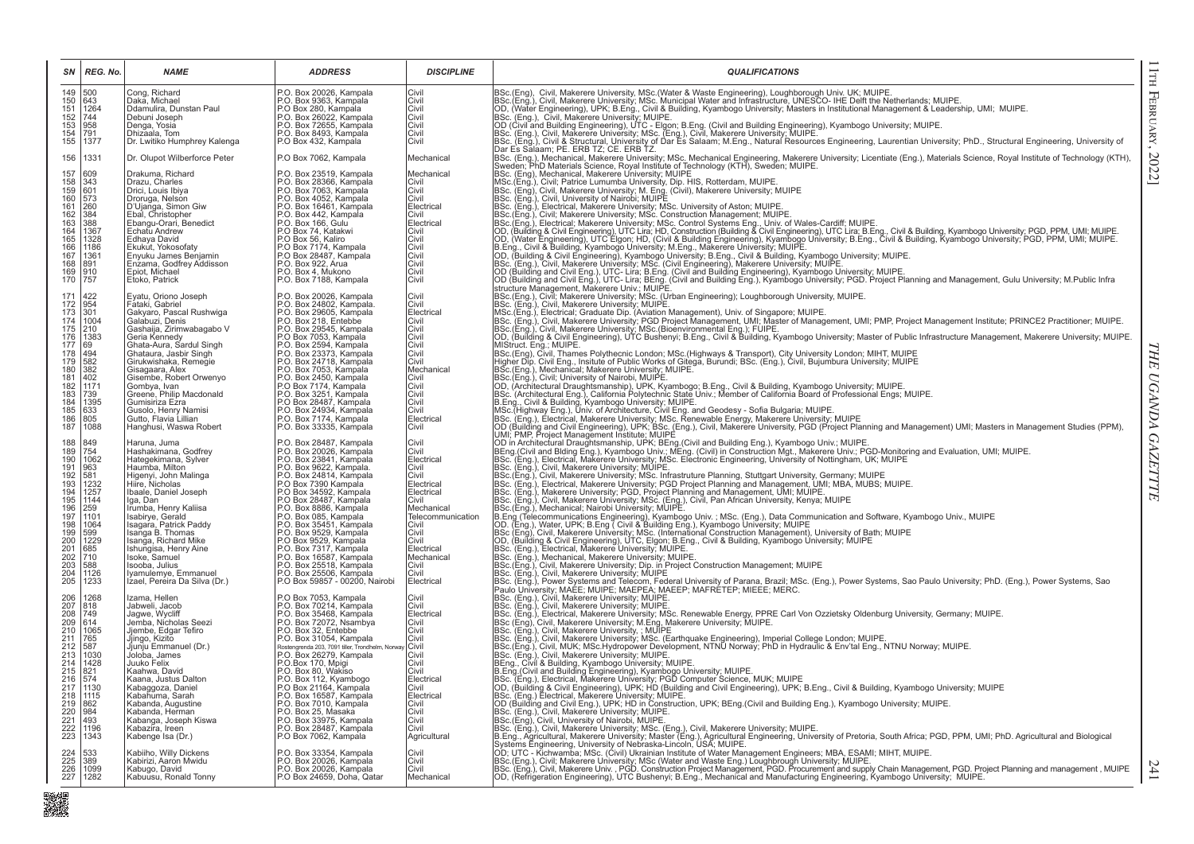| SN                                                                                                                                              | REG. No.                                                                                                                                                          | <b>NAME</b>                                                                                                                                                                                                                                                                                                                                                                                                 | <b>ADDRESS</b>                                                                                                                                                                                                                                                                                                                                                                                                                                                                                       | <b>DISCIPLINE</b>                                                                                                                                                                                             | <b>QUALIFICATIONS</b>                                                                                                                                                                                                                                                                                                                                                                                                                                                                                                                                                                                                                                                                                                                                                                                                                                                                                                                                        |
|-------------------------------------------------------------------------------------------------------------------------------------------------|-------------------------------------------------------------------------------------------------------------------------------------------------------------------|-------------------------------------------------------------------------------------------------------------------------------------------------------------------------------------------------------------------------------------------------------------------------------------------------------------------------------------------------------------------------------------------------------------|------------------------------------------------------------------------------------------------------------------------------------------------------------------------------------------------------------------------------------------------------------------------------------------------------------------------------------------------------------------------------------------------------------------------------------------------------------------------------------------------------|---------------------------------------------------------------------------------------------------------------------------------------------------------------------------------------------------------------|--------------------------------------------------------------------------------------------------------------------------------------------------------------------------------------------------------------------------------------------------------------------------------------------------------------------------------------------------------------------------------------------------------------------------------------------------------------------------------------------------------------------------------------------------------------------------------------------------------------------------------------------------------------------------------------------------------------------------------------------------------------------------------------------------------------------------------------------------------------------------------------------------------------------------------------------------------------|
| 149<br>150<br>151<br>152<br>153<br>154<br>155                                                                                                   | 500<br>643<br>1264<br>744<br>958<br>791<br>1377                                                                                                                   | Cong, Richard<br>Daka, Michael<br>Ddamulira, Dunstan Paul<br>Debuni Joseph<br>Denga, Yosia<br>Dhizaala, Tom<br>Dr. Lwitiko Humphrey Kalenga                                                                                                                                                                                                                                                                 | P.O. Box 20026, Kampala<br>P.O. Box 9363, Kampala<br>P.O Box 280, Kampala<br>P.O. Box 26022, Kampala<br>P.O. Box 72655, Kampala<br>P.O. Box 8493, Kampala<br>P.O Box 432, Kampala                                                                                                                                                                                                                                                                                                                    | Civil<br>Civil<br>Civil<br>Civil<br>Civil<br>Civil<br>Civil                                                                                                                                                   | BSc.(Eng), Civil, Makerere University, MSc.(Water & Waste Engineering), Loughborough Univ. UK; MUIPE.<br>BSc.(Eng.), Civil, Makerere University; MSc. Municipal Water and Infrastructure, UNESCO- IHE Delft the Netherlands; MUIP                                                                                                                                                                                                                                                                                                                                                                                                                                                                                                                                                                                                                                                                                                                            |
| 156                                                                                                                                             | 1331                                                                                                                                                              | Dr. Olupot Wilberforce Peter                                                                                                                                                                                                                                                                                                                                                                                | P.O Box 7062, Kampala                                                                                                                                                                                                                                                                                                                                                                                                                                                                                | Mechanical                                                                                                                                                                                                    | Dar Es Salaam; PE. ERB 12; CE. ERB 12.<br>BSc. (Eng.), Mechanical, Makerere University, MSc. Mechanical Engineering, Makerere University, Machine University, The Guideland Engineering, Official Analysis of<br>BSc. (Eng.), Mechan                                                                                                                                                                                                                                                                                                                                                                                                                                                                                                                                                                                                                                                                                                                         |
| 157<br>158<br>159<br>160<br>161<br>162<br>163<br>163<br>164<br>165<br>166<br>167<br>168<br>169<br>170                                           | 609<br>343<br>601<br>573<br>260<br>384<br>388<br>1367<br>1328<br>1186<br>1361<br>891<br>910<br>757                                                                | Drakuma, Richard<br>Drazu, Charles<br>Drici, Louis Ibiya<br>Droruga, Nelson<br>D'Ujanga, Simon Giw<br>Ebal, Christopher<br>Ebangu-Orari, Benedict<br>Echatu Andrew<br>Edhaya David<br>Ekukut, Yokosofaty<br>Enyuku James Benjamin<br>Enzama, Godfrey Addisson<br>Epiot, Michael<br>Etoko, Patrick                                                                                                           | P.O. Box 23519, Kampala<br>P.O. Box 28366, Kampala<br>P.O. Box 7063, Kampala<br>P.O. Box 4052, Kampala<br>P.O. Box 16461, Kampala<br>P.O. Box 442, Kampala<br>P.O. Box 166, Gulu<br>P.O Box 74, Katakwi<br>P.O Box 56, Kaliro<br>P.O Box 7174, Kampala<br>P.O Box 28487, Kampala<br>P.O. Box 922, Arua<br>P.O. Box 4, Mukono<br>P.O. Box 7188, Kampala                                                                                                                                               | Mechanical<br>Civil<br>Civil<br>Civil<br>Electrical<br>Civil<br>Electrical<br>Civil<br>Civil<br>Civil<br>Civil<br>Civil<br>Civil<br>Civil                                                                     | BSc. (Eng.), Mechanical, Makerere University; MUIPE<br>MSc. (Eng.), Mechanical, Makerere University; MUIPE<br>MSc. (Eng.), Civil; Patrice Lumumba University, Dip. HIS, Rotterdam, MUIPE.<br>Pack (Eng), Meckman, Makerere University, More His, Rotterdam, MUIPE.<br>INSC. (Eng.), OMI. Journal Makerere University More His, Rotterdam, MUIPE.<br>INSC. (Eng.), OMI. University of Nario's: MUIPE.<br>ISSC. (Eng.), OMI. Universit                                                                                                                                                                                                                                                                                                                                                                                                                                                                                                                         |
| 171<br>172<br>173<br>174<br>175<br>176<br>177<br>178<br>179<br>$\frac{180}{181}$<br>181<br>183<br>184<br>185<br>186<br>187                      | 422<br>954<br>301<br>1004<br>210<br>1383<br>69<br>494<br>582<br>382<br>402<br>1171<br>739<br>$\frac{1395}{633}$<br>805<br>1088                                    | Eyatu, Oriono Joseph<br>Fátaki, Gabriel<br>Gakyaro, Pascal Rushwiga<br>Galabuzi, Denis<br>Gashaija, Zirimwabagabo V<br>Geria Kennedy<br>Ghata-Aura, Sardul Singh<br>Ghataura, Jasbir Singh<br>Girukwishaka, Remegie<br>Gisagaara, Alex<br>Gisembe, Robert Orwenyo<br>Gombya, Ivan<br>Greene, Philip Macdonald<br>Gumisiriza Ezra<br>Gusolo, Henry Namisi<br>Gutto, Flavia Lillian<br>Hanghusi, Waswa Robert | P.O. Box 20026, Kampala<br>P.O. Box 24802, Kampala.<br>P.O. Box 29605, Kampala<br>P.O. Box 218, Entebbe<br>P.O. Box 216, Kampala<br>P.O. Box 7053, Kampala<br>P.O. Box 2594, Kampala<br>P.O. Box 23373, Kampala<br>P.O. Box 24718, Kampala<br>P.O. Box 24718, Kampala<br>P.O. Box 7053, Kampala<br>P.O. Box 7035, Rampala<br>P.O. Box 7174, Kampala<br>P.O. Box 3251, Kampala<br>P.O Box 28487, Kampala<br>P.O. Box 24934, Kampala<br>P.O. Box 7174, Kampala<br>P.O. Box 33335, Kampala              | Civil<br>Civil<br>Electrical<br>Civil<br>Civil<br>Civil<br>Civil<br>Civil<br>Civil<br>Mechanical<br>Civil<br>Civil<br>Civil<br>Civil<br>Civil<br>Electrical<br>Civil                                          | OD, (Building & Civil Engineering), UTC Bushenyi; B.Eng., Civil & Building, Kyambogo University; Master of Public Infrastructure Management, Makerere University; MUIPE<br>MStruct. Eng.; MUIPE.<br>BSc.(Eng), Civil. Thames Polythe                                                                                                                                                                                                                                                                                                                                                                                                                                                                                                                                                                                                                                                                                                                         |
| 188<br>189<br>190<br>191<br>$\frac{192}{193}$<br>194<br>195<br>196<br>197<br>198<br>199<br>200<br>201<br>202<br>$\frac{203}{204}$<br>205        | 849<br>754<br>1062<br>963<br>581<br>1232<br>$\frac{1257}{1144}$<br>259<br>1101<br>1064<br>599<br>1229<br>685<br>710<br>588<br>1126<br>1233                        | Haruna, Juma<br>Hashakimana, Godfrey<br>Hategekimana, Sylver<br>Haumba, Milton<br>Higenyi, John Malinga<br>Hiire, Nicholas<br>Ibaale, Daniel Joseph<br>Iga, Dan<br>Irumba, Henry Kaliisa<br>Isabirye, Gerald<br>Isagara, Patrick Paddy<br>Isanga B. Thomas<br>Isanga, Richard Mike<br>Ishungisa, Henry Aine<br>Isoke, Samuel<br>Isooba, Julius<br>Iyamulemye, Emmanuel<br>Izael, Pereira Da Silva (Dr.)     | P.O. Box 28487, Kampala<br>P.O. Box 20026, Kampala<br>P.O. Box 23841, Kampala<br>P.O. Box 9622, Kampala.<br>P.O. Box 24814, Kampala.<br>P.O Box 7390 Kampala<br>P.O Box 34592, Kampala<br>P.O. Box 8886, Kampala<br>P.O. Box 085, Kampala<br>P.O. Box 085, Kampala<br>P.O. Box 9529, Kampala<br>P.O Box 9529, Kampala<br>P.O. Box 7317, Kampala<br>P.O. Box 16587, Kampala<br>P.O. Box 25518, Kampala<br>P.O. Box 25506, Kampala<br>P.O Box 59857 - 00200, Nairobi                                   | Civil<br>Civil<br>Electrical<br>Civil<br>Civil<br>Electrical<br>Electrical<br>Civil<br>Mechanical<br>Telecommunication<br>Civil<br>Civil<br>Civil<br>Electrical<br>Mechanical<br>Civil<br>Civil<br>Electrical | OD in Architectural Draughtsmanship, UPK; BEng (Civil and Building Eng.), Kyambogo Univ.; MUIPE.<br> BEng (Civil and Biding Eng.), Kyambogo Univ.; MEng. (Civil) in Construction Mgt., Makerere Univ.; PGD-Monitoring and Evaluat<br>BSC. (Eng.), Civil, Makerere University, MUIPE.<br>BSC. (Eng.), Civil, Makerere University, MUIPE.<br>BSC.(Eng.), Civil, Makerere University, MSC. Infrastruture Planning, Stuttgart University, Germany, MUIPE.<br>BSC. (Eng.), Electr<br>Boc. (Eng.), Makerere University, PGD, Project Planning and Management, UMI; MUIPE.<br>[BSc. (Eng.), Makerere University, PGD, Project Planning and Management, UMI; MUIPE.<br>[BSc. (Eng.), Civil, Makerere University; MSc. (Eng.)<br>BSc.(Eng.), Mechanical; Narrobi Unversity; MUIPE.<br>BSc.(Eng.), Mechanical; Narrobi Unversity; MUIPE.<br>OD. (Eng.), Water, UPK; B.Eng ( Civil & Building Eng.), Kyambogo University; MUIPE<br>OD. (Eng.), Water, UPK; B.Eng ( Civi |
| 206<br>207<br>208<br>$\frac{209}{210}$<br>211<br>$\frac{212}{213}$<br>214<br>215<br>$\frac{216}{217}$<br>218<br>219<br>220<br>221<br>222<br>223 | 1268<br>818<br>749<br>614<br>1065<br>765<br>587<br>1030<br>1428<br>821<br>574<br>1130<br>1115<br>$\begin{array}{r} 862 \\ 984 \\ 493 \end{array}$<br>1196<br>1343 | Izama, Hellen<br>Jabweli, Jacob<br>Jagwe, Wycliff<br>Jemba, Nícholas Seezi<br>Jjembe, Edgar Tefiro<br>Jjingo, Kizito<br>Jjunju Emmanuel (Dr.)<br>Joloba. James<br>Juuko Felix<br>Kaahwa, David<br>Kaana, Justus Dalton<br>Kabaggoza, Daniel<br>Kabahuma, Sarah<br>Kabanda, Augustine<br>Kabanda, Herman<br>Kabanga, Joseph Kiswa<br>Kabazira, Ireen<br>Kabenge Isa (Dr.)                                    | P.O Box 7053, Kampala<br>P.O. Box 70214, Kampala<br>P.O. Box 35468, Kampala<br>P.O. Box 72072, Nsambya<br>P.O. Box 32, Entebbe<br>P.O. Box 31054, Kampala<br>Rostengrenda 203, 7091 tiller, Trondhelm, Norway<br>P.O. Box 26279, Kampala<br>P.O.Box 170, Mpigi<br>P.O. Box 80, Wakiso<br>P.O. Box 112, Kyambogo<br>P.O. Box 112, Kyambogo<br>P.O. Box 16587, Kampala<br>P.O. Box 7010, Kampala<br>P.O. Box 25, Masaka<br>P.O. Box 33975, Kampala<br>P.O. Box 28487, Kampala<br>P.O Box 7062, Kampala | Civil<br>Civil<br>Electrical<br>Civil<br>Civil<br>Civil<br>Civil<br>Civil<br>Civil<br>Civil<br>Electrical<br>Civil<br>Electrical<br>Civil<br>Civil<br>Civil<br>Civil<br>Agricultural                          | BSc. (Eng.), Power Systems and Telecom, Federal University of Parana, Brazil; MSc. (Eng.), Power Systems, Sao Paulo University; PhD. (Eng.), Power Systems, Sao<br> Paulo University; MAEE; MUIPE; MAEPEA; MAEEP; MAFRETEP; MIEEE<br>BSc. (Eng.), Civil, Makerere University; MUIPE.<br>Sec. (Eng.), Civil, Maketere University; MUIPE;<br>Bacc. (Eng.), Civil, Maketere University; MUIPE;<br>Bacc. (Eng.), Civil, Maketere University; MSC, Renewable Energy, PPRE Carl Von Ozzietsky Oldenburg University, Germany; MUI                                                                                                                                                                                                                                                                                                                                                                                                                                   |
| 224<br>225<br>226<br>227                                                                                                                        | 533<br>389<br>1099<br>1282                                                                                                                                        | Kabiiho, Willy Dickens<br>Kabirizi. Aaron Mwidu<br>Kabugo, David<br>Kabuusu, Ronald Tonny                                                                                                                                                                                                                                                                                                                   | P.O. Box 33354, Kampala<br>P.O. Box 20026, Kampala<br>P.O. Box 20026, Kampala<br>P.O Box 24659, Doha, Qatar                                                                                                                                                                                                                                                                                                                                                                                          | Civil<br><b>Civil</b><br><b>Civil</b><br>Mechanical                                                                                                                                                           | DES, CHO - I World Makerere University; MSc (Water and Waste Eng.) Loughbrough University; MUIPE.<br> BSc.(Eng.), Civil; Makerere University; MSc (Water and Waste Eng.) Loughbrough University; MUIPE.<br> BSc.(Eng.), Civil; Mak                                                                                                                                                                                                                                                                                                                                                                                                                                                                                                                                                                                                                                                                                                                           |

241

■<br>職業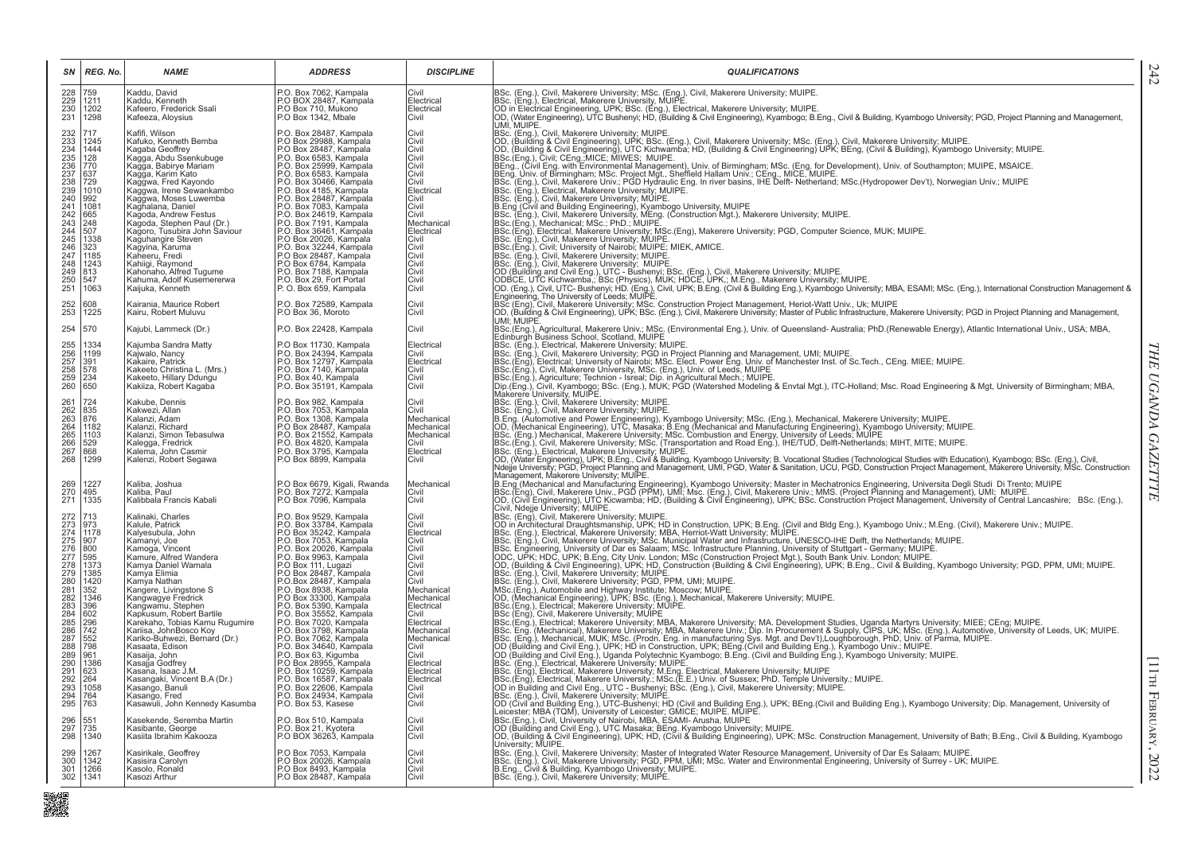| SN                                                                                                                                                                          | REG. No.                                                                                                                                                                     | <b>NAME</b>                                                                                                                                                                                                                                                                                                                                                                                                                                                                                                                                                    | <b>ADDRESS</b>                                                                                                                                                                                                                                                                                                                                                                                                                                                                                                                                                                                                                                  | <b>DISCIPLINE</b>                                                                                                                                                                                                                                                      | <b>QUALIFICATIONS</b>                                                                                                                                                                                                                                                                                                                                                                                                                                                                                                                                                                                                                                                                                                                                                                                                                                                                                                                                                                                                                                                                                                                                                                                                                                                                                                                                                                          |
|-----------------------------------------------------------------------------------------------------------------------------------------------------------------------------|------------------------------------------------------------------------------------------------------------------------------------------------------------------------------|----------------------------------------------------------------------------------------------------------------------------------------------------------------------------------------------------------------------------------------------------------------------------------------------------------------------------------------------------------------------------------------------------------------------------------------------------------------------------------------------------------------------------------------------------------------|-------------------------------------------------------------------------------------------------------------------------------------------------------------------------------------------------------------------------------------------------------------------------------------------------------------------------------------------------------------------------------------------------------------------------------------------------------------------------------------------------------------------------------------------------------------------------------------------------------------------------------------------------|------------------------------------------------------------------------------------------------------------------------------------------------------------------------------------------------------------------------------------------------------------------------|------------------------------------------------------------------------------------------------------------------------------------------------------------------------------------------------------------------------------------------------------------------------------------------------------------------------------------------------------------------------------------------------------------------------------------------------------------------------------------------------------------------------------------------------------------------------------------------------------------------------------------------------------------------------------------------------------------------------------------------------------------------------------------------------------------------------------------------------------------------------------------------------------------------------------------------------------------------------------------------------------------------------------------------------------------------------------------------------------------------------------------------------------------------------------------------------------------------------------------------------------------------------------------------------------------------------------------------------------------------------------------------------|
| 228<br>229<br>230<br>231                                                                                                                                                    | 759<br>1211<br>1202<br>1298                                                                                                                                                  | Kaddu, David<br>Kaddu, Kenneth<br>Kafeero, Frederick Ssali<br>Kafeeza, Aloysius                                                                                                                                                                                                                                                                                                                                                                                                                                                                                | P.O. Box 7062, Kampala<br>P.O BOX 28487, Kampala<br>P.O Box 710, Mukono<br>P.O Box 1342, Mbale                                                                                                                                                                                                                                                                                                                                                                                                                                                                                                                                                  | Civil<br>Electrical<br>Electrical<br>Civil                                                                                                                                                                                                                             | BSc. (Eng.), Civil, Makerere University; MSc. (Eng.), Civil, Makerere University; MUIPE.<br>BSc. (Eng.), Electrical, Makerere University, MUIPE.<br> OD in Electrical Engineering, UPK; BSc. (Éng.), Electrical, Makerere University; MUIPE.<br> OD, (Water Engineering), UTC Bushenyi; HD, (Building & Civil Engineering), Kyambogo; B.Eng., Civil & Building, Kyambogo University;<br>UMI. MUIPE.                                                                                                                                                                                                                                                                                                                                                                                                                                                                                                                                                                                                                                                                                                                                                                                                                                                                                                                                                                                            |
| 232<br>233<br>234<br>235<br>236<br>237<br>238<br>239<br>240<br>241<br>242<br>$\frac{243}{244}$<br>245<br>$\frac{246}{247}$<br>248<br>$\frac{249}{250}$<br>250               | 1245<br>1444<br>128<br>770<br>637<br>729<br>1010<br>$\frac{992}{1081}$<br>665<br>248<br>507<br>1338<br>323<br>1185<br>1243<br>813<br>547<br>1063                             | Kafifi, Wilson<br>Kafuko, Kenneth Bemba<br>Kagaba Geoffrey<br>Kagga, Abdu Ssenkubuge<br>Kağğa, Babirye Mariam<br>Kagga, Karim Kato<br>Kaggwa, Fred Kayondo<br>Kağğwa, Irene Sewankambo<br>Kağğwa, Moses Luwemba<br>Kaghalana, Daniel<br>Kagoda, Andrew Festus<br>Kagoda, Stephen Paul (Dr.)<br>Kagoro, Tusubira John Saviour<br>Kaguhangire Steven<br>Kagyina, Karuma<br>Kaheeru, Fredi<br>Kahiigi, Raymond<br>Kahonaho, Alfred Tugume<br>Kahuma, Adolf Kusemererwa<br>Kaijuka, Kenneth                                                                        | P.O. Box 28487, Kampala<br>P.O Box 29988, Kampala<br>P.O Box 28487, Kampala<br>P.O. Box 6583, Kampala<br>P.O. Box 25999, Kampala<br>P.O. Box 6583, Kampala<br>P.O. Box 30466, Kampala<br>P.O. Box 4185, Kampala<br>P.O. Box 28487, Kampala<br>P.O. Box 7083, Kampala<br>P.O. Box 24619, Kampala<br>P.O. Box 7191, Kampala<br>P.O. Box 36461, Kampala<br>P.O Box 20026, Kampala<br>P.O. Box 32244, Kampala<br>P.O. Box 28487, Kampala<br>P.O. Box 6784, Kampala<br>P.O. Box 7188, Kampala<br>P.O. Box 29, Fort Portal<br>P.O. Box 659, Kampala                                                                                                   | Civil<br>Civil<br>Civil<br>Civil<br>Civil<br><b>Civil</b><br>Civil<br>Electrical<br>Civil<br>Civil<br>Civil<br>Mechanical<br>Electrical<br>Civil<br>Civil<br>Civil<br>Civil<br>Civil<br>Civil<br>Civil                                                                 | BSc. (Eng.), Civil, Makerere University; MUIPE<br>OOC, (Building & Civil Engineering), UPK; BSc. (Eng.), Civil, Makerere University; MSc. (Eng.), Civil, Makerere University; MUIPE.<br> OD, (Building & Civil Engineering), UPC Kichwamba; HD, (Building & Civil Engineering) UPK;<br>Beck, Light, Crivit, Carlyttamode, Mixon Marchent), Univ. of Birmingham; MSc. (Eng. for Development), Univ. of Southampton; MUIPE, MSAICE.<br> BEng., Univ. of Birmingham; MSc. Project Mgt., Sheffield Hallam Univ.; CEng., MI<br>BSc. (Eng.), Electrical, Makerere University; MUIPE.<br>BSc. (Eng.), Civil, Makerere University; MUIPE<br>B.Eng (Civil and Building Engineering), Kyambogo University, MUIPE<br>[BSc. (Eng.), Civil, Makerere University, MEng. (Construction Mgt.), Makerere University; MUIPE.<br>BSc.(Eng.), Mechanical; MSc.; PhD.; MUIPE.<br>IBSc.(Eng.), Electrical. Makerere University: MSc.(Eng), Makerere University; PGD, Computer Science, MUK; MUIPE.<br>IBSc. (Eng.), Civil, Makerere University; MUIPE.<br>IBSc. (Eng.), Civil; University of Nairobi; MUIPE.<br>IBSc.(Eng<br>BSC. (Eng.), Civil, University of Nation, Mourez, Millich.<br> BSC. (Eng.), Civil, Makerere University; MUIPE.<br> DC (Building and Civil Eng.), UTC - Bushenyi; SC. (Eng.), Civil, Makerere University; MUIPE.<br> OD (Building and Ci<br>Engineering, The University of Leeds; MUIPE. |
| 252<br>253                                                                                                                                                                  | 608<br>1225                                                                                                                                                                  | Kairania, Maurice Robert<br>Kairu. Robert Muluvu                                                                                                                                                                                                                                                                                                                                                                                                                                                                                                               | P.O. Box 72589. Kampala<br>P.O Box 36, Moroto                                                                                                                                                                                                                                                                                                                                                                                                                                                                                                                                                                                                   | Civil<br>Civil                                                                                                                                                                                                                                                         | BSc (Eng), Civil, Makerere University; MSc. Construction Project Management, Heriot-Watt Univ., Uk; MUIPE<br> OD, (Building & Civil Engineering), UPK; BSc. (Eng.), Civil, Makerere University; Master of Public Infrastructure,<br>UMI; MUIPE.                                                                                                                                                                                                                                                                                                                                                                                                                                                                                                                                                                                                                                                                                                                                                                                                                                                                                                                                                                                                                                                                                                                                                |
| 254<br>255<br>256<br>257<br>258<br>259<br>260                                                                                                                               | 570<br>1334<br>1199<br>391<br>578<br>234<br>650                                                                                                                              | Kajubi, Lammeck (Dr.)<br>Kajumba Sandra Matty<br>Kajwalo, Nancy<br>Kakaire, Patrick<br>Kakeeto Christina L. (Mrs.)<br>Kakeeto, Hillary Ddungu<br>Kakiiza, Robert Kagaba                                                                                                                                                                                                                                                                                                                                                                                        | P.O. Box 22428, Kampala<br>P.O Box 11730, Kampala<br>P.O. Box 24394, Kampala<br>P.O. Box 12797, Kampala<br>P.O. Box 7140, Kampala<br>P.O. Box 40, Kampala<br>P.O. Box 40, Kampala<br>P.O. Box 35191, Kampala                                                                                                                                                                                                                                                                                                                                                                                                                                    | Civil<br>Electrical<br>Civil<br>Electrical<br>Civil<br>Civil<br>Civil                                                                                                                                                                                                  | BSc.(Eng.), Agricultural, Makerere Univ.; MSc. (Environmental Eng.), Univ. of Queensland-Australia; PhD.(Renewable Energy), Atlantic International Univ., USA; MBA,<br>Edinburgh Business School, Scotland, MUIPE<br>Burnlungin Business School, Socialini, Mour-<br>BSc. (Eng.), Electrical, Makerere University; MUIPE.<br>BSc. (Eng.), Civil, Makerere University; PGD in Project Planning and Management, UMI; MUIPE.<br>BSc.(Eng.), Civil, Makerere Uni                                                                                                                                                                                                                                                                                                                                                                                                                                                                                                                                                                                                                                                                                                                                                                                                                                                                                                                                   |
| 261<br>262<br>263<br>264<br>265<br>266<br>267<br>268                                                                                                                        | 724<br>835<br>876<br>1182<br>1103<br>529<br>868<br>1299                                                                                                                      | Kakube, Dennis<br>Kakwezi, Allan<br>Kalanzi, Adam<br>Kalanzi, Richard<br>Kalanzi, Simon Tebasulwa<br>Kalegga, Fredrick<br>Kalema, John Casmir<br>Kalenzi, Robert Segawa                                                                                                                                                                                                                                                                                                                                                                                        | P.O. Box 982, Kampala<br>P.O. Box 7053, Kampala<br>P.O. Box 1308. Kampala<br>P.O Box 28487, Kampala<br>P.O. Box 21552, Kampala<br>P.O. Box 4820, Kampala<br>P.O. Box 3795, Kampala<br>P.O Box 8899, Kampala                                                                                                                                                                                                                                                                                                                                                                                                                                     | Civil<br>Civil<br>Mechanical<br>Mechanical<br>Mechanical<br>Civil<br>Electrical<br>Civil                                                                                                                                                                               | Makerere University, MUIPE.<br>BSc. (Eng.), Civil, Makerere University; MUIPE.<br>BSc. (Eng.), Civil, Makerere University; MUIPE.<br>BSc.(Eng.), Civil, Makerere University; MSc. (Transportation and Road Eng.), IHE/TUD, Delft-Netherlands; MIHT, MITE; MUIPE.<br>BSc. (Eng.), Electrical, Makerere University; MUIPE.<br>OD, (Water Engineering), UPK; B.Eng., Civil & Building, Kyambogo University; B. Vocational Studies (Technological Studies with Education), Kyambogo; BSc. (Eng.), Civil,<br>Ndejje University; PGD, Project Planning and Management, UMI, PGD, Water & Sanitation, UCU, PGD, Construction Project Management, Makerere University, MSc. Construction                                                                                                                                                                                                                                                                                                                                                                                                                                                                                                                                                                                                                                                                                                               |
| 269<br>270<br>271                                                                                                                                                           | 1227<br>495<br>1335                                                                                                                                                          | Kaliba, Joshua<br>Kaliba, Paul<br>Kalibbala Francis Kabali                                                                                                                                                                                                                                                                                                                                                                                                                                                                                                     | P.O Box 6679, Kigali, Rwanda<br>P.O. Box 7272, Kampala<br>P.O Box 7096, Kampala                                                                                                                                                                                                                                                                                                                                                                                                                                                                                                                                                                 | Mechanical<br>Civil<br>Civil                                                                                                                                                                                                                                           | Management, Makerere University; MUIPE.<br> B\Eng (Mechanical and Manufacturing Engineering), Kyambogo University; Master in Mechatronics Engineering, Universita Degli Studi_Di Trento; MUIPE<br> BSc.(Eng), Civil, Makerere Univ., PGD (PPM), UMI; Msc. (Eng.), Civil, Ma<br>Civil, Ndejje University; MUIPE.                                                                                                                                                                                                                                                                                                                                                                                                                                                                                                                                                                                                                                                                                                                                                                                                                                                                                                                                                                                                                                                                                |
| 272<br>273<br>274<br>275<br>276<br>277<br>278<br>278<br>279<br>280<br>281<br>282<br>283<br>284<br>285<br>286<br>287<br>288<br>289<br>290<br>291<br>292<br>293<br>294<br>295 | 713<br> 973<br>1178<br>907<br>800<br>595<br>1373<br>1385<br>1420<br>352<br>1346<br>396<br>602<br>296<br>742<br>552<br>798<br>961<br>1386<br>623<br>264<br>1058<br>764<br>763 | Kalinaki, Charles<br>Kalule, Patrick<br>Kalyesubula, John<br>Kamanyi, Joe<br>Kamoga, Vincent<br>Kamure, Alfred Wandera<br>Kamya Daniel Wamala<br>Kamya Elimia<br>Kamya Nathan<br>Kangere, Livingstone S<br>Kangwagye Fredrick<br>Kangwamu, Stephen<br>Kapkusum, Robert Bartile<br>Karekaho, Tobias Kamu Rugumire<br>Kariisa, JohnBosco Koy<br>Kariko-Buhwezi, Bernard (Dr.)<br>Kasaata, Edison<br>Kasaija, John<br>Kasajja Godfrey<br>Kasaña, Isaac J.M.<br>Kasangaki, Vincent B.A (Dr.)<br>Kasango, Banuli<br>Kasango, Fred<br>Kasawuli, John Kennedy Kasumba | P.O. Box 9529, Kampala<br>P.O. Box 33784, Kampala<br>P.O Box 35242, Kampala<br>P.O. Box 7053, Kampala<br>P.O. Box 20026, Kampala<br>P.O. Box 9963, Kampala<br>P.O. Box 9963, Kampala<br>P.O. Box 28487, Kampala<br>P.O.Box 28487. Kampala<br>P.O. Box 8938, Kampala<br>P.O Box 33300, Kampala<br>P.O. Box 5390, Kampala<br>P.O. Box 5390, Kampala<br>P.O. Box 7020, Kampala<br>P.O. Box 3798, Kampala<br>P.O. Box 7062, Kampala<br>P.O. Box 34640, Kampala<br>P.O. Box 63, Kigumba<br>P.O Box 28955, Kampala<br>P.O. Box 10259, Kampala<br>P.O. Box 16587, Kampala<br>P.O. Box 22606, Kampala<br>P.O. Box 24934. Kampala<br>P.O. Box 53, Kasese | Civil<br>Civil<br>Electrical<br>Civil<br>Civil<br>Civil<br>Civil<br>Civil<br>Civil<br>Mechanical<br>Mechanical<br>Electrical<br>Civil<br>Electrical<br>Mechanical<br>Mechanical<br>Civil<br>Civil<br>Electrical<br>Electrical<br>Electrical<br>Civil<br>Civil<br>Civil | lown, world, ornocolay, worl<br> DD in Architectural Draughtsmanship, UPK; HD in Construction, UPK; B.Eng. (Civil and Bldg Eng.), Kyambogo Univ.; M.Eng. (Civil), Makerere Univ.; MUIPE.<br> OD in Architectural Draughtsmanship, U<br>BSc. (Eng.), Electrical, Makerere University; MBA, Herriot-Watt University; MUIPE.<br>BSc. (Eng.), Electrical, Makerere University; MSc. Municipal Water and Infrastructure, UNESCO-IHE Delft, the Netherlands; MUIPE.<br>BSc. Engin<br>BSC: (Eng.), Clectrical; Makerere University; MBA, Makerere University; MA. Development Studies, Uganda Martyrs University; MIEE; CEng; MUIPE.<br>BSC: (Eng.), Electrical; Makerere University; MBA, Makerere Univ.; Dip. In Pro<br>BSc. (Eng.), Electrical, Makerere University; MUIPE.<br>BSc. (Eng.), Electrical, Makerere University; M.Eng. Electrical, Makerere University; MUIPE<br>BSc. (Eng.), Electrical, Makerere University; M.Eng. Electrical, Makerere University; MUIPE<br>D. in Building and Civil Eng., UTC -<br>COC: (Eng.), Orien, wiewslotter Orientalism, Wild Building Eng.), UPK; BEng.(Civil and Building Eng.), Kyambogo University; Dip. Management, University of<br> Leicester; MBA (TQM), University of Leicester; GMICE; MUIPE. MUIPE                                                                                                                                             |
| 296<br>297<br>298                                                                                                                                                           | 551<br>735<br>1340                                                                                                                                                           | Kasekende, Seremba Martin<br>Kasibante, George<br>Kasiita Ibrahim Kakooza                                                                                                                                                                                                                                                                                                                                                                                                                                                                                      | P.O. Box 510, Kampala<br>P.O. Box 21, Kyotera<br>P.O BOX 36263, Kampala                                                                                                                                                                                                                                                                                                                                                                                                                                                                                                                                                                         | Civil<br>Civil<br>Civil                                                                                                                                                                                                                                                | OD (Building and Civil Eng.), UTC Masaka; BEng. Kyambogo University; MUIPE.<br>OD (Building and Civil Eng.), UTC Masaka; BEng. Kyambogo University; MUIPE.<br>OD, (Building & Civil Engineering), UPK; HD, (Civil & Building Enginee<br>University; MUIPE.                                                                                                                                                                                                                                                                                                                                                                                                                                                                                                                                                                                                                                                                                                                                                                                                                                                                                                                                                                                                                                                                                                                                     |
| 299<br>300<br>301<br>302                                                                                                                                                    | 1267<br>1342<br>1266<br>1341                                                                                                                                                 | Kasirikale, Geoffrey<br>Kasisira Carolyn<br>Kasolo, Ronald<br>Kasozi Arthur                                                                                                                                                                                                                                                                                                                                                                                                                                                                                    | P.O Box 7053, Kampala<br>P.O Box 20026, Kampala<br>P.O Box 8493, Kampala<br>P.O Box 28487, Kampala                                                                                                                                                                                                                                                                                                                                                                                                                                                                                                                                              | Civil<br>Civil<br>Civil<br>Civil                                                                                                                                                                                                                                       | BSc. (Eng.), Civil, Makerere University; Master of Integrated Water Resource Management, University of Dar Es Salaam; MUIPE.<br>BSc. (Eng.), Civil, Makerere University; PGD, PPM, UMI; MSc. Water and Environmental Engineering,<br>BSc. (Eng.), Civil, Makerere University; MUIPE                                                                                                                                                                                                                                                                                                                                                                                                                                                                                                                                                                                                                                                                                                                                                                                                                                                                                                                                                                                                                                                                                                            |

■<br>- 実現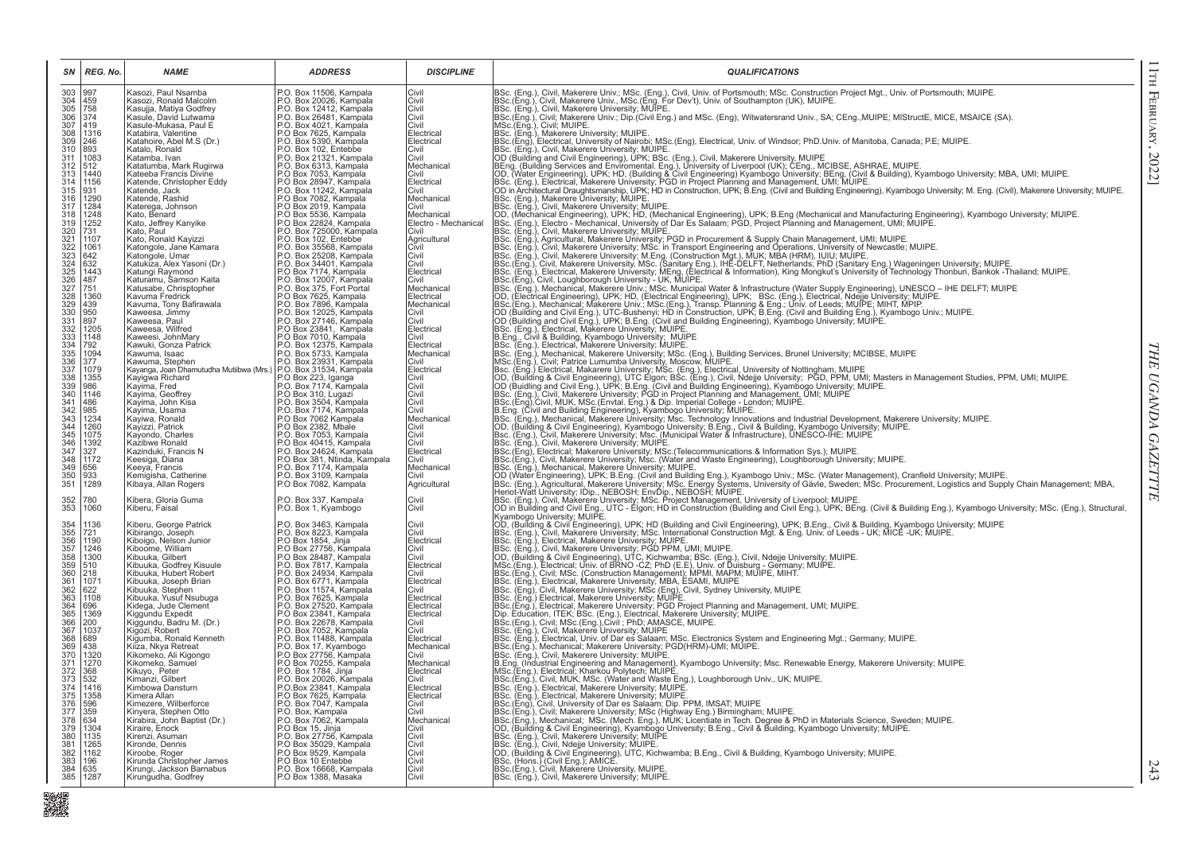|                                                                                      | $SN$   REG. No.                                     | <b>NAME</b>                                                                                            | <b>ADDRESS</b>                                                                | <b>DISCIPLINE</b>                  | <b>QUALIFICATIONS</b>                                                                                                                                                                                                                                                                                                                                                  |
|--------------------------------------------------------------------------------------|-----------------------------------------------------|--------------------------------------------------------------------------------------------------------|-------------------------------------------------------------------------------|------------------------------------|------------------------------------------------------------------------------------------------------------------------------------------------------------------------------------------------------------------------------------------------------------------------------------------------------------------------------------------------------------------------|
| 303 997<br>304 459<br>305 758<br>306 374<br>307 419<br>308 246<br>309 246<br>314 893 |                                                     | Kasozi, Paul Nsamba<br>Kasozi, Ronald Malcolm                                                          | P.O. Box 11506, Kampala<br>P.O. Box 20026, Kampala                            | Civil<br>Civil                     | BSc. (Eng.), Civil, Makerere Univ.; MSc. (Eng.), Civil, Univ. of Portsmouth; MSc. Construction Project Mgt., Univ. of Portsmouth; MUIPE.<br> BSc.(Eng.), Civil, Makerere Univ., MSc.(Eng. For Dev't), Univ. of Southampton (UK)                                                                                                                                        |
|                                                                                      |                                                     | Kasujja, Matiya Godfrey                                                                                | P.O. Box 12412, Kampala                                                       | Civil<br>Civil                     | BSc.(Eng.), Civil; Individue University, MUIPE.<br>INSc.(Eng.), Civil; Makerere Univ.; Dip.(Civil Eng.) and MSc. (Eng), Witwatersrand Univ., SA; CEng.,MUIPE; MIStructE, MICE, MSAICE (SA).<br>IMSc.(Eng.), Civil; MUIPE.                                                                                                                                              |
|                                                                                      |                                                     | Kasule, David Lutwama                                                                                  | P.O. Box 26481, Kampala<br>P.O. Box 26481, Kampala                            |                                    |                                                                                                                                                                                                                                                                                                                                                                        |
|                                                                                      |                                                     | Kasule-Mukasa, Paul E<br>Katabira, Valentine                                                           |                                                                               | Civil<br>Electrical                |                                                                                                                                                                                                                                                                                                                                                                        |
|                                                                                      | 1316<br>246                                         | Katahoire, Abel M.S (Dr.)                                                                              | P.O Box 7625, Kampala<br>P.O. Box 5390, Kampala                               | Electrical                         | BSc. (Eng.), Makerere University; MUIPE.<br>BSc.(Eng), Electrical, University of Nairobi; MSc.(Eng), Electrical, Univ. of Windsor; PhD.Univ. of Manitoba, Canada; P.E; MUIPE.                                                                                                                                                                                          |
|                                                                                      |                                                     | Katalo, Ronald                                                                                         | P.O. Box 102, Entebbe                                                         | Civil<br>Civil                     | BSc. (Eng.), Civil, Makerere University; MUIPE.                                                                                                                                                                                                                                                                                                                        |
| $\frac{311}{312}$<br>$\frac{312}{313}$                                               | $1083$<br>$512$                                     | Katamba, Ivan<br>Katatumba, Mark Rugirwa                                                               | P.O. Box 21321, Kampala<br>P.O. Box 6313, Kampala                             | Mechanical                         |                                                                                                                                                                                                                                                                                                                                                                        |
|                                                                                      | 1440                                                | Kateeba Francis Divine                                                                                 | P.O Box 7053, Kampala                                                         | Civil                              | Boc: (Eng.), Uril, Makerete University, MUPE.<br>Boc: (Eng.), Uril, Makerete University, MUPE.<br>Comparison (Building Services and Environmental. Eng.), University of Liverpool (UK); CEng., MCIBSE, ASHRAE, MUIPE.<br>IOD, (Water En                                                                                                                                |
|                                                                                      | $314 \overline{)1156}$<br>$315 \overline{)931}$     | Katende, Christopher Eddy<br>Katende, Jack                                                             | P.O Box 28947, Kampala<br>P.O. Box 11242, Kampala                             | Electrical<br>Civil                |                                                                                                                                                                                                                                                                                                                                                                        |
|                                                                                      | 316   1290                                          | Katende, Rashid                                                                                        | P.O Box 7082, Kampala                                                         | Mechanical                         |                                                                                                                                                                                                                                                                                                                                                                        |
| $\frac{317}{318}$                                                                    | 1284                                                | Katerega, Johnson                                                                                      | P.O Box 2019, Kampala                                                         | Civil                              | BSc. (Eng.), Civil, Makerere University; MUIPE.<br>IBSC. (Eng.), Civil, Makerere University; MUIPE.<br>OD, (Mechanical Engineering), UPK; HD, (Mechanical Engineering), UPK; B.Eng (Mechanical and Manufacturing Engineering), Kyamb                                                                                                                                   |
|                                                                                      | 1248                                                | Kato, Benard<br>Kato, Jeffrey Kanyike                                                                  | P.O Box 5536, Kampala<br>P.O Box 22824, Kampala                               | Mechanical<br>Electro - Mechanical |                                                                                                                                                                                                                                                                                                                                                                        |
|                                                                                      | $\frac{1252}{731}$                                  | Kato, Paul                                                                                             | P.O. Box 725000, Kampala                                                      | Civil                              | BSc. (Eng.), Electro - Mechanical, University of Dar Es Salaam; PGD, Project Planning and Management, UMI; MUIPE.<br>BSc. (Eng.), Civil, Makerere University; MUIPE.                                                                                                                                                                                                   |
|                                                                                      | 1107                                                | Kato, Ronald Kayizzi                                                                                   | P.O. Box 102, Entebbe                                                         | Agricultural                       |                                                                                                                                                                                                                                                                                                                                                                        |
|                                                                                      | 1061                                                | Katongole, Jane Kamara<br>Katongole, Umar                                                              | P.O. Box 35568, Kampala<br>P.O. Box 25208, Kampala                            | Civil<br>Civil                     |                                                                                                                                                                                                                                                                                                                                                                        |
|                                                                                      | 642                                                 | Katukiza, Alex Yasoni (Dr.)                                                                            | P.O. Box 34401, Kampala                                                       | Civil                              |                                                                                                                                                                                                                                                                                                                                                                        |
|                                                                                      |                                                     | Katungi Raymond<br>Katuramu, Samson Kaita                                                              | P.O. Box 7174, Kampala<br>P.O. Box 12007, Kampala                             | Electrical<br>Civil                |                                                                                                                                                                                                                                                                                                                                                                        |
|                                                                                      | $\begin{array}{r} 1443 \\ 487 \\ 751 \end{array}$   | Katusabe, Chrisptopher                                                                                 |                                                                               | Mechanical                         |                                                                                                                                                                                                                                                                                                                                                                        |
|                                                                                      | 1360                                                | Kavuma Fredrick                                                                                        | P.O. Box 375, Fort Portal<br>P.O. Box 7625, Kampala<br>P.O. Box 7896, Kampala | Electrical                         |                                                                                                                                                                                                                                                                                                                                                                        |
|                                                                                      | 439<br>950                                          | Kavuma, Tony Bafirawala<br>Kaweesa, Jimmy                                                              |                                                                               | Mechanical<br>Civil                |                                                                                                                                                                                                                                                                                                                                                                        |
|                                                                                      | 897                                                 | Kaweesa, Paul                                                                                          | P.O. Box 12025, Kampala<br>P.O. Box 27146, Kampala                            | Civil                              |                                                                                                                                                                                                                                                                                                                                                                        |
|                                                                                      | 1205<br>1148                                        | Kaweesa, Wilfred                                                                                       | P.O Box 23841, Kampala                                                        | Electrical<br>Civil                |                                                                                                                                                                                                                                                                                                                                                                        |
|                                                                                      | 792                                                 | Kaweesi, JohnMary<br>Kawuki, Gonza Patrick                                                             | P.O Box 7010, Kampala<br>P.O. Box 12375, Kampala                              | Electrical                         |                                                                                                                                                                                                                                                                                                                                                                        |
|                                                                                      | 1094                                                | Kawuma, Isaac                                                                                          | P.O. Box 5733, Kampala                                                        | Mechanical                         |                                                                                                                                                                                                                                                                                                                                                                        |
|                                                                                      | 377<br>1079                                         | Kawuma, Stephen<br>Kawuma, Stephen<br>Kayanga, Joan Dhamutudha Mutiibwa (Mrs.) P.O. Box 31534, Kampala |                                                                               | Civil<br>Electrical                |                                                                                                                                                                                                                                                                                                                                                                        |
|                                                                                      | 1355                                                | Kayigwa Richard                                                                                        | P.O Box 223, Iganga                                                           | Civil                              |                                                                                                                                                                                                                                                                                                                                                                        |
|                                                                                      |                                                     | Kayima, Fred                                                                                           | P.O. Box 7174, Kampala                                                        | Civil                              |                                                                                                                                                                                                                                                                                                                                                                        |
|                                                                                      | 1146<br>486                                         | Kayima, Geoffrey<br>Kayima, John Kisa                                                                  | P.O Box 310, Lugazi<br>P.O. Box 3504, Kampala                                 | Civil<br>Civil                     |                                                                                                                                                                                                                                                                                                                                                                        |
|                                                                                      | $\frac{985}{1234}$                                  | Kayima, Usama                                                                                          | P.O. Box 7174, Kampala                                                        | Civil                              |                                                                                                                                                                                                                                                                                                                                                                        |
|                                                                                      |                                                     | Kayiwa, Ronald<br>Kayizzi, Patrick                                                                     | P.O Box 7062 Kampala<br>P.O Box 2382, Mbale                                   | Mechanical<br>Civil                | nsec. (Eng.), Electrical Makerere University, MCIP, The Salaram; POJ. Priget Primaring and Marsachement, Unit, MUIPE.<br>1986: (Eng.), Cwil, Makerere University, MSc. in Transport Discussion Policies (Eng.), Cwil, MIRE, 1986.<br>BSc. (Eng.), Mechanical, Makerere University; Msc. Technology Innovations and Industrial Development, Makerere University; MUIPE. |
|                                                                                      | 1260                                                | Kayondo, Charles                                                                                       | P.O. Box 7053, Kampala                                                        | Civil                              | OD, (Building & Civil Engineering), Kyambogo University; B.Eng., Civil & Building, Kyambogo University; MUIPE.<br>[Bsc. (Eng.), Civil, Makerere University; Msc. (Municipal Water & Infrastructure), UNESCO-IHE; MUIPE                                                                                                                                                 |
|                                                                                      | 1392<br>327                                         | Kazibwe Ronald                                                                                         | P.O Box 40415, Kampala                                                        | Civil                              | BSc. (Eng.), Civil, Makerere University; MUIPE.                                                                                                                                                                                                                                                                                                                        |
|                                                                                      | 1172                                                | Kazinduki, Francis N<br>Keesiga, Diana                                                                 | P.O. Box 24624, Kampala<br>P.O Box 381, Ntinda, Kampala                       | Electrical<br>Civil                | BSc.(Eng.), Electrical; Makerere University; MSc.(Telecommunications & Information Sys.); MUIPE.<br>[BSc.(Eng.), Civil, Makerere University; MSc. (Telecommunications & Information Sys.); MUIPE.<br>[BSc.(Eng.), Civil, Makerere Un                                                                                                                                   |
|                                                                                      | 656                                                 | Keeya, Francis                                                                                         | P.O. Box 7174, Kampala                                                        | Mechanical                         |                                                                                                                                                                                                                                                                                                                                                                        |
|                                                                                      | 933<br>1289                                         | Kemigisha, Catherine<br>Kibaya, Allan Rogers                                                           | P.O. Box 3109, Kampala<br>P.O Box 7082, Kampala                               | Civil<br>Agricultural              |                                                                                                                                                                                                                                                                                                                                                                        |
|                                                                                      |                                                     |                                                                                                        |                                                                               |                                    |                                                                                                                                                                                                                                                                                                                                                                        |
| 352<br>353                                                                           | 780<br>1060                                         | Kibera, Gloria Guma                                                                                    | P.O. Box 337, Kampala                                                         | Civil                              | BSc. (Eng.), Mechanical, Makerere University; MUIPE.<br>(DIC (Mater Engineering), UPK; B.Eng. (Civil and Building Eng.), Kyambog University; MUIPE.<br>(BSC. (Eng.), Mechanical, Makerere University; MUIPE.<br>Heriot-Watt University;                                                                                                                                |
|                                                                                      |                                                     | Kiberu, Faisal                                                                                         | P.O. Box 1, Kyambogo                                                          | Civil                              |                                                                                                                                                                                                                                                                                                                                                                        |
|                                                                                      | 1136                                                | Kiberu, George Patrick                                                                                 | P.O. Box 3463, Kampala<br>P.O. Box 8223, Kampala                              | Civil                              | Kyambogo University: MUIPE.<br> OD. (Building & Civil Engineering), UPK: HD (Building and Givil Engineering), UPK: B.Eng., Comma Benamig Bright, Hyambogo University: MUIPE.<br> OD. (Building & Civil Engineering), UPK: HD (Buildi                                                                                                                                   |
|                                                                                      | 721<br>1190                                         | Kibirango, Joseph<br>Kiboigo, Nelson Junior                                                            | P.O Box 1854, Jinja                                                           | Civil<br>Electrical                |                                                                                                                                                                                                                                                                                                                                                                        |
|                                                                                      | 1246                                                | Kiboome, William                                                                                       | P.O Box 27756, Kampala                                                        | Civil                              |                                                                                                                                                                                                                                                                                                                                                                        |
|                                                                                      | 1300                                                | Kibuuka, Gilbert                                                                                       | P.O Box 28487, Kampala                                                        | Civil                              |                                                                                                                                                                                                                                                                                                                                                                        |
|                                                                                      | $\frac{510}{218}$                                   | Kibuuka, Godfrey Kisuule<br>Kibuuka, Hubert Robert                                                     | P.O. Box 7817, Kampala<br>P.O. Box 24934, Kampala                             | Electrical<br>Civil                | BSc. (Eng.), Electrical, Maketere University; MUIPE.<br>BSc. (Eng.), Electrical, Maketere University; MUIPE.<br>IBSc. (Eng.), Civil, Maketere University; PGD PPM, UMI; MUIPE.<br>IBSc. (Eng.), Civil, Maketere University; PGD PPM,                                                                                                                                   |
|                                                                                      | 1071                                                | Kibuuka, Joseph Brian                                                                                  | P.O. Box 6771, Kampala                                                        | Electrical                         |                                                                                                                                                                                                                                                                                                                                                                        |
|                                                                                      | 622<br>1108                                         | Kibuuka, Stephen<br>Kibuuka, Yusuf Nsubuga                                                             | P.O. Box 11574, Kampala<br>P.O. Box 7625, Kampala                             | Civil<br>Electrical                | BSc. (Eng.), Civil, Makerere University; MSc (Eng), Civil, Sydney University, MUIPE<br>BSc. (Eng.), Civil, Makerere University; MSc (Eng), Civil, Sydney University, MUIPE<br>BSc. (Eng.), Electrical, Makerere University; PGD Proj                                                                                                                                   |
|                                                                                      | 696                                                 | Kidega, Jude Clement                                                                                   | P.O. Box 27520, Kampala                                                       | Electrical                         |                                                                                                                                                                                                                                                                                                                                                                        |
|                                                                                      | 1369<br>200                                         | Kiggundu Expedit                                                                                       | P.O Box 23841, Kampala<br>P.O. Box 22678, Kampala                             | Electrical                         |                                                                                                                                                                                                                                                                                                                                                                        |
|                                                                                      | 1037                                                | Kiggundu, Badru M. (Dr.)<br>Kigozi, Robert                                                             | P.O. Box 7052, Kampala                                                        | Civil<br><b>Civil</b>              |                                                                                                                                                                                                                                                                                                                                                                        |
| 368<br>369<br>370                                                                    | 689                                                 | Kigumba, Ronald Kenneth                                                                                | P.O. Box 11488, Kampala<br>P.O. Box 17, Kyambogo                              | Electrical                         | BSc. (Eng.), Electrical, Univ. of Dar es Salaam; MSc. Electronics System and Engineering Mgt.; Germany; MUIPE.<br>[BSc.(Eng.), Electrical, Univ. of Dar es Salaam; MSc. Electronics System and Engineering Mgt.; Germany; MUIPE.                                                                                                                                       |
|                                                                                      | 1320                                                | Kiiza, Nkya Retreat<br>Kikomekó, Ali Kigongo                                                           | P.O Box 27756, Kampala                                                        | Mechanical<br>Civil                | BSc. (Eng.), Civil, Makerere University; MUIPE.                                                                                                                                                                                                                                                                                                                        |
| $\frac{371}{372}$                                                                    | 1270                                                | Kikomeko, Samuel                                                                                       | P.O Box 70255, Kampala                                                        | Mechanical                         |                                                                                                                                                                                                                                                                                                                                                                        |
|                                                                                      | 368                                                 | Kikuyo, Peter                                                                                          | P.O. Box 1784, Jinja                                                          | Electrical                         | B.C. (Ling.), Unit, Makerere University, Muur L.<br>M.C. (Ling.), University, Mulper (Makerere International Management), Kyambogo University; Msc. Renewable Energy, Makerere University; MUIPE.<br> MSC.(Eng.), Electrical, Kharko                                                                                                                                   |
| $\frac{373}{374}$<br>$\frac{374}{375}$                                               | $\begin{array}{r} 532 \\ 1416 \\ 1358 \end{array}$  | Kimanzi, Gilbert<br>Kimbowa Dansturn                                                                   | P.O. Box 20026, Kampala<br>P.O. Box 20026, Kampala<br>P.O. Box 7625, Kampala  | Civil<br>Electrical                |                                                                                                                                                                                                                                                                                                                                                                        |
|                                                                                      |                                                     | Kimera Allan                                                                                           |                                                                               | Electrical                         | BSc. (Eng.), Electrical, Makerere University; MUIPE.                                                                                                                                                                                                                                                                                                                   |
|                                                                                      |                                                     | Kimezere, Wilberforce                                                                                  | P.O. Box 7047, Kampala                                                        | Civil                              |                                                                                                                                                                                                                                                                                                                                                                        |
| 376<br>377<br>378                                                                    | 596<br>359<br>634                                   | Kinyera, Stephen Otto<br>Kirabira, John Baptist (Dr.)                                                  | P.O. Box, Kampala<br>P.O. Box 7062, Kampala                                   | Civil<br>Mechanical                | BSc. (Eng.), Electrical, Makerere University; MUIPE.<br>IBSc. (Eng.), Civil, University of Dar es Salaam; Dip. PPM, IMSAT; MUIPE<br>IBSc.(Eng.), Civil; Makerere University; MSc (Highway Eng.) Birmingham; MUIPE.<br>IBSc.(Eng.), Mech                                                                                                                                |
| 379<br>380<br>381                                                                    | $\begin{array}{r} 1304 \\ 1135 \\ 1265 \end{array}$ | Kiraire, Enock                                                                                         | P.O Box 15, Jinja<br>P.O. Box 27756, Kampala                                  | <b>Civil</b>                       |                                                                                                                                                                                                                                                                                                                                                                        |
|                                                                                      |                                                     | Kirenzi, Asuman<br>Kironde, Dennis                                                                     | P.O Box 35029, Kampala                                                        | Civil<br>Civil                     |                                                                                                                                                                                                                                                                                                                                                                        |
|                                                                                      | $\frac{1500}{1162}$                                 | Kiroobe, Roger                                                                                         | P.O Box 9529, Kampala                                                         | Civil                              |                                                                                                                                                                                                                                                                                                                                                                        |
| 382<br>383<br>384                                                                    | 635                                                 | Kirunda Christopher James<br>Kirungi, Jackson Barnabus                                                 | P.O Box 10 Entebbe<br>P.O. Box 16668, Kampala                                 | Civil<br>Civil                     |                                                                                                                                                                                                                                                                                                                                                                        |
|                                                                                      | 385 1287                                            | Kirungudha, Godfrey                                                                                    | P.O Box 1388, Masaka                                                          | Civil                              | BSc.(Eng.), Civil, Makerere University, MUIPE.<br>BSc. (Eng.), Civil, Makerere University; MUIPE.                                                                                                                                                                                                                                                                      |

■<br>- 実現

THE UGANDA GAZETTTE *THE UGANDA GAZETTTE*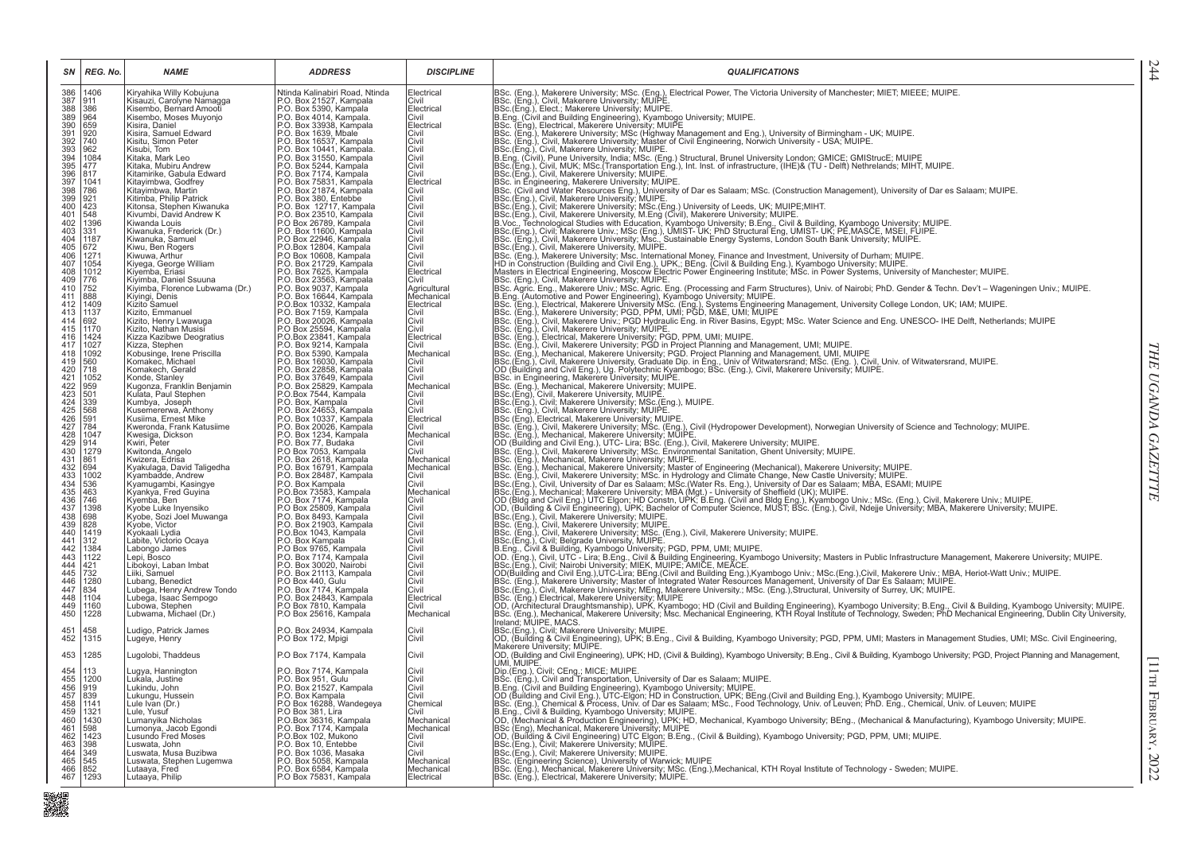| SN                                                                                         | REG. No.                                    | <b>NAME</b>                                           | <b>ADDRESS</b>                                                                                                                                                                                                                               | <b>DISCIPLINE</b>        | <b>QUALIFICATIONS</b>                                                                                                                                                                                                                      |
|--------------------------------------------------------------------------------------------|---------------------------------------------|-------------------------------------------------------|----------------------------------------------------------------------------------------------------------------------------------------------------------------------------------------------------------------------------------------------|--------------------------|--------------------------------------------------------------------------------------------------------------------------------------------------------------------------------------------------------------------------------------------|
| 386<br>387<br>388<br>389<br>390<br>391<br>392<br>393                                       | 1406<br>911                                 | Kiryahika Willy Kobujuna<br>Kisauzi, Carolyne Namagga | Ntinda Kalinabiri Road, Ntinda<br>P.O. Box 21527, Kampala                                                                                                                                                                                    | Electrical<br>Civil      | BSc. (Eng.), Makerere University; MSc. (Eng.), Electrical Power, The Victoria University of Manchester; MIET; MIEEE; MUIPE.<br>BSc. (Eng.), Civil, Makerere University; MUIPE.<br>BSc. (Eng.), Elect.; Makerere University; MUIPE.         |
|                                                                                            | 386                                         | Kisembo, Bernard Amooti                               | P.O. Box 5390, Kampala                                                                                                                                                                                                                       | Electrical               |                                                                                                                                                                                                                                            |
|                                                                                            | $\begin{array}{r} 964 \\ 659 \end{array}$   | Kisembo, Moses Muyonjo<br>Kisira, Daniel              | P.O. Box 4014, Kampala.<br>P.O. Box 33938, Kampala.                                                                                                                                                                                          | Civil<br>Electrical      |                                                                                                                                                                                                                                            |
|                                                                                            | 920                                         | Kisira, Samuel Edward                                 |                                                                                                                                                                                                                                              | Civil                    |                                                                                                                                                                                                                                            |
|                                                                                            | $\begin{vmatrix} 740 \\ 962 \end{vmatrix}$  | Kisitu, Simon Peter                                   |                                                                                                                                                                                                                                              | Civil                    | BSc. (Eng.), Makerere University; MSc (Highway Management and Eng.), University of Birmingham - UK; MUIPE.<br>BSc. (Eng.), Civil, Makerere University; MSc (Highway Management and Eng.), University - USA; MUIPE.<br>BSc.(Eng.), Ci       |
|                                                                                            |                                             | Kisubi, Tom<br>Kitaka, Mark Leo                       |                                                                                                                                                                                                                                              | Civil<br>Civil           |                                                                                                                                                                                                                                            |
|                                                                                            | 1084<br>477<br>817                          | Kitaka, Mubiru Andrew                                 |                                                                                                                                                                                                                                              | Civil                    | B.Eng. (Civil), Punc University, India, MSc. (Eng.) Structural, Brunel University London; GMICE; GMIStrucE; MUIPE<br> B.Eng. (Civil), Punc University, India, MSc. (Eng.) Structural, Brunel University London; GMICE; GMIStrucE           |
| 394<br>395<br>396<br>397<br>398<br>399                                                     | 1041                                        | Kitamirike, Gabula Edward<br>Kitayimbwa, Godfrey      | P.O. Box 33938, Kampala<br>P.O. Box 16337, Kampala<br>P.O. Box 16537, Kampala<br>P.O. Box 31550, Kampala<br>P.O. Box 5244, Kampala<br>P.O. Box 7174, Kampala<br>P.O. Box 75831, Kampala<br>P.O. Box 75831, Kampala<br>P.O. Box 3830, Entebbe | Civil<br>Electrical      |                                                                                                                                                                                                                                            |
|                                                                                            |                                             | Kitayimbwa, Martin                                    |                                                                                                                                                                                                                                              | <b>Civil</b>             | IBSc. in Engineering, Makerere University: MUIPE.<br>IBSc. in Engineering, Makerere University: MUIPE.<br>IBSc. (Civil and Water Resources Eng.), University of Dar es Salaam; MSc. (Construction Management), University of Dar es        |
|                                                                                            | 786<br>921                                  | Kitimba, Philip Patrick                               |                                                                                                                                                                                                                                              | Civil                    |                                                                                                                                                                                                                                            |
| $\frac{400}{401}$                                                                          | $\frac{423}{548}$                           | Kitonsa, Stephen Kiwanuka<br>Kivumbi, David Andrew K  | P.O. Box 12717, Kampala<br>P.O. Box 23510, Kampala                                                                                                                                                                                           | Civil<br>Civil           |                                                                                                                                                                                                                                            |
| 402                                                                                        | 1396                                        | Kiwanda Louis                                         |                                                                                                                                                                                                                                              | Civil                    |                                                                                                                                                                                                                                            |
| 403<br>403<br>404<br>405<br>406<br>407                                                     | $331$<br>1187                               | Kiwanuka, Frederick (Dr.)                             | P.O. Box 26789, Kampala<br>P.O. Box 11600, Kampala<br>P.O. Box 22946, Kampala                                                                                                                                                                | Civil                    | BSC. (Erig.), Civil, Makerere University, MOP-E.<br>BSC. (Erig.), Civil, Makerere University, MSC. (Erig.) University of Leeds, UK; MUIPE;MIHT.<br>BSC. (Erig.), Civil, Makerere University, M.Eng (Civil), Makerere University; M         |
|                                                                                            |                                             | Kiwanuka, Samuel<br>Kiwu, Ben Rogers                  |                                                                                                                                                                                                                                              | Civil<br>Civil           |                                                                                                                                                                                                                                            |
|                                                                                            | 672<br>1271<br>1054                         | Kiwuwa, Arthur                                        | P.O.Box 12804, Kampala<br>P.O.Box 10608, Kampala<br>P.O. Box 21729, Kampala                                                                                                                                                                  | Civil                    |                                                                                                                                                                                                                                            |
|                                                                                            |                                             | Kiyega, George William<br>Kiyemba, Eriasi             |                                                                                                                                                                                                                                              | Civil<br>Electrical      |                                                                                                                                                                                                                                            |
| 408<br>409<br>410                                                                          | $\frac{1012}{776}$                          | Kiyimba, Daniel Ssuuna                                | P.O. Box 7625, Kampala<br>P.O. Box 23563, Kampala<br>P.O. Box 9037, Kampala                                                                                                                                                                  | Civil                    |                                                                                                                                                                                                                                            |
|                                                                                            | 752                                         | Kiyimba, Florence Lubwama (Dr.)                       |                                                                                                                                                                                                                                              | Agricultural             |                                                                                                                                                                                                                                            |
| $\frac{411}{412}$                                                                          | 888<br>1409                                 | Kiyingi, Denis<br>Kizito Samuel                       | P.O. Box 16644, Kampala<br>P.O.Box 10332, Kampala                                                                                                                                                                                            | Mechanical<br>Electrical |                                                                                                                                                                                                                                            |
| 413 1137                                                                                   |                                             | Kizito, Emmanuel                                      | P.O. Box 7159, Kampala                                                                                                                                                                                                                       | Civil                    |                                                                                                                                                                                                                                            |
| 414 692<br>415 1170<br>416 1424                                                            |                                             | Kizito, Henry Lwawuga<br>Kizito, Nathan Musisi        | P.O. Box 7133, Rampala<br>P.O. Box 20026, Kampala<br>P.O.Box 23841, Kampala                                                                                                                                                                  | Civil<br>Civil           |                                                                                                                                                                                                                                            |
|                                                                                            |                                             | Kizza Kazibwe Deogratius                              |                                                                                                                                                                                                                                              | Electrical               |                                                                                                                                                                                                                                            |
| 417                                                                                        | 1027                                        | Kizza, Stephen                                        | P.O. Box 9214, Kampala<br>P.O. Box 5390, Kampala<br>P.O. Box 16030, Kampala                                                                                                                                                                  | Civil                    |                                                                                                                                                                                                                                            |
| 418<br>419                                                                                 | 1092<br>560                                 | Kobusinge, Irene Priscilla<br>Komakec, Michael        |                                                                                                                                                                                                                                              | Mechanical<br>Civil      |                                                                                                                                                                                                                                            |
|                                                                                            | 718                                         | Komakech, Gerald                                      | P.O. Box 22858, Kampala                                                                                                                                                                                                                      | Civil                    |                                                                                                                                                                                                                                            |
|                                                                                            | 1052<br>959                                 | Konde, Stanley<br>Kugonza, Franklin Benjamin          | P.O. Box 37649, Kampala<br>P.O. Box 25829, Kampala<br>P.O.Box 7544, Kampala                                                                                                                                                                  | Civil<br>Mechanical      |                                                                                                                                                                                                                                            |
|                                                                                            | $\frac{501}{339}$                           | Kulata, Paul Stephen                                  |                                                                                                                                                                                                                                              | Civil                    |                                                                                                                                                                                                                                            |
|                                                                                            | 568                                         | Kumbya, Joseph                                        | P.O. Box, Kampala                                                                                                                                                                                                                            | Civil<br>Civil           |                                                                                                                                                                                                                                            |
|                                                                                            |                                             | Kusemererwa, Anthony<br>Kusiima, Ernest Mike          | P.O. Box 24653, Kampala<br>P.O. Box 10337, Kampala                                                                                                                                                                                           | Electrical               |                                                                                                                                                                                                                                            |
| $\begin{array}{c} 420 \\ 421 \\ 422 \\ 423 \\ 424 \\ 425 \\ 426 \\ 427 \\ 428 \end{array}$ | 591<br>784                                  | Kweronda, Frank Katusiime                             | P.O. Box 20026, Kampala<br>P.O. Box 1234, Kampala<br>P.O. Box 77, Budaka                                                                                                                                                                     | Civil                    | inaction, the measure of the measure of the control of the measure of the measure of the control of the state of the state of the state of the state of the state of the state of the state of the state of the state of the s             |
|                                                                                            | 1047<br>914                                 | Kwesiga, Dickson<br>Kwiri, Peter                      |                                                                                                                                                                                                                                              | Mechanical<br>Civil      |                                                                                                                                                                                                                                            |
| $429$<br>$430$<br>$431$                                                                    | 1279                                        | Kwitonda, Angelo                                      | P.O Box 7053, Kampala<br>P.O. Box 2618, Kampala                                                                                                                                                                                              | Civil                    |                                                                                                                                                                                                                                            |
|                                                                                            | 861<br>694                                  | Kwizera, Edrisa<br>Kyakulaga, David Taligedha         | P.O. Box 16791, Kampala                                                                                                                                                                                                                      | Mechanical<br>Mechanical |                                                                                                                                                                                                                                            |
|                                                                                            |                                             | Kyambadde, Andrew                                     |                                                                                                                                                                                                                                              | Civil                    |                                                                                                                                                                                                                                            |
| $432$<br>$433$<br>$434$<br>$435$<br>$436$<br>$437$                                         | 1002<br>536                                 | Kyamugambi, Kasingye                                  | P.O. Box 18487, Kampala<br>P.O. Box Kampala<br>P.O. Box Kampala<br>P.O. Box 7174, Kampala<br>P.O. Box 7174, Kampala<br>P.O. Box 2493, Kampala<br>P.O. Box 2493, Kampala<br>P.O. Box 2493, Kampala<br>P.O. Box 2193, Kampala                  | Civil                    |                                                                                                                                                                                                                                            |
|                                                                                            | 463<br>746                                  | Kyankya, Fred Guyina<br>Kyemba, Ben                   |                                                                                                                                                                                                                                              | Mechanical<br>Civil      |                                                                                                                                                                                                                                            |
|                                                                                            | 1398                                        | Kyobe Luke Inyensiko                                  |                                                                                                                                                                                                                                              | Civil                    |                                                                                                                                                                                                                                            |
|                                                                                            | 698                                         | Kyobe, Sozi Joel Muwanga<br>Kyobe, Victor             |                                                                                                                                                                                                                                              | Civil                    |                                                                                                                                                                                                                                            |
| 438<br>439<br>440                                                                          | 828<br>1419                                 | Kyokaali Lydia                                        | P.O.Box 1043, Kampala                                                                                                                                                                                                                        | Civil<br>Civil           |                                                                                                                                                                                                                                            |
|                                                                                            | 312                                         | Labite, Victorio Ocaya                                |                                                                                                                                                                                                                                              | Civil                    |                                                                                                                                                                                                                                            |
| $441$<br>$442$<br>$443$                                                                    | $\begin{array}{r} 1384 \\ 1122 \end{array}$ | Labongo James<br>Lepi, Bosco                          | P.O.Box Kampala<br>P.O.Box 9765, Kampala<br>P.O.Box 7174, Kampala<br>P.O.Box 30020, Nairobi<br>P.O.Box 21113, Kampala                                                                                                                        | Civil<br>Civil           |                                                                                                                                                                                                                                            |
|                                                                                            | $\frac{421}{732}$                           | Libokoyi, Laban Imbat                                 |                                                                                                                                                                                                                                              | Civil                    |                                                                                                                                                                                                                                            |
| $\frac{444}{445}$<br>446                                                                   | 1280                                        | Liiki, Samuel<br>Lubang, Benedict                     | P.O Box 440, Gulu                                                                                                                                                                                                                            | Civil<br>Civil           | BSC. (Eng.), Civil, Marketie University, MUPE.<br>B. C. (Eng.), Civil, Marketie University, MUPE.<br>OD. (Eng.), Civil, Neprade University, MUPE.<br>OD. (Eng.), Civil, UTC - Lira; B.Eng., Civil & Building Engineering, Kyambogo Univ    |
| $\frac{447}{448}$                                                                          | 834                                         | Lubega, Henry Andrew Tondo                            | P.O. Box 7174, Kampala<br>P.O. Box 24843, Kampala                                                                                                                                                                                            | Civil                    |                                                                                                                                                                                                                                            |
| 449                                                                                        | 1104<br>1160                                | Lubega, Isaac Sempogo<br>Lubowa, Stephen              | P.O Box 7810, Kampala                                                                                                                                                                                                                        | Electrical<br>Civil      | BSC. (Eng.), waketere University, Mater of Integrated Water resources wanagement, University of Dar Es Satatam, woll-resp.<br>BSC. (Eng.), Civil, Makerere University; MEng. Makerere University; MSC. (Eng.),Structural, Univers          |
| 450                                                                                        | 1228                                        | Lubwama, Michael (Dr.)                                | P.O Box 25616, Kampala                                                                                                                                                                                                                       | Mechanical               |                                                                                                                                                                                                                                            |
|                                                                                            |                                             |                                                       |                                                                                                                                                                                                                                              |                          |                                                                                                                                                                                                                                            |
| 451<br>452                                                                                 | 458<br>1315                                 | Ludigo, Patrick James<br>Lugeye, Henry                | P.O. Box 24934, Kampala<br>P.O Box 172, Mpigi                                                                                                                                                                                                | Civil<br>Civil           | BSc.(Eng.), Civil; Makerere University; MUIPE.<br>OD, (Building & Civil Engineering), UPK; B.Eng., Civil & Building, Kyambogo University; PGD, PPM, UMI; Masters in Management Studies, UMI; MSc. Civil Engineering,                       |
|                                                                                            |                                             |                                                       |                                                                                                                                                                                                                                              |                          | Makerere University; MUIPE.                                                                                                                                                                                                                |
| 453                                                                                        | 1285                                        | Lugolobi, Thaddeus                                    | P.O Box 7174, Kampala                                                                                                                                                                                                                        | Civil                    | OD, (Building and Civil Engineering), UPK; HD, (Civil & Building), Kyambogo University; B.Eng., Civil & Building, Kyambogo University; PGD, Project Planning and Management,<br>UMI, MUIPE                                                 |
| 454<br>455<br>456<br>457                                                                   | 113<br>1200                                 | Lugya, Hannington<br>Lukala, Justine                  | P.O. Box 7174, Kampala<br>P.O. Box 951, Gulu                                                                                                                                                                                                 | Civil<br>Civil           | UMI, MUIPE.<br>BC, (Eng.), Civil: CEng.; MICE; MUIPE.<br>BSc. (Eng.), Civil: and Transportation, University of Dar es Salaam; MUIPE.<br>B.Eng. (Civil and Building Engineering), Kyambogo University; MUIPE.<br>B.Eng. (Civil and Building |
|                                                                                            | 919                                         | Lukindu, John                                         | P.O. Box 21527, Kampala                                                                                                                                                                                                                      | Civil                    |                                                                                                                                                                                                                                            |
|                                                                                            | 839                                         | Lukungu, Hussein                                      | P.O. Box Kampala                                                                                                                                                                                                                             | Civil                    |                                                                                                                                                                                                                                            |
|                                                                                            | 1141<br>1321                                | Lule Ivan (Dr.)<br>Lule, Yusuf                        | P.O Box 16288, Wandegeya<br>P.O Box 381, Lira                                                                                                                                                                                                | Chemical<br>Civil        |                                                                                                                                                                                                                                            |
|                                                                                            | 1430                                        | Lumanyika Nicholas                                    | P.O.Box 36316, Kampala<br>P.O.Box 7174, Kampala<br>P.O.Box 102, Mukono<br>P.O.Box 10, Entebbe                                                                                                                                                | Mechanical               |                                                                                                                                                                                                                                            |
|                                                                                            | 598<br>1423                                 | Lumonya, Jacob Egondi<br>Lusundo Fred Moses           |                                                                                                                                                                                                                                              | Mechanical<br>Civil      |                                                                                                                                                                                                                                            |
|                                                                                            | 398                                         | Luswata, John                                         |                                                                                                                                                                                                                                              | Civil                    |                                                                                                                                                                                                                                            |
| 458<br>459<br>461<br>462<br>463<br>465                                                     | 349<br>545                                  | Luswata, Musa Buzibwa<br>Luswata, Stephen Lugemwa     | P.O. Box 1036, Masaka<br>P.O. Box 5058, Kampala                                                                                                                                                                                              | Civil<br>Mechanical      |                                                                                                                                                                                                                                            |
| 466                                                                                        | 852                                         | Lutaaya, Fred                                         | P.O. Box 6584, Kampala                                                                                                                                                                                                                       | Mechanical               | IBSc. (Eigyn erning Science) University in Warwick; MUIPE<br>IBSc. (Engineering Science), University of Warwick; MUIPE<br>IBSc. (Eng.), Mechanical, Makerere University; MSc. (Eng.),Mechanical, KTH Royal Institute of Technology -       |
| 467                                                                                        | 1293                                        | Lutaaya, Philip                                       | P.O Box 75831, Kampala                                                                                                                                                                                                                       | Electrical               |                                                                                                                                                                                                                                            |

244

■<br>職業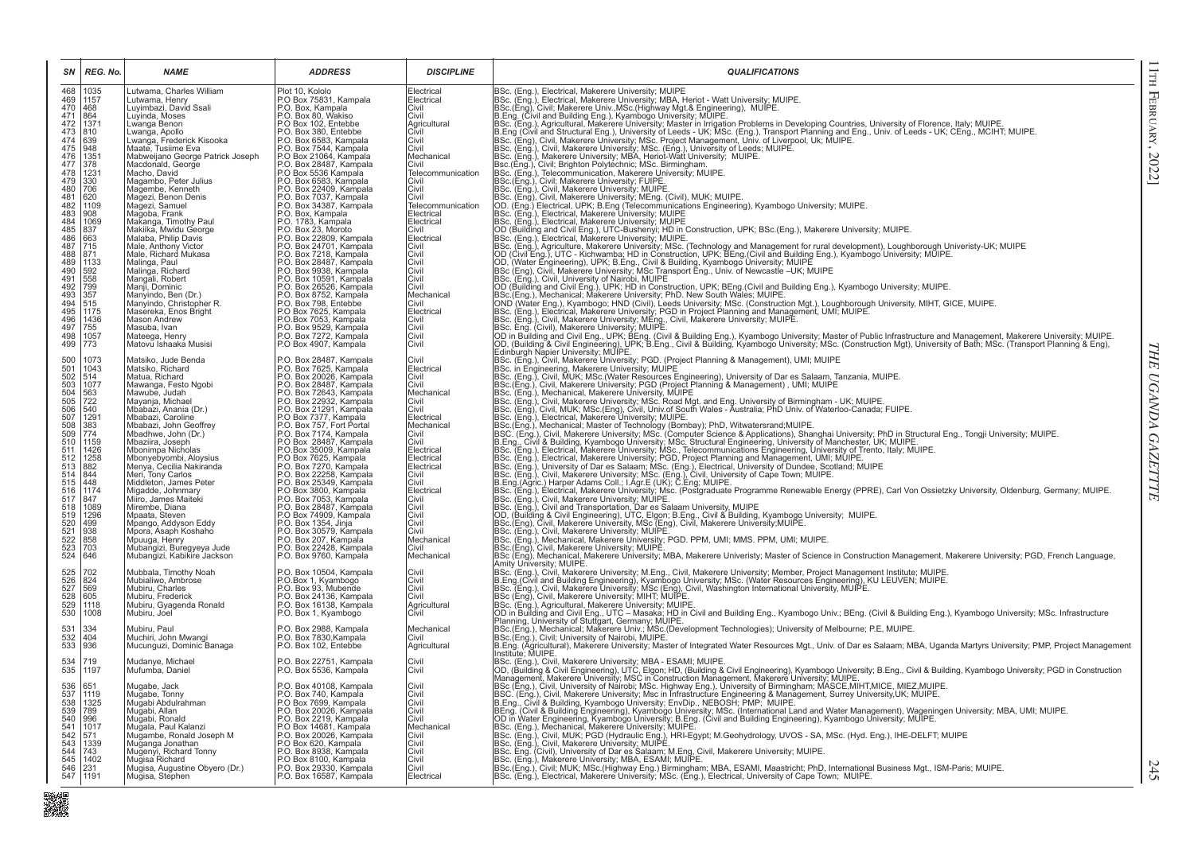| SN                                     | REG. No.                           | <b>NAME</b>                                                                              | <b>ADDRESS</b>                                                                                                                                              | <b>DISCIPLINE</b>                          | <b>QUALIFICATIONS</b>                                                                                                                                                                                                                       |
|----------------------------------------|------------------------------------|------------------------------------------------------------------------------------------|-------------------------------------------------------------------------------------------------------------------------------------------------------------|--------------------------------------------|---------------------------------------------------------------------------------------------------------------------------------------------------------------------------------------------------------------------------------------------|
| 468<br>469<br>470<br>$\frac{471}{472}$ | 1035<br>1157<br>468<br>864<br>1371 | utwama, Charles William<br>Lutwama, Henry<br>Luyimbazi, David Ssali<br>Luyinda, Moses    | Plot 10, Kololo<br>P.O Box 75831, Kampala<br>P.O. Box, Kampala                                                                                              | Electrical<br>Electrical<br>Civil<br>Civil | 806: (Eng.), Electrical, Makerere University: MUPE<br>806: (Eng.), Electrical, Makerere University: MUPE<br>806: (Eng.), Civil, Makerere University: MS, New Stephen (Washington Mup)<br>1966: (Eng.), Civil, Makerere University: M        |
| $\frac{473}{474}$                      | 810<br>639                         | Lwanga Benon<br>Lwanga, Apollo<br>Lwanga, Frederick Kisooka                              | P.O. Box 80, Wakiso<br>P.O. Box 102, Entebbe<br>P.O. Box 380, Entebbe<br>P.O. Box 6583, Kampala                                                             | Agricultural<br>Civil<br>Civil             |                                                                                                                                                                                                                                             |
| $\frac{476}{477}$                      | 948<br>1351<br>378                 | Maate, Tusiime Eva<br>Mabweijano George Patrick Joseph<br>Macdonald, George              | P.O. Box 7544, Kampala<br>P.O. Box 21064, Kampala<br>P.O. Box 28487, Kampala<br>P.O. Box 5536 Kampala                                                       | Civil<br>Mechanical<br>Civil               |                                                                                                                                                                                                                                             |
| $\frac{479}{480}$                      | 1231<br>330<br>706                 | Macho, David<br>Magambo, Peter Julius<br>Magembe, Kenneth                                | P.O. Box 6583, Kampala<br>P.O. Box 6583, Kampala                                                                                                            | Telecommunication<br>Civil<br>Civil        |                                                                                                                                                                                                                                             |
| 481<br>$\frac{482}{483}$<br>483        | 620<br>1109<br>908                 | Mağezi, Benon Denis<br>Magezi, Samuel<br>Magoba, Frank                                   | P.O. Box 7037, Kampala<br>P.O. Box 34387, Kampala<br>P.O. Box, Kampala                                                                                      | Civil<br>Telecommunication<br>Electrical   |                                                                                                                                                                                                                                             |
| 485<br>486                             | 1069<br>837<br>663                 | Makanga, Timothy Paul<br>Makiika, Mwidu George<br>Malaba, Philip Davis                   | P.O. 1783, Kampala<br>P.O. Box 23, Moroto<br>P.O. Box 22809, Kampala                                                                                        | Electrical<br>Civil<br>Electrical          |                                                                                                                                                                                                                                             |
| 487<br>488<br>489                      | $\frac{715}{871}$<br>1133          | Male, Anthony Victor<br>Male, Richard Mukasa<br>Malinga, Paul                            | P.O. Box 24701, Kampala<br>P.O. Box 7218, Kampala<br>P.O. Box 28487, Kampala                                                                                | Civil<br>Civil<br>Civil                    |                                                                                                                                                                                                                                             |
| 490<br>491<br>492                      | $\frac{592}{558}$<br>799           | Malinga, Richard<br>Mangali, Robert<br>Manji, Dominic                                    | P.O. Box 9938, Kampala<br>P.O. Box 9938, Kampala<br>P.O. Box 26526, Kampala                                                                                 | Civil<br>Civil<br>Civil                    |                                                                                                                                                                                                                                             |
| $\frac{493}{494}$<br>495               | 357<br>515<br>1175                 | Manyindo, Ben (Dr.)<br>Manyindo, Christopher R.<br>Maséreka, Enos Bright                 | P.O. Box 2052, Kampala<br>P.O. Box 798, Entebbe<br>P.O Box 7625, Kampala                                                                                    | Mechanical<br>Civil<br>Electrical          |                                                                                                                                                                                                                                             |
| 496<br>497<br>498                      | 1436<br>755<br>1057                | <b>Mason Andrew</b><br>Masuba, Ivan<br>Mateega, Henry<br>Matovu Ishaaka Musisi           | P.O.Box 7053, Kampala<br>P.O. Box 9529, Kampala                                                                                                             | Civil<br>Civil<br>Civil                    |                                                                                                                                                                                                                                             |
| 499                                    | 773<br>1073                        | Matsiko, Jude Benda<br>Matsiko, Richard                                                  | P.O Box 4907, Kampala<br>P.O. Box 28487, Kampala<br>P.O. Box 7625, Kampala                                                                                  | Civil<br>Civil                             |                                                                                                                                                                                                                                             |
| 500<br>501<br>502                      | 1043<br>514<br>1077                | Matua, Richard<br>Mawanga, Festo Ngobi                                                   | P.O. Box 20026, Kampala<br>P.O. Box 28487, Kampala<br>P.O. Box 72643, Kampala                                                                               | Electrical<br>Civil<br>Civil               | Edinburgh Naper University; MUIPE.<br>ESC. (Eng.), Civil, Makerere University; PGD. (Project Planning & Management), UMI; MUIPE<br>BSc. in Engineering, Makerere University; MUIPE.<br>BSc. (Eng.), Civil, MUKK; MSc. (Water Resourc        |
| 503<br>504<br>505<br>506<br>507        | 563<br>722<br>540                  | Mawube, Judah<br>Mayanja, Michael<br>Mbabazi, Anania (Dr.)                               | P.O. Box 22932, Kampala<br>P.O. Box 21291, Kampala<br>P.O. Box 7377, Kampala                                                                                | Mechanical<br>Civil<br>Civil               |                                                                                                                                                                                                                                             |
| 508<br>509<br>510                      | 1291<br>383<br>774<br>1159         | Mbabazi, Caroline<br>Mbabazi, John Geoffrey<br>Mbadhwe, John (Dr.)<br>Mbaziira, Joseph   | P.O. Box 757, Fort Portal<br>P.O. Box 7174, Kampala<br>P.O Box 28487, Kampala                                                                               | Electrical<br>Mechanical<br>Civil<br>Civil |                                                                                                                                                                                                                                             |
| 511<br>512<br>513                      | 1426<br>1258<br>882                | Mbonimpa Nicholas<br>Mbonyebyombi, Aloysius<br>Menya, Cecilia Nakiranda                  | P.O.Box 35009, Kampala<br>P.O.Box 7625, Kampala<br>P.O. Box 7270, Kampala                                                                                   | Electrical<br>Electrical<br>Electrical     | BSc. (Eng.), Leietrical, Makerere University; MUIPE.<br>BSc. (Eng.), Leietrical, Makerere University; MUIPE.<br>BSC. (Eng.), Ocivil, Makerere University; MSc. (Computer Science & Applications), Shanghai University; PhD in Struct        |
| 514<br>515<br>516                      | 844<br>448<br>1174                 | Meri, Tony Carlos<br>Middleton, James Peter<br>Migadde, Johnmary                         | P.O. Box 22258, Kampala<br>P.O. Box 25349, Kampala<br>P.O. Box 3800, Kampala                                                                                | Civil<br>Civil<br>Electrical               |                                                                                                                                                                                                                                             |
| $\frac{517}{518}$<br>519               | 847<br>1089<br>1296                | Miiro, James Maiteki<br>Mirembe, Diana<br>Mpaata, Steven                                 |                                                                                                                                                             | <b>Civil</b><br>Civil<br>Civil             |                                                                                                                                                                                                                                             |
| 520<br>521<br>522<br>523<br>524        | 499<br>938<br>858                  | Mpango, Addyson Eddy<br>Mpora, Asaph Koshaho<br>Mpuuga, Henry                            | P.O. Box 3000, Nampala<br>P.O. Box 28487, Kampala<br>P.O. Box 28487, Kampala<br>P.O. Box 30579, Kampala<br>P.O. Box 30579, Kampala<br>P.O. Box 207, Kampala | Civil<br>Civil<br>Mechanical               | post, (eng.), Electrical, Makerere University; Msc. (Postgraduate Programme Renewable Energy (PPRE)<br>BSc. (Eng.), Civil, Makerere University; MUIPE.<br>BSc. (Eng.), Civil, Makerere University; MUIPE,<br>OD, (Building & Civil E        |
|                                        | 703<br>646                         | Mubangizi, Buregyeya Jude<br>Mubangizi, Kabikire Jackson                                 | P.O. Box 22428, Kampala<br>P.O. Box 9760, Kampala                                                                                                           | Civil<br>Mechanical                        | BSc.(Eng), Civil, Makerere University; MUIPE.<br>BSc (Eng), Mechanical, Makerere University; MBA, Makerere Univeristy; Master of Science in Construction Management, Makerere University; PGD, French Language,<br>Amity University; MUIPE. |
| 525<br>526                             | 702<br>824<br>569                  | Mubbala, Timothy Noah<br>Mubialiwo, Ambrose<br>Mubiru, Charles                           | P.O. Box 10504, Kampala<br>P.O.Box 1, Kyambogo<br>P.O. Box 93, Mubende                                                                                      | Civil<br>Civil<br>Civil                    |                                                                                                                                                                                                                                             |
| 527<br>528<br>529<br>530               | 605<br>1118<br>1008                | Mubiru, Frederick<br>Mubiru, Gyagenda Ronald<br>Mubiru, Joel                             | P.O. Box 24136, Kampala<br>P.O. Box 16138, Kampala<br>P.O. Box 1, Kyambogo                                                                                  | Civil<br>Agricultural<br>Civil             | JAMIN' University; MUIPE.<br>B.C. (Eng.), Civil, Makerere University; M.Eng., Civil, Makerere University; Member, Project Management Institute; MUIPE.<br>B.C. (Eng.), Civil, Makerere University; MSC (Eng), Civil, Washington I           |
| 531<br>532<br>533                      | 334<br>404<br>936                  | Mubiru, Paul<br>Muchiri, John Mwangi<br>Mucunguzi, Dominic Banaga                        | P.O. Box 2988, Kampala<br>P.O. Box 7830, Kampala<br>P.O. Box 102, Entebbe                                                                                   | Mechanical<br>Civil<br>Agricultural        | BSc.(Eng.), Civil; University of Nairobi, MUIPE.<br>B.Eng. (Agricultural), Makerere University; Master of Integrated Water Resources Mgt., Univ. of Dar es Salaam; MBA, Uganda Martyrs University; PMP, Project Management                  |
| 534<br>535                             | 719<br>1197                        | Mudanye, Michael<br>Mufumba, Daniel                                                      | P.O. Box 22751, Kampala<br>P.O. Box 5536, Kampala                                                                                                           | Civil<br>Civil                             | Institute; MUIPE.                                                                                                                                                                                                                           |
| 536<br>537<br>538<br>539               | 651<br>1119                        | Mugabe, Jack<br>Mugabe, Tonny                                                            | P.O. Box 40108, Kampala<br>P.O. Box 740, Kampala                                                                                                            | Civil<br>Civil                             | Institute; MUIPE.<br>Institute; MUIPE.<br>IDSC. (Eng.), Civil, Makerere University; MBA - ESAMI; MUIPE.<br>OD, (Building & Civil Engineering), UTC, Eigon; HD, (Building & Civil Engineering), Kyambogo University; B.Eng., Civil & Bui     |
|                                        | 1325<br>789<br>996                 | Muğabi Abdulrahman<br>Mugabi, Allan<br>Mugabi, Ronald                                    | P.O Box 7699, Kampala<br>P.O. Box 20026, Kampala<br>P.O. Box 2219, Kampala<br>P.O Box 14681, Kampala                                                        | Civil<br>Civil<br>Civil                    |                                                                                                                                                                                                                                             |
| 540<br>541<br>542                      | 1017<br>571<br>1339                | Mugala, Paul Kalanzi<br>Mugambe, Ronald Joseph M<br>Muganga Jonathan<br>Muganga Jonathan | P.O. Box 20026, Kampala<br>P.O. Box 620, Kampala<br>P.O. Box 8938, Kampala                                                                                  | Mechanical<br>Civil<br>Civil               |                                                                                                                                                                                                                                             |
| 543<br>544<br>545<br>546<br>547        | 743<br>1402<br>231<br>1191         | Mugisa Richard<br>Mugisa, Augustine Obyero (Dr.)<br>Mugisa, Stephen                      | P.O Box 8100, Kampala<br>P.O. Box 29330, Kampala<br>P.O. Box 16587, Kampala                                                                                 | Civil<br>Civil<br>Civil<br>Electrical      |                                                                                                                                                                                                                                             |

11th February, 2022]

 $11\text{TH}$  FEBRUARY, 2022]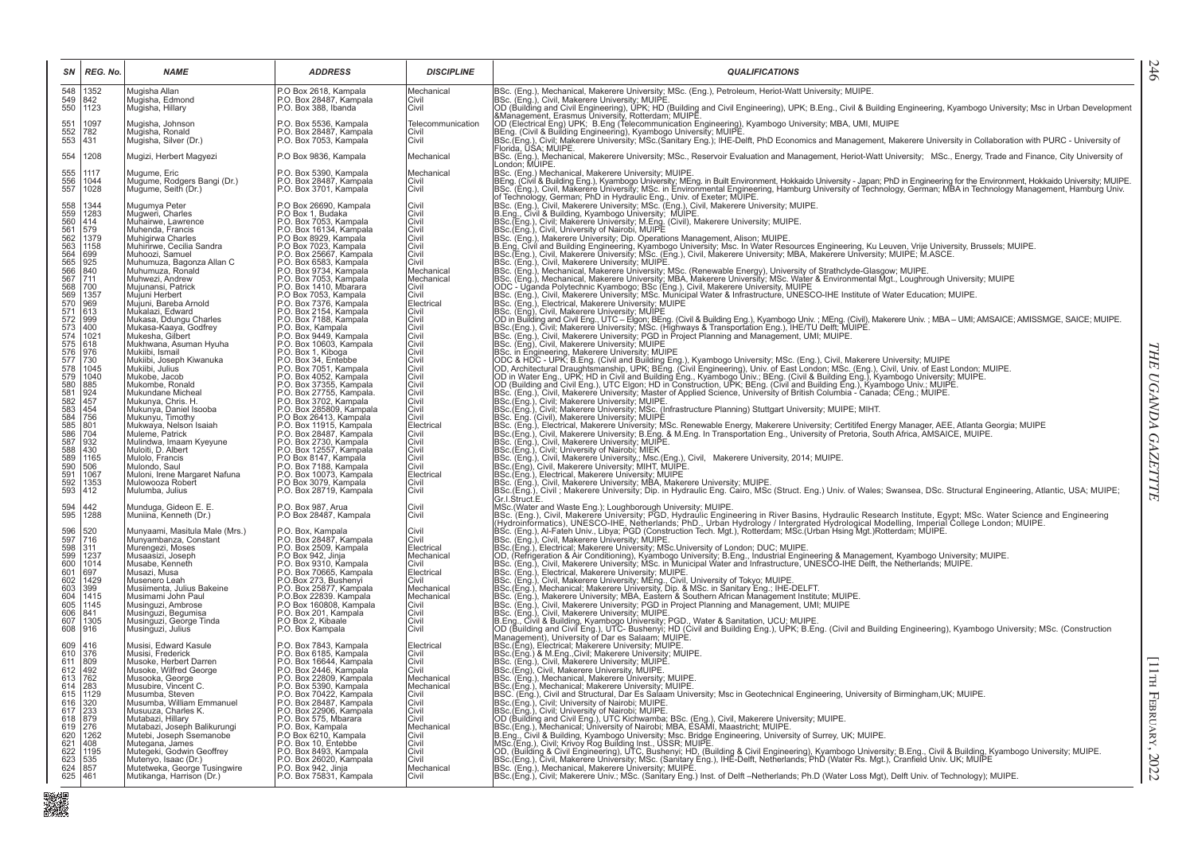| SN                              | REG. No.            | <b>NAME</b>                                             | <b>ADDRESS</b>                                                                 | <b>DISCIPLINE</b>            | <b>QUALIFICATIONS</b>                                                                                                                                                                                                                   |
|---------------------------------|---------------------|---------------------------------------------------------|--------------------------------------------------------------------------------|------------------------------|-----------------------------------------------------------------------------------------------------------------------------------------------------------------------------------------------------------------------------------------|
| 548<br>$\frac{549}{550}$        | 1352<br>842<br>1123 | Mugisha Allan<br>Muğisha, Edmond<br>Mugisha, Hillary    | P.O Box 2618, Kampala<br>P.O. Box 28487, Kampala<br>P.O. Box 388, Ibanda       | Mechanical<br>Civil<br>Civil | BSc. (Eng.), Mechanical, Makerere University; MSc. (Eng.), Petroleum, Heriot-Watt University; MUIPE.<br>BSc. (Eng.), Civil, Makerere University; MUIPE.<br>OD (Building and Civil Engineering), UPK; HD (Building and Civil Engineer    |
|                                 |                     |                                                         |                                                                                |                              |                                                                                                                                                                                                                                         |
| 551                             | 1097<br>782         | Mugisha, Johnson<br>Mugisha, Ronald                     | P.O. Box 5536, Kampala<br>P.O. Box 28487, Kampala                              | Telecommunication<br>Civil   |                                                                                                                                                                                                                                         |
| $\frac{552}{553}$               | 431                 | Mugisha, Silver (Dr.)                                   | P.O. Box 7053, Kampala                                                         | Civil                        | BENG. (Civil & Building Engineering), Kyambogo University: MUIPE:<br>BSc. (Eng.), Civil: Makerere University; MSc.(Sanitary Eng.); IHE-Delft, PhD Economics and Management, Makerere University in Collaboration with PURC - Univ       |
| 554                             | 1208                | Mugizi, Herbert Magyezi                                 | P.O Box 9836, Kampala                                                          | Mechanical                   | BSc. (Eng.), Mechanical, Makerere University; MSc., Reservoir Evaluation and Management, Heriot-Watt University; MSc., Energy, Trade and Finance, City University of<br> London; MUIPE.                                                 |
| 555                             | 1117<br>1044        | Mugume, Eric                                            | P.O. Box 5390, Kampala<br>P.O. Box 28487, Kampala                              | Mechanical<br>Civil          | BSc. (Eng.) Mechanical, Makerere University; MUIPE.                                                                                                                                                                                     |
| 556<br>557                      | 1028                | Mugume, Rodgers Bangi (Dr.)<br>Mugume, Seith (Dr.)      | P.O. Box 3701, Kampala                                                         | Civil                        | Berg. (Civil & Building Eng.), Kyambere University; MCnr<br>E. (Eng.), Interventional, water environment in Built Environment, Hokkaido University - Japan; PhD in Engineering for the Environment, Hokkaido University; MUIPE.<br>B    |
|                                 | 1344<br>1283        | Mugumya Peter<br>Mugweri, Charles                       | P.O Box 26690, Kampala<br>P.O Box 1, Budaka                                    | Civil<br>Civil               |                                                                                                                                                                                                                                         |
|                                 | 414                 | Muhairwe, Lawrence                                      | P.O. Box 7053, Kampala                                                         | Civil                        |                                                                                                                                                                                                                                         |
|                                 | 579<br>1379         | Muhenda, Francis<br>Muhigirwa Charles                   | P.O. Box 16134, Kampala<br>P.O Box 8929, Kampala                               | Civil<br><b>Civil</b>        |                                                                                                                                                                                                                                         |
|                                 | 1158                | Muhirirwe, Cecilia Sandra                               | P.O Box 7023, Kampala                                                          | Civil                        |                                                                                                                                                                                                                                         |
|                                 | 699<br>925          | Muhoozi, Samuel                                         | P.O. Box 25667, Kampala<br>P.O. Box 6583, Kampala                              | Civil                        |                                                                                                                                                                                                                                         |
|                                 | 840                 | Muhumuza, Bagonza Allan C<br>Muhumuza, Ronald           | P.O. Box 9734, Kampala                                                         | Civil<br>Mechanical          |                                                                                                                                                                                                                                         |
|                                 | 711                 | Muhwezi, Andrew                                         | P.O. Box 7053, Kampala                                                         | Mechanical                   |                                                                                                                                                                                                                                         |
|                                 | 700                 | Mujunansi, Patrick                                      | P.O. Box 1410, Mbarara                                                         | Civil                        |                                                                                                                                                                                                                                         |
|                                 | 1357<br>969         | Mujuni Herbert<br>Mujuni, Bareba Arnold                 | P.O Box 7053, Kampala<br>P.O. Box 7376, Kampala                                | Civil<br>Electrical          |                                                                                                                                                                                                                                         |
|                                 | 613                 | Mukalazi, Edward                                        | P.O. Box 2154, Kampala                                                         | Civil                        |                                                                                                                                                                                                                                         |
|                                 | 999                 | Mukasa, Ddungu Charles                                  | P.O. Box 7188, Kampala                                                         | Civil                        | BSc. (Eng.), Civil: Makerere University; M.Eng. (Civil), Makerere University; MUIPE.<br>BSc. (Eng.), Civil, University of Nariobi, MUIPE (Sivil), Makerere University; MUIPE.<br>BSc. (Eng.), Makerere University of Nariobi, MUIPE<br> |
|                                 | 400<br>1021         | Mukasa-Kaaya, Godfrey<br>Mukesha, Gilbert               | P.O. Box, Kampala<br>P.O. Box 9449, Kampala                                    | Civil<br>Civil               |                                                                                                                                                                                                                                         |
|                                 | 618                 | Mukhwana, Asuman Hyuha                                  | P.O. Box 10603, Kampala                                                        | Civil                        | BSc. (Eng.), Civil, Makerere University; PGU in Project Planning and Management, UMI; MUIPE.<br>IBSc. (Eng.), Civil, Makerere University; MUIPE<br>BSc. in Engineering, Makerere University; MUIPE<br>ODC & HDC - UPK; BLEng. (Civil En |
|                                 | 976<br>730          | Mukiibi, Ismail<br>Mukiibi, Joseph Kiwanuka             | P.O. Box 34, Entebbe                                                           | Civil<br>Civil               |                                                                                                                                                                                                                                         |
|                                 | 1045                | Mukiibi, Julius                                         | P.O. Box 7051, Kampala                                                         | Civil                        |                                                                                                                                                                                                                                         |
|                                 | 1040<br>885         | Mukobe, Jacob<br>Mukombe, Ronald                        | P.O. Box 4052, Kampala<br>P.O. Box 37355, Kampala                              | Civil<br>Civil               |                                                                                                                                                                                                                                         |
|                                 | 924                 | Mukundane Micheal                                       | P.O. Box 27755, Kampala.                                                       | Civil                        |                                                                                                                                                                                                                                         |
|                                 | 457                 | Mukunya, Chris. H.                                      | P.O. Box 3702, Kampala<br>P.O. Box 285809, Kampala                             | Civil                        |                                                                                                                                                                                                                                         |
|                                 | 454                 | Mukunya, Daniel Isooba<br>Mukunyu, Timothy              |                                                                                | Civil<br>Civil               | BSc. (Eng.), Civil, Makerere University, MSc. (Infrastructure Planning) Stuttgart University, MUIPE, MIHT.<br>BSc. Eng. (Civil), Makerere University; MUIPE                                                                             |
|                                 | 756<br>801          | Mukwaya, Nelson Isaiah                                  | P.O. Box 200009; Rampala<br>P.O. Box 26413, Kampala<br>P.O. Box 28487, Kampala | Electrical                   | 1856. (Eng.), Electrical, Makerere University; MSc. Renewable Energy, Makerere University; Certitifed Energy Manager, AEE, Atlanta Georgia; MUIPE<br> BSc.(Eng.), Civil, Makerere University; B.Eng. & M.Eng. In Transportation E       |
|                                 | 704<br>932          | Mulemé, Patrick<br>Mulindwa, Imaam Kyeyune              | P.O. Box 2730, Kampala                                                         | Civil<br>Civil               |                                                                                                                                                                                                                                         |
|                                 | 430                 | Muloiti, D. Albert                                      | P.O. Box 12557, Kampala<br>P.O Box 8147, Kampala                               | Civil                        |                                                                                                                                                                                                                                         |
|                                 | 1165<br>506         | Mulolo, Francis                                         |                                                                                | Civil                        | IBSC.(Eng.), Civil, University of Nairobi; MIEK<br>IBSC.(Eng.), Civil, University of Nairobi; MIEK<br>IBSC. (Eng.), Civil, Makerere University; Msc.(Eng.), Civil, Makerere University, 2014; MUIPE.<br>IBSC.(Eng), Civil, Makerere Uni |
|                                 | 1067                | Mulondo, Saul<br>Muloni, Irene Margaret Nafuna          | P.O. Box 7188, Kampala<br>P.O. Box 10073, Kampala                              | Civil<br>Electrical          |                                                                                                                                                                                                                                         |
|                                 | 1353                | Mulowooza Robert                                        | P.O Box 3079, Kampala                                                          | Civil                        | BSc.(Eng.), Electrical, Makerere University; MUIPE<br> BSc.(Eng.), Clectrical, Makerere University; MUIPE<br> BSc.(Eng.), Civil ; Makerere University; MBA, Makerere University; MUIPE.<br> BSc.(Eng.), Civil ; Makerere University; D  |
|                                 | 412                 | Mulumba, Julius                                         | P.O. Box 28719, Kampala                                                        | Civil                        | Gr.I.Struct.E.                                                                                                                                                                                                                          |
| 594<br>595                      | 442<br>1288         | Munduga, Gideon E. E.<br>Muniina, Kenneth (Dr.)         | P.O. Box 987, Arua<br>P.O Box 28487, Kampala                                   | Civil<br>Civil               | MSc.(Water and Waste Eng.); Loughborough University; MUIPE.<br>INSc.(Water and Waste Eng.); Loughborough University; MUIPE.<br>IBSc. (Eng.), Civil, Makerere University; PGD, Hydraulic Engineering in River Basins, Hydraulic Resea    |
|                                 |                     |                                                         |                                                                                |                              |                                                                                                                                                                                                                                         |
| 596<br>597                      | 520<br>716          | Munyaami, Masitula Male (Mrs.)<br>Munyambanza, Constant | P.O. Box, Kampala<br>P.O. Box 28487, Kampala                                   | Civil<br>Civil               | Louri, Grandom (Control of the Million of the Control Christman (Control of the Christman of the Christman of the Christman (Hydroinom in the Christman of Hydroinom in the Christman (Hydroinom in the Christman of the Chris          |
| 598<br>599<br>600               | 311                 | Murengezi, Moses                                        | P.O. Box 2509, Kampala<br>P.O. Box 942, Jinja<br>P.O. Box 9310, Kampala        | Electrical                   | IBSC: (Eng.), Electrical: Makerere University, MSc.University of London; DUC; MUIPE.<br> OD. (Refrigeration & Air Conditioning), Kyambogo University; B.Eng., Industrial Engineering & Management, Kyambogo University; MUIPE.<br> O    |
|                                 | 1237<br>1014        | Musaasizi, Joseph<br>Musabe, Kenneth                    |                                                                                | Mechanical<br>Civil          |                                                                                                                                                                                                                                         |
| $\frac{601}{602}$               | 697<br>1429         | Musazi, Musa                                            | P.O. Box 70665, Kampala                                                        | Electrical                   |                                                                                                                                                                                                                                         |
|                                 |                     | Musenero Leah                                           | P.O.Box 273, Bushenyi                                                          | Civil                        |                                                                                                                                                                                                                                         |
| 603<br>604<br>605               | 399<br>1415         | Musiimenta, Julius Bakeine<br>Musimami John Paul        | P.O. Box 25877, Kampala<br>P.O.Box 22839. Kampala                              | Mechanical<br>Mechanical     | BSC. (Eng.), Civil, Makerere University, MC. in Municipal water and imitastucture, ONESCO-INE L<br>BSC. (Eng.), Electrical, Makerere University; MLIPE.<br>BSC. (Eng.), Civil, Makerere University; MEng., Civil, University of To      |
|                                 | 1145                | Musinguzi, Ambrose                                      | P.O Box 160808, Kampala                                                        | Civil                        |                                                                                                                                                                                                                                         |
| 606<br>607                      | 841<br>1305         | Musinguzi, Begumisa<br>Musinguzi, George Tinda          | P.O. Box 201, Kampala<br>P.O Box 2, Kibaale                                    | Civil<br><b>Civil</b>        |                                                                                                                                                                                                                                         |
| 608                             | 916                 | Musinguzi, Julius                                       | P.O. Box Kampala                                                               | Civil                        |                                                                                                                                                                                                                                         |
|                                 | 416                 | Musisi, Edward Kasule                                   | P.O. Box 7843, Kampala                                                         | Electrical                   |                                                                                                                                                                                                                                         |
| 609<br>610                      | 376                 | Musisi, Frederick                                       | P.O. Box 6185, Kampala                                                         | Civil                        |                                                                                                                                                                                                                                         |
|                                 | 809                 | Musoke, Herbert Darren                                  | P.O. Box 16644, Kampala<br>P.O. Box 2446, Kampala                              | Civil                        |                                                                                                                                                                                                                                         |
| $611$<br>$612$<br>$613$         | 492 <br>762         | Musoke, Wilfred George<br>Musooka, George               | P.O. Box 22809, Kampala                                                        | Civil<br>Mechanical          |                                                                                                                                                                                                                                         |
| 614<br>615<br>616               | 283                 | Musubire, Vincent C.                                    | P.O. Box 5390, Kampala<br>P.O. Box 70422, Kampala                              | Mechanical                   |                                                                                                                                                                                                                                         |
|                                 | 1129<br>320         | Musumba, Steven<br>Musumba, William Emmanuel            | P.O. Box 28487, Kampala                                                        | Civil<br>Civil               |                                                                                                                                                                                                                                         |
| 617                             | 233                 | Musuuza, Charles K.                                     | P.O. Box 22906, Kampala<br>P.O. Box 22906, Kampala                             | Civil                        |                                                                                                                                                                                                                                         |
| 618<br>619                      | 879<br>276          | Mutabazi, Hillary<br>Mutabazi, Joseph Balikurungi       | P.O. Box, Kampala                                                              | Civil<br>Mechanical          |                                                                                                                                                                                                                                         |
|                                 | 1262                | Mutebi, Joseph Ssemanobe                                | P.O Box 6210, Kampala                                                          | Civil                        |                                                                                                                                                                                                                                         |
|                                 | 408<br>1195         | Mutegana, James                                         | P.O. Box 10, Entebbe                                                           | Civil                        |                                                                                                                                                                                                                                         |
| 620<br>621<br>622<br>623<br>624 | 535                 | Mutegeki, Godwin Geoffrey<br>Mutenyo, Isaac (Dr.)       | P.O. Box 8493, Kampala<br>P.O. Box 26020, Kampala                              | Civil<br>Civil               | PScc. (Eng.), Makerere University; MixA, Eastern & Southern Arican Management, Until H. MUIPE.<br>Back, (Eng.), O.W. Makerere University; Foll) in Froject Planning and Management, UMI; MUIPE.<br>Back, (Eng.), O.W. 8 Mulding an      |
|                                 | 857                 | Mutetweka, George Tusingwire                            | P.O. Box 942, Jinja                                                            | Mechanical                   |                                                                                                                                                                                                                                         |
| 625                             | 461                 | Mutikanga, Harrison (Dr.)                               | P.O. Box 75831, Kampala                                                        | Civil                        |                                                                                                                                                                                                                                         |

■<br>職業

THE UGANDA GAZETTTE *THE UGANDA GAZETTTE*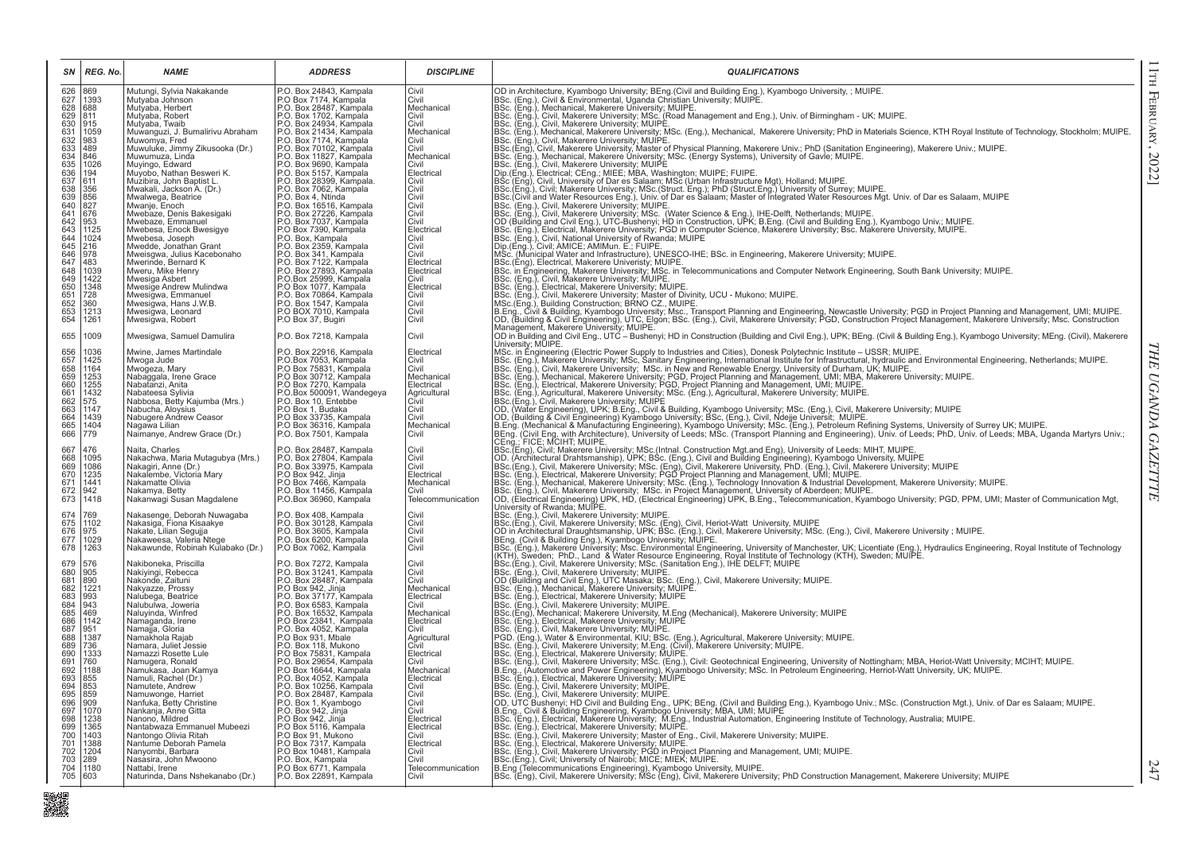| SΝ                                                          | REG. No.                                     | <b>NAME</b>                                                                       | <b>ADDRESS</b>                                                                                     | <b>DISCIPLINE</b>            | <b>QUALIFICATIONS</b>                                                                                                                                                                                                                                                                                                                                                                                                                                                    |
|-------------------------------------------------------------|----------------------------------------------|-----------------------------------------------------------------------------------|----------------------------------------------------------------------------------------------------|------------------------------|--------------------------------------------------------------------------------------------------------------------------------------------------------------------------------------------------------------------------------------------------------------------------------------------------------------------------------------------------------------------------------------------------------------------------------------------------------------------------|
| 6267890633456368366366644436445                             | 869<br>1393<br>688                           | Mutungi, Sylvia Nakakande<br>Mutyaba Johnson<br>Mutyaba, Herbert                  | P.O. Box 24843, Kampala<br>P.O Box 7174, Kampala<br>P.O. Box 28487, Kampala                        | Civil<br>Civil<br>Mechanical | OD in Architecture, Kyambogo University; BEng.(Civil and Building Eng.), Kyambogo University, ; MUIPE.<br>BSc. (Eng.), Civil & Environmental, Uganda Christian University; MUIPE.<br>BSc. (Eng.), Mechanical, Makerere University; M                                                                                                                                                                                                                                     |
|                                                             | 811<br>915                                   | Mutyaba, Robert<br>Mutyaba, Twaib                                                 | P.O. Box 1702, Kampala                                                                             | Civil<br>Civil               |                                                                                                                                                                                                                                                                                                                                                                                                                                                                          |
|                                                             | 1059                                         | Muwanguzi, J. Bumalirivu Abraham                                                  | P.O. Box 24934, Kampala<br>P.O. Box 24934, Kampala<br>P.O. Box 7174, Kampala                       | Mechanical                   |                                                                                                                                                                                                                                                                                                                                                                                                                                                                          |
|                                                             | 983<br>489                                   | Muwomya, Fred<br>Muwuluke, Jimmy Zikusooka (Dr.)                                  | P.O. Box 70102, Kampala<br>P.O. Box 11827, Kampala                                                 | Civil<br>Civil               | BSc. (Eng.), Civil, Makerere University; MUIPE.                                                                                                                                                                                                                                                                                                                                                                                                                          |
|                                                             | 846<br>1026                                  | Muwumuza, Linda<br>Muyingo, Edward                                                | P.O. Box 9690, Kampala                                                                             | Mechanical<br>Civil          |                                                                                                                                                                                                                                                                                                                                                                                                                                                                          |
|                                                             | $\begin{vmatrix} 194 \\ 611 \end{vmatrix}$   | Muyobo, Nathan Besweri K.                                                         | P.O. Box 5157, Kampala                                                                             | Electrical                   |                                                                                                                                                                                                                                                                                                                                                                                                                                                                          |
|                                                             | 356                                          | Muzibira, John Baptist L.<br>Mwakali, Jackson A. (Dr.)                            | P.O. Box 28399, Kampala.<br>P.O. Box 7062, Kampala.                                                | Civil<br>Civil               | BSc. (Eng.), Civil, Makerere University; MUIPE.<br>BSc. (Eng.), Civil, Makerere University; MuIPE.<br>BSc. (Eng.), Civil, Makerere University, Master of Physical Planning, Makerere Univ.; PhD (Sanitation Engineering), Makerere U                                                                                                                                                                                                                                     |
|                                                             | 856<br>827                                   | Mwalwega, Beatrice                                                                |                                                                                                    | Civil                        |                                                                                                                                                                                                                                                                                                                                                                                                                                                                          |
|                                                             | 676                                          | Mwanje, Enoch<br>Mwebaze, Denis Bakesigaki                                        | P.O. Box 7002, Rampala<br>P.O. Box 4, Ntinda<br>P.O. Box 27226, Kampala<br>P.O. Box 27226, Kampala | Civil<br>Civil               |                                                                                                                                                                                                                                                                                                                                                                                                                                                                          |
|                                                             | 953<br>1125                                  | Mwebaze, Emmanuel<br>Mwebesa, Enock Bwesigye                                      | P.O. Box 7037, Kampala<br>P.O Box 7390, Kampala                                                    | Civil<br>Electrical          |                                                                                                                                                                                                                                                                                                                                                                                                                                                                          |
|                                                             | 1024                                         | Mwebesa, Joseph                                                                   | P.O. Box, Kampala<br>P.O. Box 2359, Kampala                                                        | Civil                        |                                                                                                                                                                                                                                                                                                                                                                                                                                                                          |
|                                                             | 216<br>978                                   | Mwedde, Jonathan Grant<br>Mweisgwa, Julius Kacebonaho                             |                                                                                                    | Civil<br>Civil               |                                                                                                                                                                                                                                                                                                                                                                                                                                                                          |
| 646<br>647<br>648<br>649<br>650<br>651<br>652<br>653<br>654 | 483                                          | Mwerinde, Bernard K<br>Mweru, Mike Henry                                          | P.O. Box 341, Kampala<br>P.O. Box 7122, Kampala<br>P.O. Box 27893, Kampala                         | Electrical<br>Electrical     | MS-C. (Municipal Water and Infrastructure), UNESCO-IHE; BSc. in Engineering, Makerere University; MUIPE.<br> BSc. (Municipal Water and Infrastructure), MUIPE.<br> BSc. in Engineering, Makerere University; MSc. in Telecommunic                                                                                                                                                                                                                                        |
|                                                             | $\begin{array}{ c} 1039 \\ 1422 \end{array}$ | Mwesiga Asbert                                                                    | P.O.Box 25999, Kampala                                                                             | Civil                        |                                                                                                                                                                                                                                                                                                                                                                                                                                                                          |
|                                                             | $\frac{1348}{728}$                           | Mwesige Andrew Mulindwa<br>Mwesigwa, Emmanuel                                     | P.O Box 1077, Kampala<br>P.O. Box 70864, Kampala                                                   | Electrical<br>Civil          |                                                                                                                                                                                                                                                                                                                                                                                                                                                                          |
|                                                             | 360<br>1213                                  | Mwesigwa, Hans J.W.B.                                                             | P.O. Box 1547, Kampala<br>P.O BOX 7010, Kampala                                                    | Civil                        |                                                                                                                                                                                                                                                                                                                                                                                                                                                                          |
|                                                             | 1261                                         | Mwesigwa, Leonard<br>Mwesigwa, Robert                                             | P.O Box 37, Bugiri                                                                                 | Civil<br>Civil               | BSc. (Eng.), Civil, Makerere University; MUIPE.<br>BSc. (Eng.), Civil, Makerere University; MUIPE.<br>BSc. (Eng.), Electrical, Makerere University; MUIPE.<br>NSC. (Eng.), Electrical, Makerere University; Mater of Divinity, UCU - Mu<br>שטו, עסטומאט, א פון א פון א פון א פון א פון א פון א פון א פון א פון א פון א פון א פון א פון א פון א פון א פון א פון א פון א פון א פון א פון א פון א פון א פון א פון א פון א פון א פון א פון א פון א פון א פון א פון א פון א פ |
| 655                                                         | 1009<br>1036                                 | Mwesigwa, Samuel Damulira<br>Mwine, James Martindale                              | P.O. Box 7218, Kampala                                                                             | Civil<br>Electrical          |                                                                                                                                                                                                                                                                                                                                                                                                                                                                          |
| 656<br>657<br>658<br>659<br>660<br>661<br>662<br>663        | 1425                                         | Mwoga Jude                                                                        | P.O. Box 22916, Kampala<br>P.O.Box 7053, Kampala<br>P.O Box 75831, Kampala                         | Civil<br>Civil               | Michael Mone Learning (Electric Power Supply to Industries and Cities), Donesk Polytechnic Institute – USSR; MUIPE.<br>IMSC. in Engineering (Electric Powersty; MSc. Sanitary Engineering, International Institute for Infrastru                                                                                                                                                                                                                                         |
|                                                             | 1164<br>1253<br>1255                         | Mwogeza, Mary<br>Nabaggala, Irene Grace                                           | P.O Box 30712, Kampala<br>P.O Box 7270, Kampala                                                    | Mechanical                   |                                                                                                                                                                                                                                                                                                                                                                                                                                                                          |
|                                                             | 1432                                         | Nabatanzi, Anita<br>Nabateesa Sylivia                                             | P.O.Box 500091, Wandegeya                                                                          | Electrical<br>Agricultural   |                                                                                                                                                                                                                                                                                                                                                                                                                                                                          |
|                                                             | 575                                          | Nabbosa, Betty Kajumba (Mrs.)                                                     | P.O. Box 10, Entebbe<br>P.O Box 1, Budaka                                                          | Civil                        |                                                                                                                                                                                                                                                                                                                                                                                                                                                                          |
| 664                                                         | 1147<br>1439                                 | Nabucha, Aloysius<br>Nabugere Andrew Ceasor                                       | P.O Box 33735, Kampala                                                                             | Civil<br>Civil               |                                                                                                                                                                                                                                                                                                                                                                                                                                                                          |
| 665<br>666                                                  | 1404<br>779                                  | Nagawa Lilian<br>Naimanye, Andrew Grace (Dr.)                                     | P.O Box 36316, Kampala<br>P.O. Box 7501, Kampala                                                   | Mechanical<br>Civil          | BSC: (Eng.), Agricultural, wakelere University; MJDFE<br> DISC: (Eng.), Agricultural, wakelere University; MUIPE<br> OD, (Water Engineering), UPK; B.Eng., Civil & Building, Kyambogo University; MSc. (Eng.), Civil, Makerere Unive<br>CEng.; FICE; MCIHT; MUIPE.                                                                                                                                                                                                       |
| 667<br>668                                                  | 476<br>1095                                  | Naita, Charles<br>Nakachwa, Maria Mutagubya (Mrs.)                                | P.O. Box 28487, Kampala<br>P.O. Box 27804, Kampala<br>P.O. Box 33975, Kampala                      | Civil<br>Civil               | CEIIg., FICE, inclumin, with PET (Details, Construction Mgt.and Eng), University of Leeds: MIHT, MUIPE.<br>(BSC.(Eng), Civil; Makerere University; MSc.(Intral. Construction Mgt.and Building Engineering), Kyambogo University,                                                                                                                                                                                                                                         |
|                                                             | 1086                                         | Nakagiri, Anne (Dr.)                                                              |                                                                                                    | Civil                        |                                                                                                                                                                                                                                                                                                                                                                                                                                                                          |
| 669<br>670<br>671                                           | 1235<br>1441                                 | Nakalembe, Victoria Mary<br>Nakamatte Olivia                                      | P.O Box 942, Jinja<br>P.O Box 7466, Kampala                                                        | Electrical<br>Mechanical     |                                                                                                                                                                                                                                                                                                                                                                                                                                                                          |
| 672<br>673                                                  | 942<br>1418                                  | Nakamya, Betty<br>Nakanwagi Susan Magdalene                                       | P.O. Box 11456, Kampala<br>P.O.Box 36960, Kampala                                                  | Civil<br>Telecommunication   |                                                                                                                                                                                                                                                                                                                                                                                                                                                                          |
|                                                             | 769                                          |                                                                                   |                                                                                                    | Civil                        | University of Rwanda; MUIPE.<br>BSc. (Eng.), Civil, Makerere University; MUIPE.<br>University of Rowline: "The University, MUPE:<br>Sac. (Eng.), Cwill, Makerete University, MUPE:<br>Sac. (Eng.), Cwill, Makerete University, MUPE:<br>Sac. (Eng.), Cwill, Makerete University, MUPE:<br>Sac. (Eng.), Cwill, Makerete Un                                                                                                                                                |
| 674<br>675<br>676                                           | 1102<br>975                                  | Nakasenge, Deborah Nuwagaba<br>Nakasiga, Fiona Kisaakye<br>Nakate, Lilian Segujja | P.O. Box 408, Kampala<br>P.O. Box 30128, Kampala                                                   | Civil<br>Civil               |                                                                                                                                                                                                                                                                                                                                                                                                                                                                          |
| 677                                                         | 1029                                         | Nakaweesa, Valeria Ntege                                                          | P.O. Box 3605, Kampala<br>P.O. Box 6200, Kampala                                                   | Civil                        |                                                                                                                                                                                                                                                                                                                                                                                                                                                                          |
| 678                                                         | 1263                                         | Nakawunde, Robinah Kulabako (Dr.)                                                 | P.O Box 7062, Kampala                                                                              | Civil                        |                                                                                                                                                                                                                                                                                                                                                                                                                                                                          |
|                                                             | 576                                          | Nakiboneka, Priscilla                                                             | P.O. Box 7272, Kampala<br>P.O. Box 31241, Kampala                                                  | Civil                        |                                                                                                                                                                                                                                                                                                                                                                                                                                                                          |
| 679<br>680<br>681<br>682<br>683<br>684                      | 905<br>890                                   | Nakiyingi, Rebecca<br>Nakonde, Zaituni                                            | P.O. Box 28487, Kampala                                                                            | Civil<br>Civil               |                                                                                                                                                                                                                                                                                                                                                                                                                                                                          |
|                                                             | 1221<br>993                                  | Nakyazze, Prossy<br>Nalubega, Beatrice                                            | P.O. Box 20407, Rampara<br>P.O. Box 942, Jinja<br>P.O. Box 37177, Kampala                          | Mechanical<br>Electrical     |                                                                                                                                                                                                                                                                                                                                                                                                                                                                          |
|                                                             | 943                                          | Nalubulwa, Joweria                                                                | P.O. Box 6583, Kampala<br>P.O. Box 16532, Kampala                                                  | Civil                        |                                                                                                                                                                                                                                                                                                                                                                                                                                                                          |
| 685<br>686<br>687                                           | 469<br>1142                                  | Naluyinda, Winfred<br>Namaganda, Irene                                            | P.O Box 23841, Kampala                                                                             | Mechanical<br>Electrical     |                                                                                                                                                                                                                                                                                                                                                                                                                                                                          |
| 688                                                         | 951<br>1387                                  | Namajja, Gloria<br>Namakhola Rajab                                                | P.O. Box 4052, Kampala<br>P.O. Box 931, Mbale                                                      | Civil<br>Agricultural        |                                                                                                                                                                                                                                                                                                                                                                                                                                                                          |
| $689$<br>$690$                                              | 736                                          | Namara, Juliet Jessie                                                             | P.O. Box 118, Mukono                                                                               | Civil                        |                                                                                                                                                                                                                                                                                                                                                                                                                                                                          |
| 691                                                         | 1333<br>760                                  | Namazzi Rosette Lule<br>Namugera, Ronald                                          | P.O Box 75831, Kampala<br>P.O. Box 29654, Kampala                                                  | Electrical<br>Civil          |                                                                                                                                                                                                                                                                                                                                                                                                                                                                          |
| 692                                                         | 1188                                         | Namukasa, Joan Kamya                                                              | P.O Box 16644, Kampala<br>P.O. Box 4052, Kampala                                                   | Mechanical<br>Electrical     |                                                                                                                                                                                                                                                                                                                                                                                                                                                                          |
| 693<br>694                                                  | 855                                          | Namuli, Rachel (Dr.)<br>Namutete, Andrew                                          | P.O. Box 10256, Kampala<br>P.O. Box 28487, Kampala                                                 | Civil                        |                                                                                                                                                                                                                                                                                                                                                                                                                                                                          |
| 695<br>696<br>697                                           | 859<br>909                                   | Namuwonge, Harriet<br>Nanfuka, Betty Christine                                    |                                                                                                    | Civil<br>Civil               |                                                                                                                                                                                                                                                                                                                                                                                                                                                                          |
| 698                                                         | 1070<br>1238                                 | Nankanja, Anne Gitta<br>Nanono, Mildred                                           | P.O. Box 1, Kyambogo<br>P.O. Box 942, Jinja<br>P.O Box 942, Jinja                                  | Civil<br>Electrical          |                                                                                                                                                                                                                                                                                                                                                                                                                                                                          |
|                                                             | 1365                                         | Nantabwaza Emmanuel Mubeezi                                                       | P.O Box 5116, Kampala                                                                              | Electrical                   |                                                                                                                                                                                                                                                                                                                                                                                                                                                                          |
| 699<br>700<br>701<br>702                                    | 1403<br>1388                                 | Nantongo Olivia Ritah<br>Nantume Deborah Pamela                                   | P.O Box 91, Mukono                                                                                 | Civil<br>Electrical          |                                                                                                                                                                                                                                                                                                                                                                                                                                                                          |
| 703                                                         | 1204<br>289                                  | Nanyombi, Barbara<br>Nasasira, John Mwoono                                        | P.O Box 7317, Kampala<br>P.O Box 10481, Kampala<br>P.O. Box, Kampala                               | Civil<br>Civil               |                                                                                                                                                                                                                                                                                                                                                                                                                                                                          |
| $\frac{704}{705}$                                           | 1180                                         | Nattabi, Irene                                                                    | P.O Box 6771, Kampala                                                                              | Telecommunication            |                                                                                                                                                                                                                                                                                                                                                                                                                                                                          |
|                                                             | 603                                          | Naturinda, Dans Nshekanabo (Dr.)                                                  | P.O. Box 22891, Kampala                                                                            | Civil                        |                                                                                                                                                                                                                                                                                                                                                                                                                                                                          |

■編集

THE UGANDA GAZETTTE *THE UGANDA GAZETTTE*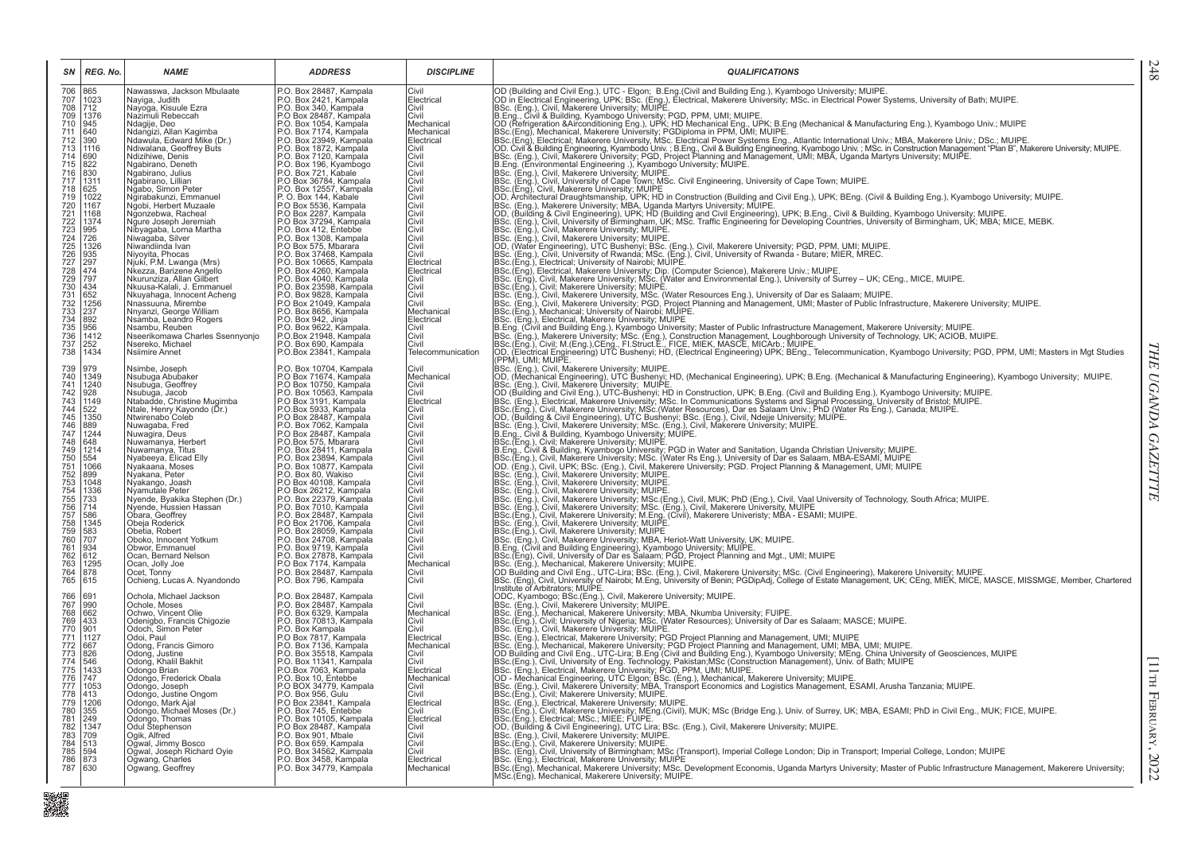| SN                                                                                                                                                                                                                                                                                                                       | REG. No.                                                        | <b>NAME</b>                                           | <b>ADDRESS</b>                                    | <b>DISCIPLINE</b>        | <b>QUALIFICATIONS</b>                                                                                                                                                                                                                      | 248                  |
|--------------------------------------------------------------------------------------------------------------------------------------------------------------------------------------------------------------------------------------------------------------------------------------------------------------------------|-----------------------------------------------------------------|-------------------------------------------------------|---------------------------------------------------|--------------------------|--------------------------------------------------------------------------------------------------------------------------------------------------------------------------------------------------------------------------------------------|----------------------|
| 706 865<br>707 1023<br>708 712<br>709 1376<br>710 945<br>711 640<br>712 1116<br>713 1110                                                                                                                                                                                                                                 |                                                                 | Nawasswa, Jackson Mbulaate                            | P.O. Box 28487, Kampala                           | Civil                    | OD (Building and Civil Eng.), UTC - Elgon; B. Eng.(Civil and Building Eng.), Kyambogo University; MUIPE.<br>OD in Electrical Engineering UPK: BSC. (Eng.), Electrical, Makerere University; MSc. in Electrical Power Systems, Uni          |                      |
|                                                                                                                                                                                                                                                                                                                          |                                                                 | Nayiga, Judith<br>Navoga, Kisuule Ezra                | P.O. Box 2421, Kampala<br>P.O. Box 340, Kampala   | Electrical<br>Civil      |                                                                                                                                                                                                                                            |                      |
|                                                                                                                                                                                                                                                                                                                          | 1376                                                            | Nazimuli Rebeccah                                     | P.O Box 28487, Kampala<br>P.O. Box 1054, Kampala  | Civil                    |                                                                                                                                                                                                                                            |                      |
|                                                                                                                                                                                                                                                                                                                          |                                                                 | Ndagije, Deo                                          |                                                   | Mechanical<br>Mechanical |                                                                                                                                                                                                                                            |                      |
|                                                                                                                                                                                                                                                                                                                          |                                                                 | Ndangizi, Allan Kagimba<br>Ndawula, Edward Mike (Dr.) | P.O. Box 7174, Kampala<br>P.O. Box 23949, Kampala | Electrical               |                                                                                                                                                                                                                                            |                      |
|                                                                                                                                                                                                                                                                                                                          |                                                                 | Ndiwalana, Geoffrey Buts                              | P.O. Box 1872, Kampala                            | Civil                    |                                                                                                                                                                                                                                            |                      |
| $\frac{714}{715}$                                                                                                                                                                                                                                                                                                        | $\frac{690}{822}$                                               | Ndizihiwe, Denis<br>Ngabirano, Deneth                 | P.O. Box 7120, Kampala                            | Civil<br>Civil           |                                                                                                                                                                                                                                            |                      |
| 716                                                                                                                                                                                                                                                                                                                      | 830                                                             | Ngabirano, Julius                                     | P.O. Box 196, Kyambogo<br>P.O. Box 721, Kabale    | Civil                    |                                                                                                                                                                                                                                            |                      |
| 717 1311<br>718 625<br>719 1022                                                                                                                                                                                                                                                                                          |                                                                 | Ngabirano, Lillian<br>Ngabo, Simon Peter              | P.O Box 36784, Kampala<br>P.O. Box 12557, Kampala | Civil<br>Civil           |                                                                                                                                                                                                                                            |                      |
|                                                                                                                                                                                                                                                                                                                          |                                                                 | Ngirabakunzi, Emmanuel                                | P.O. Box 144, Kabale                              | Civil                    |                                                                                                                                                                                                                                            |                      |
|                                                                                                                                                                                                                                                                                                                          |                                                                 | Ngobi, Herbert Muzaale                                | P.O Box 5536, Kampala                             | Civil                    |                                                                                                                                                                                                                                            |                      |
|                                                                                                                                                                                                                                                                                                                          |                                                                 | Ngonzebwa, Racheal<br>Ngure Joseph Jeremiah           | P.O Box 2287, Kampala<br>P.O Box 37294. Kampala   | Civil<br>Civil           |                                                                                                                                                                                                                                            |                      |
| 720 1167<br>722 1374<br>722 1374<br>722 1374<br>722 1374<br>725 1326<br>732 1479<br>738 1474<br>732 1256<br>733 132<br>733 132<br>733 132<br>733 132<br>733 132<br>733 132<br>733 132<br>733 132<br>733 132<br>733 132<br>733 132<br>733 132<br>733 132<br>733 132<br>733<br>732<br>733<br>732<br>733<br>732<br>733<br>7 |                                                                 | Nibyagaba, Lorna Martha                               | P.O. Box 412, Entebbe                             | Civil                    |                                                                                                                                                                                                                                            |                      |
|                                                                                                                                                                                                                                                                                                                          |                                                                 | Niwaqaba, Silver<br>Niwandiinda Ivan                  | P.O. Box 1308, Kampala<br>P.O Box 575, Mbarara    | Civil<br>Civil           |                                                                                                                                                                                                                                            |                      |
|                                                                                                                                                                                                                                                                                                                          |                                                                 | Niyoyita, Phocas<br>Njuki, P.M. Lwanga (Mrs)          | P.O. Box 37468, Kampala                           | Civil                    | BSc. (Eng.), Civil, Makerere University, MUIPE.<br>(BSC. (Eng.), Civil, Makerere University; MUIPE.<br>(DD, (Water Engineering), UTC Bushenyi; BSc. (Eng.), Civil, Makerere University; PGD, PPM, UMI; MUIPE.<br>(BSc. (Eng.), Civil, U    |                      |
|                                                                                                                                                                                                                                                                                                                          |                                                                 |                                                       | P.O. Box 10665, Kampala                           | Electrical<br>Electrical |                                                                                                                                                                                                                                            |                      |
|                                                                                                                                                                                                                                                                                                                          |                                                                 | Nkezza, Barizene Angello<br>Nkurunziza, Allan Gilbert | P.O. Box 4260, Kampala<br>P.O. Box 4040, Kampala  | Civil                    |                                                                                                                                                                                                                                            |                      |
|                                                                                                                                                                                                                                                                                                                          |                                                                 | Nkuusa-Kalali, J. Emmanuel                            | P.O. Box 23598, Kampala                           | Civil                    | BSc. (Eng.), Civil; Makerere University; MUIPE.<br>BSc. (Eng.), Civil; Makerere University; MUIPE.<br>BSc. (Eng.), Civil, Makerere University; MSc. (Water Resources Eng.), University of Dar es Salaam; MUIPE.<br>Jesc. (Eng.), Civil,    |                      |
|                                                                                                                                                                                                                                                                                                                          |                                                                 | Nkuyahaga, Innocent Acheng<br>Nnassuuna, Mirembe      | P.O. Box 9828, Kampala<br>P.O Box 21049, Kampala  | Civil<br>Civil           |                                                                                                                                                                                                                                            |                      |
|                                                                                                                                                                                                                                                                                                                          |                                                                 | Nnyanzi, George William                               | P.O. Box 8656, Kampala<br>P.O. Box 942, Jinja     | Mechanical               |                                                                                                                                                                                                                                            |                      |
|                                                                                                                                                                                                                                                                                                                          |                                                                 | Nsamba, Leandro Rogers                                |                                                   | Electrical               |                                                                                                                                                                                                                                            |                      |
|                                                                                                                                                                                                                                                                                                                          |                                                                 | Nsambu, Reuben<br>Nseerikomawa Charles Ssennyonjo     | P.O. Box 9622, Kampala                            | Civil<br>Civil           | BSc. (Eng.), Unit, Makerere University; PGU, Project Planning and Management, UMI; Master of Public Infrastructure, Makerere University; MUIPE.<br> BSc. (Eng.), Mechanical; University; PGU, Project Planning and Management, UM          |                      |
|                                                                                                                                                                                                                                                                                                                          |                                                                 | Nsereko, Michael                                      | P.O.Box 21948, Kampala<br>P.O. Box 690, Kampala   | Civil                    |                                                                                                                                                                                                                                            |                      |
| 738                                                                                                                                                                                                                                                                                                                      | 1434                                                            | Nsiimire Annet                                        | P.O.Box 23841, Kampala                            | Telecommunication        | (PPM). UMI: MUIPE.                                                                                                                                                                                                                         |                      |
| 739                                                                                                                                                                                                                                                                                                                      | 979                                                             | Nsimbe, Joseph                                        | P.O. Box 10704, Kampala                           | Civil                    | BSc. (Eng.), Civil, Makerere University; MUIPE.                                                                                                                                                                                            |                      |
|                                                                                                                                                                                                                                                                                                                          | 1349<br>11240                                                   | Nsubuga Abubaker                                      | P.O Box 71674, Kampala<br>P.O Box 10750, Kampala  | Mechanical<br>Civil      |                                                                                                                                                                                                                                            |                      |
| 740<br>741<br>742                                                                                                                                                                                                                                                                                                        | 928                                                             | Nsubuğa, Geoffrey<br>Nsubuga, Jacob                   | P.O. Box 10563, Kampala                           | Civil                    | ODC, (Mechanical Engineering), UTC Bushenyi; HD, (Mechanical Engineering), UPK; B.Eng. (Mechanical & Manufacturing Engineering), Kyambogo University; MUIPE.<br> BSC. (Eng.), Civil, Makerere University; MUIPE.<br> OD (Building an       |                      |
| 743<br>744<br>745                                                                                                                                                                                                                                                                                                        | 1149                                                            | Ntabadde, Christine Mugimba                           | P.O Box 3191. Kampala                             | Electrical               |                                                                                                                                                                                                                                            |                      |
|                                                                                                                                                                                                                                                                                                                          | 522<br>1350                                                     | Ntale, Henry Kayondo (Dr.)<br>Ntwirenabo Coleb        | P.O.Box 5933, Kampala<br>P.O Box 28487, Kampala   | Civil<br>Civil           |                                                                                                                                                                                                                                            |                      |
| 746<br>747<br>748                                                                                                                                                                                                                                                                                                        | 889                                                             | Nuwagaba, Fred<br>Nuwagira, Deus                      | P.O. Box 7062, Kampala                            | Civil                    | BBC. (Eng.), Electrical, Makerere University; MSc. In Constructions Systems and Signal Processing, University of Bristol; Michelen BSC. (Eng.), Electrical, Makerere University; MSc. In Communications Systems and Signal Pro             | THE UGANDA GAZETTTE  |
|                                                                                                                                                                                                                                                                                                                          | $\begin{array}{r} 1244 \\ 648 \end{array}$                      | Nuwamanya, Herbert                                    | P.O Box 28487, Kampala<br>P.O Box 28487, Kampala  | Civil<br>Civil           |                                                                                                                                                                                                                                            |                      |
|                                                                                                                                                                                                                                                                                                                          | 1214                                                            | Nuwamanya, Titus                                      | P.O. Box 28411, Kampala                           | Civil                    |                                                                                                                                                                                                                                            |                      |
| 749<br>750<br>751                                                                                                                                                                                                                                                                                                        | $\frac{1554}{1066}$                                             | Nyabeeya, Elicad Elly                                 | P.O. Box 23894, Kampala                           | Civil                    | B.C., C., G., W., W., Hukucu, S., Sommoog, University; PGD in Water and Sanitation, Uganda Christian University; MUIPE.<br>B.C. (Eng.), Civil, Makerere University; MSc. (Water Rs Eng.), University of Dar es Salaam, MBA-ESAMI,          |                      |
|                                                                                                                                                                                                                                                                                                                          |                                                                 | Nyakaana, Moses<br>Nyakana, Peter                     | P.O. Box 10877, Kampala                           | Civil<br>Civil           |                                                                                                                                                                                                                                            |                      |
| 752<br>753<br>754<br>755<br>756<br>757                                                                                                                                                                                                                                                                                   | 899<br>1048<br>1336                                             | Nyakango, Joash                                       | P.O. Box 80, Wakiso<br>P.O. Box 40108, Kampala    | Civil                    | BSc. (Eng.), Civil, Makerere University, MUIPE.<br>BSc. (Eng.), Civil, Makerere University, MUIPE.                                                                                                                                         |                      |
|                                                                                                                                                                                                                                                                                                                          | 733                                                             | Nyamutale Peter<br>Nyende, Byakika Stephen (Dr.)      | P.O Box 26212, Kampala<br>P.O. Box 22379, Kampala | Civil<br>Civil           | BSc. (Eng.), Civil, Makerere University; MUIPE.                                                                                                                                                                                            |                      |
|                                                                                                                                                                                                                                                                                                                          | 714                                                             | Nyende, Hussien Hassan                                | P.O. Box 7010, Kampala                            | Civil                    |                                                                                                                                                                                                                                            |                      |
|                                                                                                                                                                                                                                                                                                                          |                                                                 | Obara, Geoffrey                                       | P.O. Box 28487, Kampala                           | Civil                    |                                                                                                                                                                                                                                            |                      |
|                                                                                                                                                                                                                                                                                                                          | 1345<br>583<br>707                                              | Obeja Roderick<br>Obetia, Robert                      | P.O Box 21706, Kampala<br>P.O. Box 28059, Kampala | Civil<br>Civil           | BSC: (Eng.), Civil, Makerere University, MOF.<br>BSC: (Eng.), Civil, Makerere University, MSC: (Eng.), Civil, MUK; PhD (Eng.), Civil, Vaal University of Technology, South Africa; MUIPE.<br>BSC: (Eng.), Civil, Makerere University       |                      |
|                                                                                                                                                                                                                                                                                                                          |                                                                 | Oboko, Innocent Yotkum                                | P.O. Box 24708, Kampala                           | Civil                    |                                                                                                                                                                                                                                            |                      |
|                                                                                                                                                                                                                                                                                                                          | 934<br>612                                                      | Obwor, Emmanuel<br>Ocan, Bernard Nelson               | P.O. Box 9719, Kampala<br>P.O. Box 27878, Kampala | Civil<br>Civil           |                                                                                                                                                                                                                                            |                      |
|                                                                                                                                                                                                                                                                                                                          | 1295                                                            | Ocan, Jolly Joe                                       | P.O Box 7174, Kampala                             | Mechanical               |                                                                                                                                                                                                                                            |                      |
| 758<br>759<br>760<br>761<br>763<br>764<br>765                                                                                                                                                                                                                                                                            | 878                                                             | Ocet, Tonny                                           | P.O. Box 28487, Kampala                           | Civil                    | BSC. (Eng.), Civil, Makerere University, MBA, Heriot-Watt University, UK; MUIPE.<br>B.Eng. (Civil and Building Engineering), Kyambogo University; MUIPE.<br>BSc. (Eng.), Civil, University of Dar es Salaam; PGD, Project Planning a       |                      |
|                                                                                                                                                                                                                                                                                                                          | 615                                                             | Ochieng, Lucas A. Nyandondo                           | P.O. Box 796, Kampala                             | Civil                    |                                                                                                                                                                                                                                            |                      |
| 766<br>767                                                                                                                                                                                                                                                                                                               | 691                                                             | Ochola, Michael Jackson                               | P.O. Box 28487, Kampala                           | Civil                    |                                                                                                                                                                                                                                            |                      |
|                                                                                                                                                                                                                                                                                                                          | 990                                                             | Ochole, Moses<br>Ochwo, Vincent Olie                  | P.O. Box 28487, Kampala<br>P.O. Box 6329, Kampala | Civil<br>Mechanical      |                                                                                                                                                                                                                                            |                      |
|                                                                                                                                                                                                                                                                                                                          |                                                                 | Odenigbo, Francis Chigozie                            | P.O. Box 70813, Kampala                           | Civil                    |                                                                                                                                                                                                                                            |                      |
|                                                                                                                                                                                                                                                                                                                          |                                                                 | Odoch, Simon Peter                                    | P.O. Box Kampala                                  | Civil                    |                                                                                                                                                                                                                                            |                      |
|                                                                                                                                                                                                                                                                                                                          | 1127                                                            | Odoi, Paul<br>Odong, Francis Gimoro                   | P.O Box 7817, Kampala                             | Electrical<br>Mechanical |                                                                                                                                                                                                                                            |                      |
|                                                                                                                                                                                                                                                                                                                          |                                                                 | Odong, Justine                                        | P.O. Box 7136, Kampala<br>P.O. Box 35518, Kampala | Civil                    |                                                                                                                                                                                                                                            |                      |
|                                                                                                                                                                                                                                                                                                                          | 1433                                                            | Odong, Khalil Bakhit<br>Odongo Brian                  | P.O. Box 11341, Kampala                           | Civil<br>Electrical      |                                                                                                                                                                                                                                            |                      |
|                                                                                                                                                                                                                                                                                                                          |                                                                 | Odongo, Frederick Obala                               | P.O.Box 7063, Kampala                             | Mechanical               |                                                                                                                                                                                                                                            |                      |
|                                                                                                                                                                                                                                                                                                                          | 1053                                                            | Odongo, Joseph                                        | P.O BOX 34779, Kampala                            | Civil                    | BSc. (Eng.), Civil, University of Nairobi; M.Eng, University of Benin; PGDipAdj, College of Estate Management, UK; CEng, MIEK, MICE, MASCE, M<br>Institute of Arbitrators; MUIPE.<br>ODC, Kyambogo; BSc.(Eng.), Civil, Makerere Univ       |                      |
|                                                                                                                                                                                                                                                                                                                          |                                                                 | Odongo, Justine Ongom<br>Odongo, Mark Ajal            | P.O. Box 956, Gulu<br>P.O Box 23841, Kampala      | Civil<br>Electrical      | BSC. (Eng.), Civil, Makerere University, MDR.<br>BSC. (Eng.), Civil; Makerere University; MUIPE.<br>BSC. (Eng.), Electrical, Makerere University; MUIPE.<br>BSC. (Eng.), Electrical, Makerere University; MEIN, MURE.<br>BSC. (Eng.), Elec |                      |
|                                                                                                                                                                                                                                                                                                                          | $\frac{1206}{355}$                                              | Odongo, Michael Moses (Dr.)                           | P.O. Box 745, Entebbe                             | Civil                    |                                                                                                                                                                                                                                            |                      |
|                                                                                                                                                                                                                                                                                                                          |                                                                 | Odongo, Thomas<br>Odul Stephenson                     | P.O. Box 10105, Kampala<br>P.O Box 28487, Kampala | Electrical<br>Civil      |                                                                                                                                                                                                                                            |                      |
|                                                                                                                                                                                                                                                                                                                          |                                                                 | Ogik, Alfred                                          | P.O. Box 901, Mbale                               | Civil                    |                                                                                                                                                                                                                                            |                      |
|                                                                                                                                                                                                                                                                                                                          | $\begin{array}{c} 448 \\ 1347 \\ 709 \\ 513 \\ 594 \end{array}$ | Ogwal, Jimmy Bosco                                    | P.O. Box 659, Kampala                             | Civil                    |                                                                                                                                                                                                                                            |                      |
|                                                                                                                                                                                                                                                                                                                          |                                                                 | Ogwal, Joseph Richard Oyie<br>Ogwang, Charles         | P.O. Box 34562, Kampala<br>P.O. Box 3458, Kampala | Civil<br>Electrical      | IBSC: (Eng.), Civil, Makerere University; MUIPE.<br>IBSC: (Eng.), Civil, Makerere University; MUIPE.<br>IBSC: (Eng.), Civil, University of Birmingham; MSc (Transport), Imperial College London; Dip in Transport; Imperial College        | [11TH FEBRUARY, 2022 |
|                                                                                                                                                                                                                                                                                                                          |                                                                 | Ogwang, Geoffrey                                      | P.O. Box 34779, Kampala                           | Mechanical               | BSc.(Eng), Mechanical, Makerere University; MSc. Development Economis, Uganda Martyrs University; Master of Public Infrastructure Management, Makerere University;                                                                         |                      |
|                                                                                                                                                                                                                                                                                                                          |                                                                 |                                                       |                                                   |                          | MSc.(Eng), Mechanical, Makerere University; MUIPE.                                                                                                                                                                                         |                      |

■<br>職業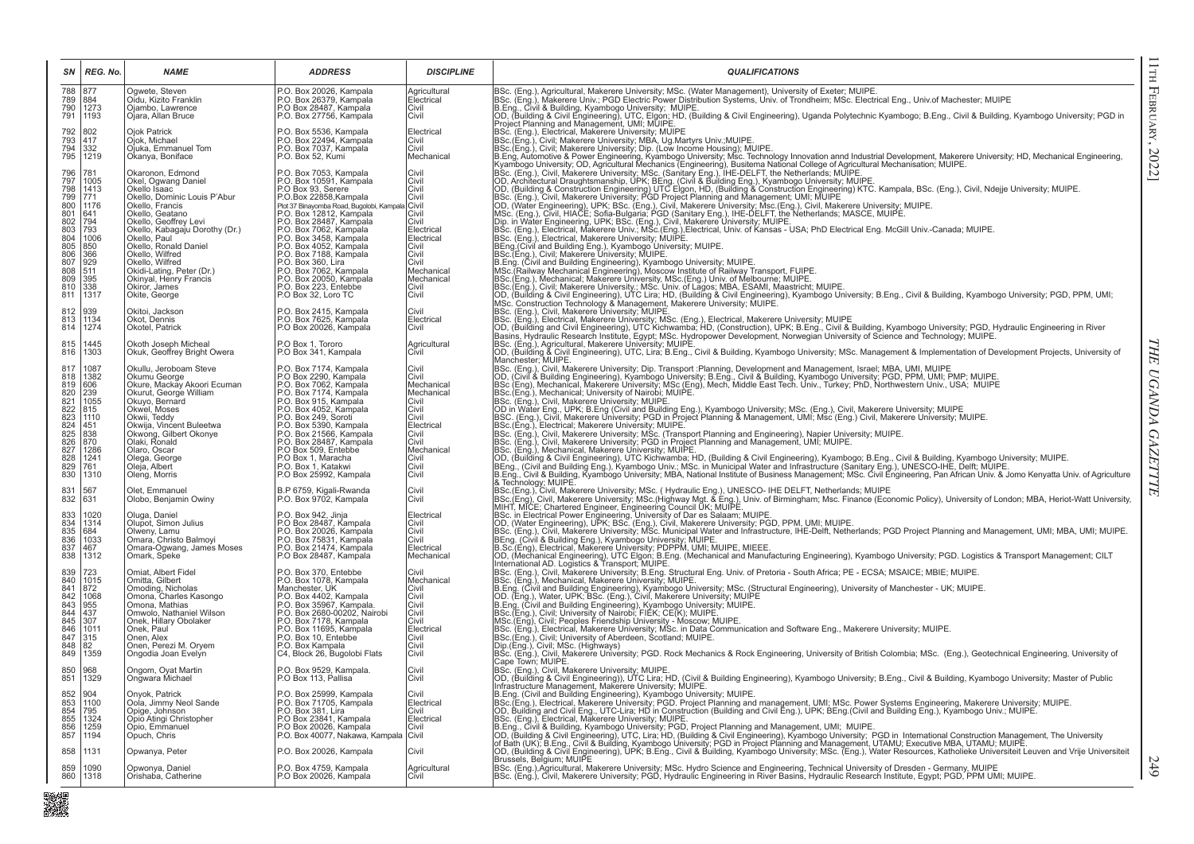| SN                                                                                                               | REG. No.                                                                                                          | <b>NAME</b>                                                                                                                                                                                                                                                                                                                                                      | <b>ADDRESS</b>                                                                                                                                                                                                                                                                                                                                                                                                                          | <b>DISCIPLINE</b>                                                                                                                              | <b>QUALIFICATIONS</b>                                                                                                                                                                                                                                                                                                                                                                                                                                                                                                                                                                                                                                                                                                                                                                                                                                                                             |
|------------------------------------------------------------------------------------------------------------------|-------------------------------------------------------------------------------------------------------------------|------------------------------------------------------------------------------------------------------------------------------------------------------------------------------------------------------------------------------------------------------------------------------------------------------------------------------------------------------------------|-----------------------------------------------------------------------------------------------------------------------------------------------------------------------------------------------------------------------------------------------------------------------------------------------------------------------------------------------------------------------------------------------------------------------------------------|------------------------------------------------------------------------------------------------------------------------------------------------|---------------------------------------------------------------------------------------------------------------------------------------------------------------------------------------------------------------------------------------------------------------------------------------------------------------------------------------------------------------------------------------------------------------------------------------------------------------------------------------------------------------------------------------------------------------------------------------------------------------------------------------------------------------------------------------------------------------------------------------------------------------------------------------------------------------------------------------------------------------------------------------------------|
| 788<br>789<br>790<br>791                                                                                         | 877<br>884<br>1273<br>1193                                                                                        | Ogwete, Steven<br>Oidu, Kizito Franklin<br>Ojambo, Lawrence<br>Ojara, Allan Bruce                                                                                                                                                                                                                                                                                | P.O. Box 20026, Kampala<br>P.O. Box 26379, Kampala<br>P.O Box 28487, Kampala<br>P.O. Box 27756, Kampala                                                                                                                                                                                                                                                                                                                                 | Agricultural<br>Electrical<br>Civil<br>Civil                                                                                                   |                                                                                                                                                                                                                                                                                                                                                                                                                                                                                                                                                                                                                                                                                                                                                                                                                                                                                                   |
| 792<br>793<br>794<br>795                                                                                         | 802<br>417<br>332<br>1219                                                                                         | Ojok Patrick<br>Ojok, Michael<br>Ojuka, Emmanuel Tom<br>Okanya, Boniface                                                                                                                                                                                                                                                                                         | P.O. Box 5536, Kampala<br>P.O. Box 22494, Kampala<br>P.O. Box 22494, Kampala<br>P.O. Box 7037, Kampala<br>P.O. Box 52, Kumi                                                                                                                                                                                                                                                                                                             | Electrical<br>Civil<br>Civil<br>Mechanical                                                                                                     |                                                                                                                                                                                                                                                                                                                                                                                                                                                                                                                                                                                                                                                                                                                                                                                                                                                                                                   |
| 796<br>$797$<br>$798$<br>799<br>800<br>801<br>802<br>803<br>804<br>805<br>806<br>807<br>808<br>809<br>810<br>811 | 781<br>1005<br>1413<br>771<br>1176<br>641<br>794<br>793<br>1006<br>850<br>366<br>929<br>511<br>395<br>338<br>1317 | Okaronon, Edmond<br>Okel, Ogwang Daniel<br>Okello Isaac<br>Okello, Dominic Louis P'Abur<br>Okello, Francis<br>Okello, Geatano<br>Okello, Geoffrey Levi<br>Okello, Kabagaju Dorothy (Dr.)<br>Okello, Paul<br>Okello, Ronald Daniel<br>Okello, Wilfred<br>Okello, Wilfred<br>Okidi-Lating, Peter (Dr.)<br>Okinyal, Henry Francis<br>Okiror, James<br>Okite, George | P.O. Box 7053, Kampala<br>P.O. Box 10591, Kampala<br>P.O Box 93, Serere<br>P.O.Box 22858, Kampala<br>Plot 37 Binayomba Road, Bugolobi, Kampala<br>P.O. Box 12812, Kampala<br>P.O. Box 28487, Kampala<br>P.O. Box 7062, Kampala<br>P.O. Box 3458, Kampala<br>P.O. Box 4052, Kampala<br>P.O. Box 7188, Kampala<br>P.O. Box 360, Lira<br>P.O. Box 7062, Kampala<br>P.O. Box 20050, Kampala<br>P.O. Box 223, Entebbe<br>P.O Box 32, Loro TC | Civil<br>Civil<br>Civil<br>Civil<br>Civil<br>Electrical<br>Electrical<br>Civil<br>Civil<br>Civil<br>Mechanical<br>Mechanical<br>Civil<br>Civil | Considered Makeret University, MSc, (Water Makeret University, MSC, (Water Management), University of Exeter; MUPE<br>SEC, (Eng., CAVI & Building, Kyambogo University, MSC, (Water Management), University of Exeter; MUPE<br>SEC                                                                                                                                                                                                                                                                                                                                                                                                                                                                                                                                                                                                                                                                |
| 812<br>813<br>814                                                                                                | 939<br>1134<br>1274                                                                                               | Okitoi, Jackson<br>Okot, Dennis<br>Okotel, Patrick                                                                                                                                                                                                                                                                                                               | P.O. Box 2415, Kampala<br>P.O. Box 7625, Kampala<br>P.O Box 20026, Kampala                                                                                                                                                                                                                                                                                                                                                              | Civil<br>Electrical<br>Civil                                                                                                                   |                                                                                                                                                                                                                                                                                                                                                                                                                                                                                                                                                                                                                                                                                                                                                                                                                                                                                                   |
| 815<br>816                                                                                                       | 1445<br>1303                                                                                                      | Okoth Joseph Micheal<br>Okuk, Geoffrey Bright Owera                                                                                                                                                                                                                                                                                                              | P.O Box 1, Tororo<br>P.O Box 341, Kampala                                                                                                                                                                                                                                                                                                                                                                                               | Agricultural<br>Civil                                                                                                                          | Basins, Hydraulic Research Institute, Egypt: MSc. Hydropower Development, Norwegian University of Science and Technology; MUIPE.<br>BSc. (Eng.), Agricultural, Makerere University; MUIPE.<br>DC. (Building & Civil Engineering), UT                                                                                                                                                                                                                                                                                                                                                                                                                                                                                                                                                                                                                                                              |
| 817<br>818<br>819<br>820<br>821<br>822<br>823<br>824<br>825<br>826<br>827<br>$\frac{828}{829}$<br>830            | 1087<br>1382<br>1606<br>239<br>1055<br>815<br>1110<br>451<br>838<br>870<br>1286<br>1241<br>761<br>1310            | Okullu, Jeroboam Steve<br>Okumu George<br>Okure, Mackay Akoori Ecuman<br>Okurut, George William<br>Okuyo, Bernard<br>Okwel, Moses<br>Okwii, Teddy<br>Okwija, Vincent Buleetwa<br>Okwong, Gilbert Okonye<br>Olaki, Ronald<br>Olaro, Oscar<br>Olega, George<br>Oleja, Albert<br>Oleng, Morris                                                                      | P.O. Box 7174, Kampala<br>P.O Box 2290, Kampala<br>P.O. Box 7062. Kampala<br>P.O. Box 7174, Kampala<br>P.O. Box 915, Kampala<br>P.O. Box 4052, Kampala<br>P.O. Box 249, Soroti<br>P.O. Box 5390, Kampala<br>P.O. Box 21566, Kampala<br>P.O. Box 28487, Kampala<br>P.O Box 509, Entebbe<br>P.O Box 1, Maracha<br>P.O. Box 1, Katakwi<br>P.O Box 25992, Kampala                                                                           | Civil<br>Civil<br>Mechanical<br>Mechanical<br>Civil<br>Civil<br>Civil<br>Electrical<br>Civil<br>Civil<br>Mechanical<br>Civil<br>Civil<br>Civil | Mancrester; Moler Mancrester, More Phiversity; Dip. Transport :Planning, Development and Management, Israel; MBA, UMI, MUIPE<br> OD, (Civil & Building Engineering), Kyambogo University; B.Eng., Civil & Building, Kyambogo Univ<br>BSc.(Eng.), Electrical: Makerere University: MUIPE, Containing & management, Omi, mod (Eng.), Dent, maker<br>BSc. (Eng.), Clectrical: Makerere University: MUIPE.<br>BSc. (Eng.), Civil, Makerere University; MSc. (Transport Planni<br>BSc. (Eng.), Mechanical, Makerere University; MUIPE.<br> OD, (Building & Civil Engineering), UTC Kichwamba; HD, (Building & Civil Engineering), Kyambogo; B.Eng., Civil & Building, Kyambogo University; MUIPE.<br> OD, (Building &<br>B.Eng., Civil & Building, Kyambogo University; MBA, National Institute of Business Management; MSc. Civil Engineering, Pan African Univ. & Jomo Kenyatta Univ. of Agriculture |
| 831<br>832                                                                                                       | 567<br>631                                                                                                        | Olet, Emmanuel<br>Olobo, Benjamin Owiny                                                                                                                                                                                                                                                                                                                          | B.P 6759, Kigali-Rwanda<br>P.O. Box 9702, Kampala                                                                                                                                                                                                                                                                                                                                                                                       | Civil<br>Civil                                                                                                                                 |                                                                                                                                                                                                                                                                                                                                                                                                                                                                                                                                                                                                                                                                                                                                                                                                                                                                                                   |
| 833<br>834<br>835<br>836<br>837<br>838                                                                           | 1020<br>1314<br>684<br>1033<br>467<br>1312                                                                        | Oluga, Daniel<br>Olupot, Simon Julius<br>Olweny, Lamu<br>Omara, Christo Balmoyi<br>Omara-Ogwang, James Moses                                                                                                                                                                                                                                                     | P.O. Box 942, Jinja<br>P.O Box 28487, Kampala<br>P.O. Box 20026, Kampala<br>P.O. Box 75831, Kampala<br>P.O. Box 21474, Kampala<br>P.O Box 28487, Kampala                                                                                                                                                                                                                                                                                | Electrical<br>Civil<br>Civil<br>Civil<br>Electrical<br>Mechanical                                                                              | B. Eng., Civil & Building, Kyambogo University; MBA, National Institute of Business Management; MSc. Civil Engineering, Pari Altican Univ. & Johno Netrystare University; MSC. (Hydraulic Eng.), UNESCO- IHE DELFT, Netherland                                                                                                                                                                                                                                                                                                                                                                                                                                                                                                                                                                                                                                                                    |
| 839<br>840<br>841<br>842<br>843<br>844<br>845<br>846<br>847<br>848<br>849                                        | 723<br>1015<br>872<br>1068<br>955<br>437<br>307<br>1011<br>315<br>82<br>1359                                      | Omiat, Albert Fidel<br>Omitta, Gilbert<br>Omoding, Nicholas<br>Omona, Charles Kasongo<br>Omona, Mathias<br>Omwolo, Nathaniel Wilson<br>Onek, Hillary Obolaker<br>Onek, Paul<br>Onen, Alex<br>Onen, Perezi M. Oryem<br>Ongodia Joan Evelyn                                                                                                                        | P.O. Box 370, Entebbe<br>P.O. Box 1078, Kampala<br>Manchester, UK<br>P.O. Box 4402, Kampala<br>P.O. Box 35967, Kampala.<br>P.O. Box 2680-00202, Nairobi<br>P.O. Box 7178, Kampala<br>P.O. Box 11695, Kampala<br>P.O. Box 10, Entebbe<br>P.O. Box Kampala<br>C4, Block 26, Bugolobi Flats                                                                                                                                                | Civil<br>Mechanical<br>Civil<br><b>Civil</b><br>Civil<br>Civil<br>Civil<br>Electrical<br><b>Civil</b><br>Civil<br>Civil                        | International AD. Logistics & Transport; MUIPE.<br>IBSC. (Eng.), Civil, Makerere University; B.Eng. Structural Eng. Univ. of Pretoria - South Africa; PE - ECSA; MSAICE; MBIE; MUIPE.<br>IBSC. (Eng.), Mechanical, Makerere Univer<br>BSc.(Eng.), Civil; University of Aberdeen, Scotland; MUIPE.<br>Dip.(Eng.), Civil; MSc. (Highways)<br>BSc. (Eng.), Civil, Makerere University; PGD. Rock Mechanics & Rock Engineering, University of British Colombia; MSc. (Eng.), Geotechnical Engineering, University of                                                                                                                                                                                                                                                                                                                                                                                  |
| 850<br>851                                                                                                       | 968<br>1329                                                                                                       | Ongom, Oyat Martin<br>Ongwara Michael                                                                                                                                                                                                                                                                                                                            | P.O. Box 9529, Kampala.<br>P.O Box 113, Pallisa                                                                                                                                                                                                                                                                                                                                                                                         | Civil<br>Civil                                                                                                                                 | Cape Town; MUIPE.<br>l∨ape com, won.<br>BSc. (Eng.), Civil. Makerere University; MUIPE.<br> OD, (Building & Civil Engineering)), UTC Lira; HD, (Civil & Building Engineering), Kyambogo University; B.Eng., Civil & Building, Kyambogo University; Mast                                                                                                                                                                                                                                                                                                                                                                                                                                                                                                                                                                                                                                           |
| 852<br>853<br>854<br>855<br>856<br>857                                                                           | 904<br>1100<br>795<br>1324<br>1259<br>1194                                                                        | Onyok, Patrick<br>Oola, Jimmy Neol Sande<br>Opige, Johnson<br>Opio Atingi Christopher<br>Opio, Emmanuel<br>Opuch, Chris                                                                                                                                                                                                                                          | P.O. Box 25999, Kampala<br>P.O. Box 71705, Kampala<br>P.O. Box 381, Lira<br>P.O Box 23841, Kampala<br>P.O Box 20026, Kampala<br>P.O. Box 40077, Nakawa, Kampala                                                                                                                                                                                                                                                                         | Civil<br>Electrical<br>Civil<br>Electrical<br>Civil<br>Civil                                                                                   | OD, (Building & Civil Engineering), UTC Lira; HD, (Civil & Building Engineering), Kyambogo University; B.Eng., Civil & Building, Kyambogo University; Master of Public<br> Infrastructure Management, Makerere University; MUIPE.                                                                                                                                                                                                                                                                                                                                                                                                                                                                                                                                                                                                                                                                 |
| 858                                                                                                              | 1131                                                                                                              | Opwanya, Peter                                                                                                                                                                                                                                                                                                                                                   | P.O. Box 20026, Kampala                                                                                                                                                                                                                                                                                                                                                                                                                 | Civil                                                                                                                                          | Brussels, Belgium; MUIPE                                                                                                                                                                                                                                                                                                                                                                                                                                                                                                                                                                                                                                                                                                                                                                                                                                                                          |
| 859<br>860                                                                                                       | 1090<br>1318                                                                                                      | Opwonya, Daniel<br>Orishaba, Catherine                                                                                                                                                                                                                                                                                                                           | P.O. Box 4759, Kampala<br>P.O Box 20026, Kampala                                                                                                                                                                                                                                                                                                                                                                                        | Agricultural<br>Civil                                                                                                                          | BSc. (Eng.),Agricultural, Makerere University; MSc. Hydro Science and Engineering, Technical University of Dresden - Germany, MUIPE<br> BSc. (Eng.), Civil, Makerere University; PGD, Hydraulic Engineering in River Basins, Hydr                                                                                                                                                                                                                                                                                                                                                                                                                                                                                                                                                                                                                                                                 |

■<br>職業

 $11\text{TH}$  February, 2022] 11th February, 2022]

THE UGANDA GAZETTTE *THE UGANDA GAZETTTE*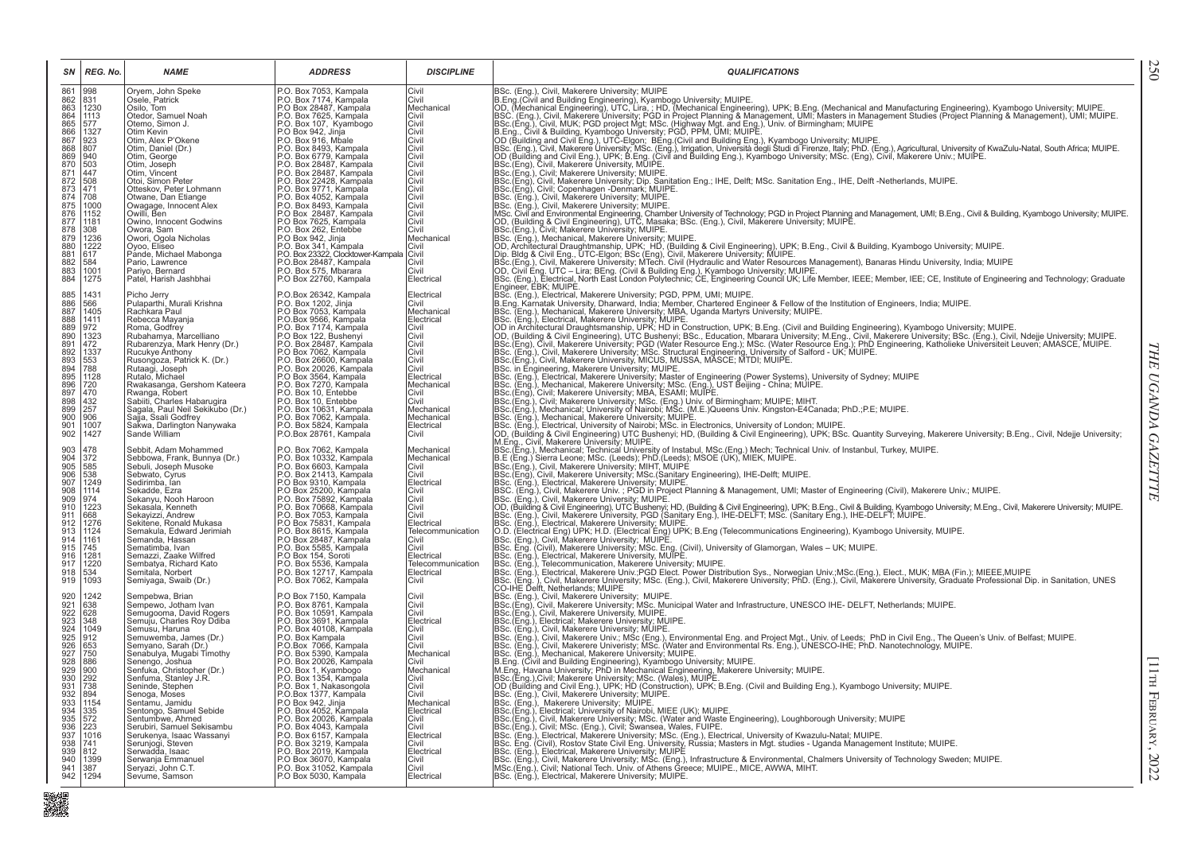| SΝ<br>REG. No.                                                                                                                                     | <b>NAME</b>                                                                                                                                               | <b>ADDRESS</b>                                                                                                                                                                                              | <b>DISCIPLINE</b>                                                                  | <b>QUALIFICATIONS</b>                                                                                                                                                                                                                                                                                                                                                                                                                                                                                                                               |
|----------------------------------------------------------------------------------------------------------------------------------------------------|-----------------------------------------------------------------------------------------------------------------------------------------------------------|-------------------------------------------------------------------------------------------------------------------------------------------------------------------------------------------------------------|------------------------------------------------------------------------------------|-----------------------------------------------------------------------------------------------------------------------------------------------------------------------------------------------------------------------------------------------------------------------------------------------------------------------------------------------------------------------------------------------------------------------------------------------------------------------------------------------------------------------------------------------------|
| 861<br>862<br>863<br>998<br>831<br>1230<br>864<br>1113<br>865<br>577<br>1327<br>866                                                                | Oryem, John Speke<br>Osele, Patrick<br>Osilo, Tom<br>Otedor, Samuel Noah<br>Otemo, Simon J.<br>Otim Kevin                                                 | P.O. Box 7053, Kampala<br>P.O. Box 7174, Kampala<br>P.O Box 28487, Kampala<br>P.O. Box 7625, Kampala<br>P.O. Box 107, Kyambogo<br>P.O Box 942, Jinja<br>P.O. Box 916, Mbale                                 | Civil<br>Civil<br>Mechanical<br>Civil<br>Civil<br>Civil                            | BSc. (Eng.), Civil, Makerere University; MUIPE<br>BSc. (Eng.), Civil, Makerere University; MUIPE.<br>BSc. (Eng.), Civil, Makerere University; MUIPE, University: Muinted Engineering), UPK; B.Eng. (Mechanical and Manufacturing Engineering), Kyambogo University; MUIPE.<br>OD. (Mec                                                                                                                                                                                                                                                              |
| 867<br>923<br>868<br>869<br>870<br>871<br>807<br>940<br>$\frac{503}{447}$<br>$\frac{872}{873}$<br>508                                              | Otim, Alex P'Okene<br>Otim, Daniel (Dr.)<br>Otim, George<br>Otim, Joseph<br>Otim, Vincent<br>Otoi, Simon Peter                                            | P.O. Box 8493, Kampala<br>P.O. Box 6779, Kampala<br>P.O. Box 28487, Kampala<br>P.O. Box 28487, Kampala<br>P.O. Box 22428, Kampala                                                                           | <b>Civil</b><br>Civil<br><b>Civil</b><br>Civil<br>Civil<br>Civil                   |                                                                                                                                                                                                                                                                                                                                                                                                                                                                                                                                                     |
| 471<br>874<br>875<br>876<br>708<br>1000<br>1152<br>1181<br>877<br>308<br>878<br>879                                                                | Otteskov, Peter Lohmann<br>Otwane, Dan Etiange<br>Owagage, Innocent Alex<br>Owilli, Ben<br>Owino, Innocent Godwins<br>Owora, Sam<br>Owori, Ogola Nicholas | P.O. Box 9771, Kampala<br>P.O. Box 4052, Kampala<br>P.O. Box 8493, Kampala<br>P.O Box 28487, Kampala<br>P.O Box 7625, Kampala<br>P.O. Box 262, Entebbe                                                      | <b>Civil</b><br>Civil<br>Civil<br> Civil<br>Civil<br>Civil<br>Mechanical           | BSC.(Eng.), Civil, Makerere University; Michel.<br>BSC.(Eng.), Civil, Makerere University; Michel. Eng.; IHE, Delft; MSc. Sanitation Eng., IHE, Delft -Netherlands, MUIPE.<br>BSC.(Eng.), Civil, Makerere University; MUIPE.<br>BSC. (E                                                                                                                                                                                                                                                                                                             |
| 1236<br>1222<br>880<br>881<br>882<br>617<br>584<br>883<br>1001<br>884<br>1275                                                                      | Oyoo, Eliseo<br>Pande, Michael Mabonga<br>Pario, Lawrence<br>Pariyo, Bernard<br>Patel, Harish Jashbhai                                                    | P.O. Box 942, Jinja<br>P.O. Box 942, Jinja<br>P.O. Box 23322, Clocktower-Kampala Civil<br>P.O. Box 28487, Kampala Civil<br>P.O. Box 28487, Kampala Civil<br>P.O. Box 575, Mbarara<br>P.O Box 22760, Kampala | Civil<br>Electrical                                                                | BSc.(Eng.), Civil; Makerere University; MUIPE.<br>BSc.(Eng.), Civil; Makerere University; MUIPE.<br>C.(Eng.), Mechanical, Makerere University; MUIPE.<br>OD. Architectural Draughtmanship, UPK; HD, (Building & Civil Engineering), UPK<br>BSc. (Eng.), Electrical, North East London Polytechnic, CE, Engineering Council UK; Life Member, IEEE; Member, IEEE; CE, Institute of Engineering and Technology; Graduate<br>Engineer, EBK; MUIPE.                                                                                                      |
| 885<br>886<br>887<br>1431<br>566<br>1405<br>888<br>1411<br>972<br>889<br>890<br>1323                                                               | Picho Jerry<br>Pulaparthi, Murali Krishna<br>Rachkara Paul<br>Rebecca Mayanja<br>Roma, Godfrey<br>Rubahamya, Marcelliano                                  | P.O.Box 26342, Kampala<br>P.O. Box 1202, Jinja<br>P.O. Box 7053, Kampala<br>P.O.Box 9566, Kampala<br>P.O. Box 7174, Kampala<br>P.O Box 122, Bushenyi                                                        | Electrical<br>Civil<br>Mechanical<br>Electrical<br>Civil<br><b>Civil</b>           | Engineering, Editional Makerere University; PGD, PPM, UMI; MUIPE.<br>B.Eng. Karnatak University, Dharward, India; Member, Chartered Engineer & Fellow of the Institution of Engineers, India; MUIPE.<br>B.Sc. (Eng.), Mechanical, Ma                                                                                                                                                                                                                                                                                                                |
| 891<br>892<br>893<br>894<br>472<br>1337<br>553<br>788<br>895<br>1128                                                                               | Rubarenzya, Mark Henry (Dr.)<br>Rucukye Anthony<br>Rusongoza, Patrick K. (Dr.)<br>Rutaagi, Joseph<br>Rutalo, Michael<br>Rwakasanga, Gershom Kateera       | P.O. Box 28487, Kampala<br>P.O Box 7062, Kampala<br>P.O. Box 26600, Kampala<br>P.O. Box 20026, Kampala<br>P.O Box 3564, Kampala                                                                             | <b>Civil</b><br>Civil<br>Civil<br>Civil<br>Electrical<br>Mechanical                | Soc. (eng.), eneuroal, wakestere University, WOIPE:<br>(OD in Architectural Draughtsmanship, UPK; HD in Construction, UPK; B.Eng. (Civil and Building Engineering), Kyambogo University; MUIPE.<br>(OD, (Building & Civil Engineer                                                                                                                                                                                                                                                                                                                  |
| 896<br>897<br>898<br>899<br>720<br>470<br>432<br>257<br>900<br>906<br>901<br>1007<br>902<br>1427                                                   | Rwanga, Robert<br>Sabiiti, Charles Habarugira<br>Sagala, Paul Neil Sekikubo (Dr.)<br>Sajja, Ssali Godfrey<br>Sakwa, Darlington Nanywaka<br>Sande William  | P.O. Box 73270, Kampala<br>P.O. Box 70, Entebbe<br>P.O. Box 10, Entebbe<br>P.O. Box 10631, Kampala<br>P.O. Box 7062, Kampala.<br>P.O. Box 5824, Kampala<br>P.O.Box 28761, Kampala                           | Civil<br>Civil<br>Mechanical<br>Mechanical<br>Electrical<br>Civil                  | BSc. (Eng.), Electrical, Makerere University; Master of Engineering (Power Systems), University of Sydney; MUIPE<br>BSc. (Eng.), Electrical, Makerere University; MSsc. (Eng.), UST Beijing - China; MUIPE.<br>BSc. (Eng.), Mechanic<br>BSc. (Eng.), Electrical, University of Nairobi; MSc. in Electronics, University of London; MUIPE.<br> OD. (Building & Civil Engineering) UTC Bushenyi; HD. (Building & Civil Engineering), UPK; BSc. Quantity Surveying, Makerere                                                                           |
| 478<br>372<br>585<br>903<br>904<br>905<br>906<br>538<br>1249                                                                                       | Sebbit, Adam Mohammed<br>Sebbowa, Frank, Bunnya (Dr.)<br>Sebuli, Joseph Musoke<br>Sebwato, Cyrus<br>Sedirimba, lan                                        | P.O. Box 7062, Kampala<br>P.O. Box 10332, Kampala<br>P.O. Box 6603, Kampala<br>P.O. Box 21413, Kampala<br>P.O Box 9310, Kampala                                                                             | Mechanical<br>Mechanical<br><b>Civil</b><br>Civil<br>Electrical                    | RSC.(Eng.), Mochanical, Technical University of Instabul, MSc.(Eng.) Mech; Technical Univ. of Instanbul, Turkey, MUIPE.<br> B.S.(Eng.), Sterra Leone; MSc. (Leeds); PhD.(Leeds); MSOE (UK), MIEK, MUIPE.<br> BSc.(Eng.), Civil, Mak<br>BSc. (Eng.), Civil, Makerere University, MSc. (Sanitary Engineering), IHE-Delft, MUIPE.<br>BSc. (Eng.), Electrical, Makerere University, MUIPE.                                                                                                                                                              |
| 907<br>908<br>909<br>$\begin{array}{ c c }\n\hline\n1114 \\ 974 \\ 1223 \\ \hline\n\end{array}$<br>910<br>668<br>911<br>912<br>1276<br>913<br>1124 | Sekadde, Ezra<br>Sekanyu, Nooh Haroon<br>Sekasala, Kenneth<br>Sekayizzi, Andrew<br>Sekitene, Ronald Mukasa<br>Semakula, Edward Jerimiah                   | P.O Box 25200, Kampala<br>P.O. Box 75892, Kampala<br>P.O. Box 70668, Kampala<br>P.O. Box 7053, Kampala<br>P.O Box 75831, Kampala<br>P.O. Box 8615, Kampala                                                  | Civil<br><b>Civil</b><br> Civil<br><b>Civil</b><br>Electrical<br>Telecommunication | BSC. (Eng.), Civil, Makerere Univ. ; PGD in Project Planning & Management, UMI; Master of Engineering (Civil), Makerere Univ.; MUIPE.<br>BSc. (Eng.), Civil, Makerere University, MÜIPE<br> OD. (Building & Civil, Makerere University, MÜIPE) (Schiff Annual Schiff Annual Schiff Annual Schiff Annual Schiff Annual Schiff Annual Schiff Annual Schiff Annual Schiff Ann                                                                                                                                                                          |
| 914<br> 1161<br>915<br>745<br>916<br>1281<br>1220<br>917<br>918<br>534<br>919<br>1093                                                              | Semanda, Hassan<br>Sematimba, Ivan<br>Semazzi, Zaake Wilfred<br>Sembatya, Richard Kato<br>Semitala, Norbert<br>Semiyaga, Swaib (Dr.)                      | P.O Box 28487, Kampala<br>P.O. Box 5585, Kampala<br>P.O Box 154, Soroti<br>P.O. Box 5536, Kampala<br>P.O. Box 12717, Kampala<br>P.O. Box 7062, Kampala                                                      | Civil<br>Civil<br>Electrical<br>Telecommunication<br>Electrical<br>Civil           | BSC. (Eng.), Electrical, Makerere University; MUIPE.<br>BSC. (Eng.), Electrical, Makerere University; MUIPE.<br>O.D. (Electrical Eng.) UPK; B. Eng. (Clientical Eng.) UPK; B. Eng (Telecommunications Engineering), Kyambogo Unive<br>BSc. (Eng.), Electrical, Makerere Univ.;PGD Elect. Power Distribution Sys., Norwegian Univ.;MSc.(Eng.), Elect., MUK; MBA (Fin.); MIEEE,MUIPE                                                                                                                                                                  |
| 1242<br>920<br>921<br>922<br>638<br>628<br>923<br>348<br>924<br>1049                                                                               | Sempebwa, Brian<br>Sempewo, Jotham Ivan<br>Semugooma, David Rogers<br>Semuju, Charles Roy Ddiba<br>Semusu, Haruna                                         | P.O Box 7150, Kampala<br>P.O. Box 8761, Kampala<br>P.O. Box 10591, Kampala<br>P.O. Box 3691, Kampala<br>P.O. Box 40108, Kampala                                                                             | Civil<br>Civil<br>Civil<br>Electrical<br> Civil                                    | BSc. (Eng.'), Civil, Makerere University; MSc. (Eng.), Civil, Makerere University; PhD. (Eng.), Civil, Makerere University, Graduate Professional Dip. in Sanitation, UNES<br>CO-IHE Delft, Netherlands; MUIPE<br>BSc. (Eng.), Civil, Makerere University; MUIPE.<br> BSc.(Eng), Civil, Makerere University; MSc. Municipal Water and Infrastructure, UNESCO IHE- DELFT, Netherlands; MUIPE.<br>BSc.(Eng.), Civil, Makerere University, MUIPE.<br>BSc.(Eng.), Civil, Makerere University, MUIPE.<br>BSc. (Eng.), Civil, Makerere University; MUIPE. |
| 925<br>926<br>927<br>928<br>929<br>$\begin{array}{r} 912 \\ 653 \\ 750 \end{array}$<br>886<br>900                                                  | Semuwemba, James (Dr.)<br>Semyano, Sarah (Dr.)<br>Senabulya, Mugabi Timothy<br>Senengo, Joshua<br>Senfuka, Christopher (Dr.)                              | P.O. Box 47<br>P.O. Box Kampala<br>P.O.Box 7066, Kampala<br>P.O. Box 5390, Kampala<br>P.O. Box 20026, Kampala<br>P.O. Box 1, Kyambogo                                                                       | <b>Civil</b><br>Civil<br>Mechanical<br> Civil<br>Mechanical                        | BSC. (Eng.), Civil, Makerere Univ.; MSc (Eng.), Environmental Eng. and Project Mgt., Univ. of Leeds; PhD in Civil Eng., The Queen's Univ. of Belfast; MUIPE.<br>BSC. (Eng.), Civil, Makerere University; MSc. (Water and Environm                                                                                                                                                                                                                                                                                                                   |
| 930<br>292<br>931<br>738<br>932<br>933<br>934<br>935<br>894<br>1154<br>$335$<br>$572$<br>$223$                                                     | Senfuma, Stanley J.R.<br>Seninde, Stephen<br>Senoga, Moses<br>Sentamu, Jamidu<br>Sentongo, Samuel Sebide<br>Sentumbwe, Ahmed                              | P.O. Box 1354, Kampala<br>P.O. Box 1, Nakasongola<br>O.BOX 1377, Kampala<br>P.O Box 942, Jinja<br>P.O. Box 4052, Kampala<br>P.O. Box 20026, Kampala                                                         | <b>Civil</b><br><b>Civil</b><br>Civil<br>Mechanical<br>Electrical<br>Civil         | BSc.(Eng.), Civil; Makerere University; MSc. (Wales), MUIPE.<br>OD (Building and Civil Eng.), UPK; HD (Construction), UPK; B.Eng. (Civil and Building Eng.), Kyambogo University; MUIPE.<br>BSC. (ENG.),<br>Civil, Makerere University; MUIPE<br>BSc. (Eng.), Makerere University; MUIPE.<br>BSc.(Eng.), Electrical; University of Nairobi, MIEE (UK); MUIPE.<br> BSc.(Eng.), Circli, Makerere University; MSc. (Water and Waste Engineering), Loughborough University; MUIPE<br> BSc.(Eng.), Civil; MSc. (Eng.), Civil; Swansea,                   |
| 936<br>937<br> 1016<br>$\begin{array}{ c c }\n 938 & 741 \\  939 & 812\n\end{array}$<br>940 1399<br>941<br>387                                     | Serubiri, Samuel Sekisambu<br>Serukenya, Isaac Wassanyi<br>Serunjogi, Steven<br>Serwadda, Isaac<br>Serwanja Emmanuel<br>Seryazi, John C.T.                | P.O. Box 4043, Kampala<br>P.O. Box 6157, Kampala<br>P.O. Box 3219, Kampala<br>P.O. Box 2019, Kampala<br>P.O Box 36070, Kampala<br>P.O. Box 31052, Kampala                                                   | <b>Civil</b><br>Electrical<br> Civil<br>Electrical<br> Civil<br>Civil              | BSc. (Eig.), Schr, moo. (Eng.), on in one ratio (Inc. Centrol, Online Internal, University of Kwazulu-Natal; MUIPE.<br>BSc. Eng. (Civil), Rostov State Civil Eng. University, Russia; Masters in Mgt. studies - Uganda Management<br>BSc. (Eng.), Civil, Makerere University, MSc. (Eng.), Infrastructure & Environmental, Chalmers University of Technology Sweden; MUIPE.<br> MSc.(Eng.), Civil, Nakerere University, MSc. (Eng.), Infrastructure & Environmental, C                                                                              |
| 942 1294<br>灘                                                                                                                                      | Sevume, Samson                                                                                                                                            | P.O Box 5030, Kampala                                                                                                                                                                                       | Electrical                                                                         | BSc. (Eng.), Electrical, Makerere University; MUIPE.                                                                                                                                                                                                                                                                                                                                                                                                                                                                                                |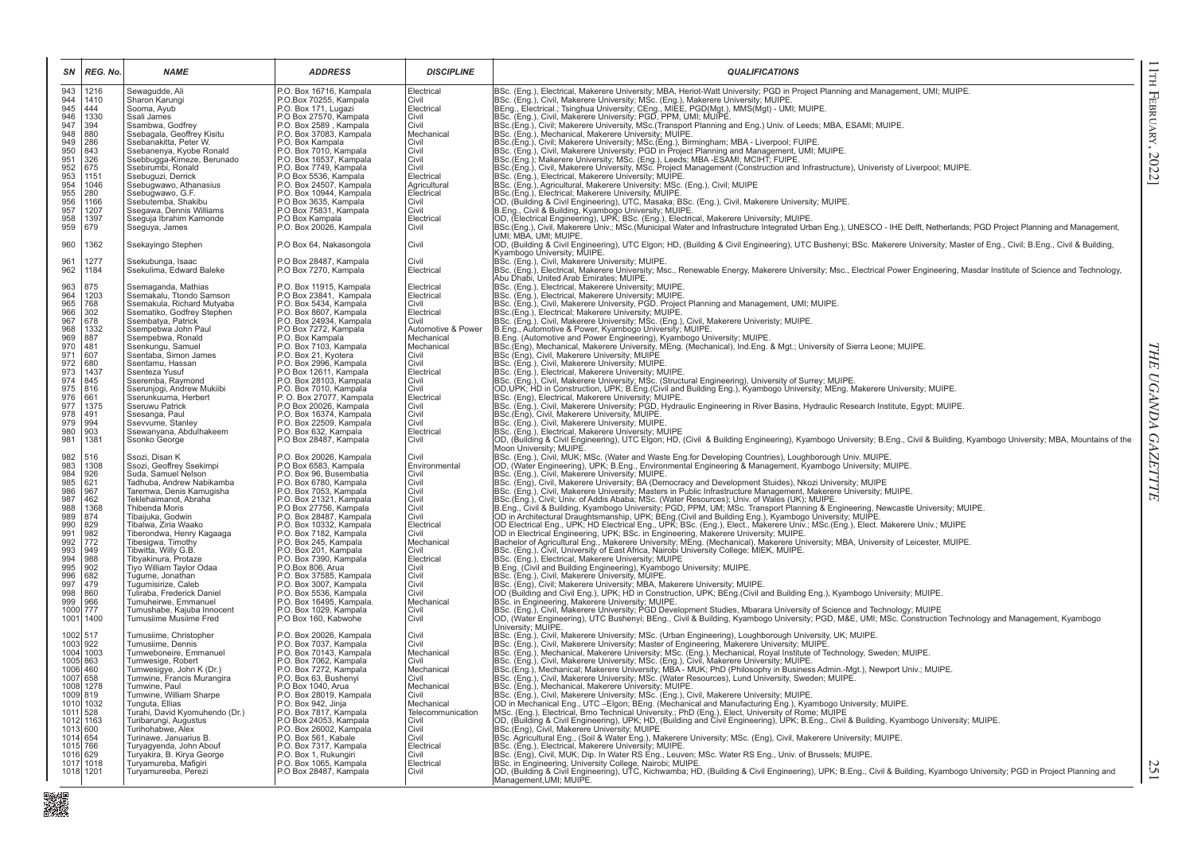| SN                   | REG. No.     | <b>NAME</b>                                            | <b>ADDRESS</b>                                                                | <b>DISCIPLINE</b>          | <b>QUALIFICATIONS</b>                                                                                                                                                                                                                                       |
|----------------------|--------------|--------------------------------------------------------|-------------------------------------------------------------------------------|----------------------------|-------------------------------------------------------------------------------------------------------------------------------------------------------------------------------------------------------------------------------------------------------------|
| 943                  | 1216         | Sewagudde, Ali                                         | P.O. Box 16716, Kampala                                                       | Electrical                 | BSc. (Eng.), Electrical, Makerere University; MBA, Heriot-Watt University; PGD in Project Planning and Management, UMI; MUIPE.                                                                                                                              |
| 944<br>945           | 1410<br>444  | Sharon Karungi<br>Sooma, Ayub                          | P.O.Box 70255, Kampala<br>P.O. Box 171, Lugazi                                | Civil<br>Electrical        | 1986: (Eng.), Civil, Makerere University; MSc. (Eng.), Makerere University; MUIPE.<br>1986: (Eng.), Civil, Makerere University; MSc. (Eng.), Makerere University; MUIPE.<br>1986: (Eng.), Civil, Makerere University; PGD, PPM, UMI;                        |
| 946                  | 1330         | Ssali James                                            |                                                                               | Civil                      |                                                                                                                                                                                                                                                             |
| 947                  | 394          | Ssambwa, Godfrey                                       | P.O. Box 27570, Kampala<br>P.O. Box 2589, Kampala                             | Civil                      |                                                                                                                                                                                                                                                             |
| 948                  | 880          | Ssebagala, Geoffrey Kisitu                             | P.O. Box 37083, Kampala                                                       | Mechanical                 | BSc. (Eng.), Mechanical, Makerere University; MUIPE.<br>BSc. (Eng.), Mechanical, Makerere University; MUIPE.<br>BSc.(Eng.), Civil; Makerere University; MSc.(Eng.), Birmingham; MBA - Liverpool; FUIPE.                                                     |
| 949<br>950           | 286<br>843   | Ssebanakitta, Peter W.<br>Ssebanenya, Kyobe Ronald     | P.O. Box Kampala<br>P.O. Box 7010, Kampala                                    | Civil<br>Civil             |                                                                                                                                                                                                                                                             |
| 951                  | 326          | Ssebbugga-Kimeze, Berunado                             | P.O. Box 16537, Kampala                                                       | Civil                      |                                                                                                                                                                                                                                                             |
| 952                  | 675          | Ssebirumbi, Ronald                                     | P.O. Box 7749, Kampala                                                        | Civil                      | BSc. (Eng.), Civil, Makerere University, MSc. Ltng.), Surfilling and Management, UMI; MUIPE.<br>BSc. (Eng.), Civil, Makerere University, PGD in Project Planning and Management, UMI; MUIPE.<br>BSc.(Eng.); Makerere University, MSc                        |
| 953                  | 1151<br>1046 | Ssebuguzi, Derrick                                     | P.O Box 5536, Kampala                                                         | Electrical                 |                                                                                                                                                                                                                                                             |
| 954<br>955           | 280          | Ssebugwawo, Athanasius<br>Ssebugwawo, G.F.             | P.O. Box 24507, Kampala<br>P.O. Box 10944, Kampala                            | Agricultural<br>Electrical | BSC. (Eng.), Agricultural, Makerere University; MSc. (Eng.), Civil; MUIPE<br>BSC. (Eng.), Agricultural, Makerere University; MSc. (Eng.), Civil; MUIPE<br>BSC.(Eng.), Electrical; Makerere University; MUIPE.<br> O. (Building & Civil                      |
| 956                  | 1166         | Ssebutemba, Shakibu                                    | P.O Box 3635, Kampala                                                         | Civil                      |                                                                                                                                                                                                                                                             |
| 957                  | 1207         | Ssegawa, Dennis Williams                               | P.O Box 75831, Kampala                                                        | Civil                      |                                                                                                                                                                                                                                                             |
| 958                  | 1397         | Sseguja Ibrahim Kamonde                                | P.O Box Kampala                                                               | Electrical                 | OD, (Electrical Engineering), UPK; BSc. (Eng.), Electrical, Makerere University; MUIPE.                                                                                                                                                                     |
| 959                  | 679          | Sseguya, James                                         | P.O. Box 20026, Kampala                                                       | Civil                      | BSc.(Eng.), Civil, Makerere Univ.; MSc.(Municipal Water and Infrastructure Integrated Urban Eng.), UNESCO - IHE Delft, Netherlands; PGD Project Planning and Management,<br>UMI: MBA, UMI: MUIPE.                                                           |
| 960                  | 1362         | Ssekayingo Stephen                                     | P.O Box 64, Nakasongola                                                       | Civil                      | OD, (Building & Civil Engineering), UTC Elgon; HD, (Building & Civil Engineering), UTC Bushenyi; BSc. Makerere University; Master of Eng., Civil; B.Eng., Civil & Building,<br>Kyambogo University; MUIPE.                                                  |
| 96'                  | 1277         | Ssekubunga, Isaac                                      | P.O Box 28487, Kampala                                                        | Civil                      | BSc. (Eng.), Civil, Makerere University; MUIPE.                                                                                                                                                                                                             |
| 962                  | 1184         | Ssekulima, Edward Baleke                               | P.O Box 7270, Kampala                                                         | Electrical                 | BSc. (Eng.), Electrical, Makerere University; Msc., Renewable Energy, Makerere University; Msc., Electrical Power Engineering, Masdar Institute of Science and Technology,                                                                                  |
|                      |              |                                                        |                                                                               |                            | Abu Dhabi, United Arab Emirates; MUIPE.                                                                                                                                                                                                                     |
| 963                  | 875          | Ssemaganda, Mathias                                    | P.O. Box 11915, Kampala                                                       | Electrical                 | BSc. (Eng.), Electrical, Makerere University; MUIPE.<br>BSc. (Eng.), Electrical, Makerere University; MUIPE.                                                                                                                                                |
| 964<br>965           | 1203<br>768  | Ssemakalu, Ttondo Samson<br>Ssemakula, Richard Mutyaba | P.O Box 23841, Kampala<br>P.O. Box 5434, Kampala                              | Electrical<br>Civil        |                                                                                                                                                                                                                                                             |
| 966                  | 302          | Ssematiko, Godfrey Stephen                             | P.O. Box 8607, Kampala                                                        | Electrical                 | BSc. (Eng.), Civil, Makerere University, PGD. Project Planning and Management, UMI; MUIPE.<br> BSc.(Eng.), Electrical; Makerere University; MUIPE.                                                                                                          |
| 967                  | 678          | Ssembatya, Patrick                                     | P.O. Box 24934, Kampala                                                       | Civil                      | BSc. (Eng.), Civil, Makerere University; MSc. (Eng.), Civil, Makerere Univeristy; MUIPE.<br>B.Eng., Automotive & Power, Kyambogo University; MUIPE.                                                                                                         |
| 968                  | 1332         | Ssempebwa John Paul                                    | P.O Box 7272, Kampala                                                         | Automotive & Power         |                                                                                                                                                                                                                                                             |
| 969<br>970           | 887<br>481   | Ssempebwa, Ronald<br>Ssenkungu, Samuel                 | P.O. Box Kampala<br>P.O. Box 7103, Kampala                                    | Mechanical<br>Mechanical   | B.Eng. (Automotive and Power Engineering), Kyambogo University; MUIPE.<br>B.Eng. (Automotive and Power Engineering), Kyambogo University; MUIPE.<br>BSc.(Eng), Mechanical, Makerere University, MEng. (Mechanical), Ind.Eng. & Mgt.;                        |
| 971                  | 607          | Ssentaba, Simon James                                  | P.O. Box 21, Kyotera                                                          | Civil                      |                                                                                                                                                                                                                                                             |
| 972                  | 680          | Ssentamu, Hassan                                       | P.O. Box 2996, Kampala                                                        | Civil                      | BSc (Eng), Civil, Makerere University; MUIPE<br>BSc (Eng), Civil, Makerere University; MUIPE.                                                                                                                                                               |
| 973                  | 1437         | Ssenteza Yusuf                                         | P.O Box 12611, Kampala                                                        | Electrical                 | BSc. (Eng.), Electrical, Makerere University; MUIPE.<br>BSc. (Eng.), Electrical, Makerere University; MUIPE.<br>BSc. (Eng.), Civil, Makerere University; MSc. (Structural Engineering), University of Surrey; MUIPE.                                        |
| 974<br>975           | 845<br>816   | Sseremba, Raymond<br>Sserunjogi, Andrew Mukiibi        | P.O. Box 28103, Kampala<br>P.O. Box 7010, Kampala                             | Civil<br>Civil             |                                                                                                                                                                                                                                                             |
| 976                  | 661          | Sserunkuuma, Herbert                                   | P.O. Box 27077, Kampala                                                       | Electrical                 | OD, UPK; HD in Construction, UPK; B.Eng.(Civil and Building Eng.), Kyambogo University; MEng. Makerere University; MUIPE.<br> BSC. (Eng), Electrical, Makerere University; MUIPE.                                                                           |
| 977                  | 1375         | Sseruwu Patrick                                        | P.O. Box 20026, Kampala<br>P.O. Box 16374, Kampala<br>P.O. Box 22509, Kampala | Civil                      |                                                                                                                                                                                                                                                             |
| 978                  | 491          | Ssesanga, Paul                                         |                                                                               | Civil                      | BSc. (Eng.), Civil, Makerere University; PGD, Hydraulic Engineering in River Basins, Hydraulic Research Institute, Egypt; MUIPE.<br> BSc.(Eng.), Civil, Makerere University, MUIPE.                                                                         |
| 979                  | 994          | Ssevvume, Stanley                                      |                                                                               | Civil                      | BSc. (Eng.), Civil, Makerere University; MUIPE.<br>BSc. (Eng.), Civil, Makerere University; MUIPE.                                                                                                                                                          |
| 980<br>981           | 903<br>1381  | Ssewanyana, Abdulhakeem<br>Ssonko George               | P.O. Box 632, Kampala<br>P.O Box 28487, Kampala                               | Electrical<br>Civil        | OD, (Building & Civil Engineering), UTC Elgon; HD, (Civil & Building Engineering), Kyambogo University; B.Eng., Civil & Building, Kyambogo University; MBA, Mountains of the<br>Moon University; MUIPE.                                                     |
| 982                  | 516          | Ssozi, Disan K                                         |                                                                               | Civil                      |                                                                                                                                                                                                                                                             |
| 983                  | 1308         | Ssozi, Geoffrey Ssekimpi                               | P.O. Box 20026, Kampala<br>P.O Box 6583, Kampala                              | Environmental              | BSc. (Eng.), Civil, MUK; MSc. (Water and Waste Eng.for Developing Countries), Loughborough Univ. MUIPE.<br>OD, (Water Engineering), UPK; B.Eng., Environmental Engineering & Management, Kyambogo University; MUIPE.                                        |
| 984                  | 926          | Suda, Samuel Nelson                                    | P.O. Box 96. Busembatia                                                       | Civil                      | BSc. (Eng.), Civil, Makerere University; MUIPE.                                                                                                                                                                                                             |
| 985<br>986           | 621<br>967   | Tadhuba, Andrew Nabikamba<br>Taremwa, Denis Kamugisha  | P.O. Box 6780, Kampala<br>P.O. Box 7053, Kampala                              | Civil<br>Civil             |                                                                                                                                                                                                                                                             |
| 987                  | 462          | Teklehaimanot, Abraha                                  | P.O. Box 21321, Kampala                                                       | Civil                      | BSc. (Eng.), Civil, Makerere University; MUIPE.<br>BSc. (Eng.), Civil, Makerere University; BA (Democracy and Development Stuides), Nkozi University; MUIPE<br>BSc. (Eng.), Civil, Makerere University; BA (Democracy and Developmen                        |
| 988                  | 1368         | Thibenda Moris                                         | P.O. Box 27756, Kampala<br>P.O. Box 28487, Kampala<br>P.O. Box 10332, Kampala | Civil                      |                                                                                                                                                                                                                                                             |
| 989                  | 874          | Tibaijuka, Godwin                                      |                                                                               | Civil                      |                                                                                                                                                                                                                                                             |
| 990                  | 829          | Tibalwa, Ziria Waako                                   |                                                                               | Electrical                 |                                                                                                                                                                                                                                                             |
| 991<br>992           | 982<br>772   | Tiberondwa, Henry Kagaaga<br>Tibesigwa, Timothy        | P.O. Box 7182, Kampala                                                        | Civil<br>Mechanical        |                                                                                                                                                                                                                                                             |
| 993                  | 949          | Tibwitta, Willy G.B.                                   |                                                                               | Civil                      |                                                                                                                                                                                                                                                             |
| 994                  | 988          | Tibyakinura, Protaze                                   | P.O. Box 245, Kampala<br>P.O. Box 201, Kampala<br>P.O. Box 7390, Kampala      | Electrical                 | BSc. (Eng.), Electrical, Makerere University; MUIPE                                                                                                                                                                                                         |
| 995                  | 902          | Tiyo William Taylor Odaa                               | P.O.Box 806, Arua                                                             | Civil                      | Bock, terug, i, electricar, wiakeriere University, Multipe.<br>1980: (Emp.), Civil and Building Engineering), Kyambogo University; MUIPE.<br>1980: (Eng.), Civil; Makerere University; MUA, Makerere University; MUIPE.<br>1980: (Eng.)                     |
| 996<br>997           | 682<br>479   | Tugume, Jonathan<br>Tugumisirize, Caleb                | P.O. Box 37585, Kampala<br>P.O. Box 3007, Kampala                             | Civil<br>Civil             |                                                                                                                                                                                                                                                             |
| 998                  | 860          | Tuliraba, Frederick Daniel                             | P.O. Box 5536, Kampala                                                        | Civil                      |                                                                                                                                                                                                                                                             |
| 999                  | 966          | Tumuheirwe, Emmanuel                                   | P.O. Box 16495, Kampala.                                                      | Mechanical                 | BSc. in Engineering, Makerere University; MUIPE.                                                                                                                                                                                                            |
| 1000                 | 777          | Tumushabe, Kajuba Innocent                             | P.O. Box 1029, Kampala                                                        | Civil                      | │BSc. (Eng.), Civil, Makerere University; ṔGD Development Studies, Mbarara University of Science and Technology; MUIPE<br> OD, (Water Engineering), UTC Bushenyi; BEng., Civil & Building, Kyambogo University; PGD, M&E, UMI;                              |
| 1001                 | 1400         | Tumusiime Musiime Fred                                 | P.O Box 160, Kabwohe                                                          | Civil                      | University; MUIPE.                                                                                                                                                                                                                                          |
| 1002 517             |              | Tumusiime, Christopher                                 | P.O. Box 20026, Kampala                                                       | Civil                      | BSc. (Eng.), Civil, Makerere University; MSc. (Urban Engineering), Loughborough University, UK; MUIPE.                                                                                                                                                      |
| 1003 922             |              | Tumusiime, Dennis                                      | P.O. Box 7037, Kampala                                                        | Civil                      |                                                                                                                                                                                                                                                             |
| 1004<br>1005 863     | 1003         | Tumweboneire, Emmanuel<br>Tumwesige, Robert            | P.O. Box 70143, Kampala<br>P.O. Box 7062, Kampala                             | Mechanical<br>Civil        | BSc. (Eng.), Civil, Makerere University; Master of Engineering, Makerere University; MUIPE.<br>BSc. (Eng.), Civil, Makerere University; Master of Engineering, Makerere University; MUIPE.<br>BSc. (Eng.), Mechanical, Makerere Univ                        |
| 1006 460             |              | Tumwesigye, John K (Dr.)                               | P.O. Box 7272, Kampala                                                        | Mechanical                 |                                                                                                                                                                                                                                                             |
| 1007                 | 658          | Tumwine, Francis Murangira                             | P.O. Box 63, Bushenyi                                                         | Civil                      | BSc. (Eng.), Civil, Makerere University; MSc. (Water Resources), Lund University, Sweden; MUIPE.                                                                                                                                                            |
|                      | 1008 1278    | Tumwine, Paul                                          | P.O Box 1040, Arua                                                            | Mechanical                 | BSc. (Eng.), Mechanical, Makerere University; MUIPE.                                                                                                                                                                                                        |
| 1009 819             | 1010 1032    | Tumwine, William Sharpe<br>Tunguta, Ellias             | P.O. Box 28019, Kampala<br>P.O. Box 942, Jinja                                | Civil<br>Mechanical        | BSc. (Eng.), Civil, Makerere University; MSc. (Eng.), Civil, Makerere University; MUIPE.<br>OD in Mechanical Eng., UTC - Elgon, BEng. (Mechanical and Manufacturing Eng.), Kyambogo University; MUIPE.                                                      |
| 1011                 | 528          | Turahi, David Kyomuhendo (Dr.)                         | P.O. Box 7817, Kampala                                                        | Telecommunication          |                                                                                                                                                                                                                                                             |
|                      | 1012 1163    | Turibarungi, Augustus                                  | P.O Box 24053, Kampala                                                        | Civil                      | out and the control of the control of the control of the control of the control of the control of the control of the control of the control of the control of the control of the control of the control of the control of the                               |
| 1013 600             |              | Turihohabwe, Alex                                      | P.O. Box 26002, Kampala                                                       | Civil                      |                                                                                                                                                                                                                                                             |
| 1014 654<br>1015 766 |              | Turinawe, Januarius B.<br>Turyaqyenda, John Abouf      | P.O. Box 561, Kabale<br>P.O. Box 7317, Kampala                                | Civil<br>Electrical        | BSc. Agricultural Eng., (Soil & Water Eng.), Makerere University; MSc. (Eng), Civil, Makerere University; MUIPE.<br>BSc. (Eng.), Electrical, Makerere University; MUIPE.                                                                                    |
| 1016 629             |              | Turyakira, B. Kirya George                             | P.O. Box 1, Rukungiri                                                         | Civil                      | BSc. (Eng), Civil, MUK; Dip. In Water RS Eng., Leuven; MSc. Water RS Eng., Univ. of Brussels; MUIPE.                                                                                                                                                        |
|                      | 1017 1018    | Turyamureba, Mafigiri                                  | P.O. Box 1065, Kampala                                                        | Electrical                 |                                                                                                                                                                                                                                                             |
|                      | 1018 1201    | Turyamureeba, Perezi                                   | P.O Box 28487, Kampala                                                        | Civil                      | BSc. in Engineering, University College, Nairobi; MUIPE.<br> OD, (Building & Civil Engineering), UTC, Kichwamba; HD, (Building & Civil Engineering), UPK; B.Eng., Civil & Building, Kyambogo University; PGD in Project Planning<br>Management, UMI; MUIPE. |

■<br>- 実現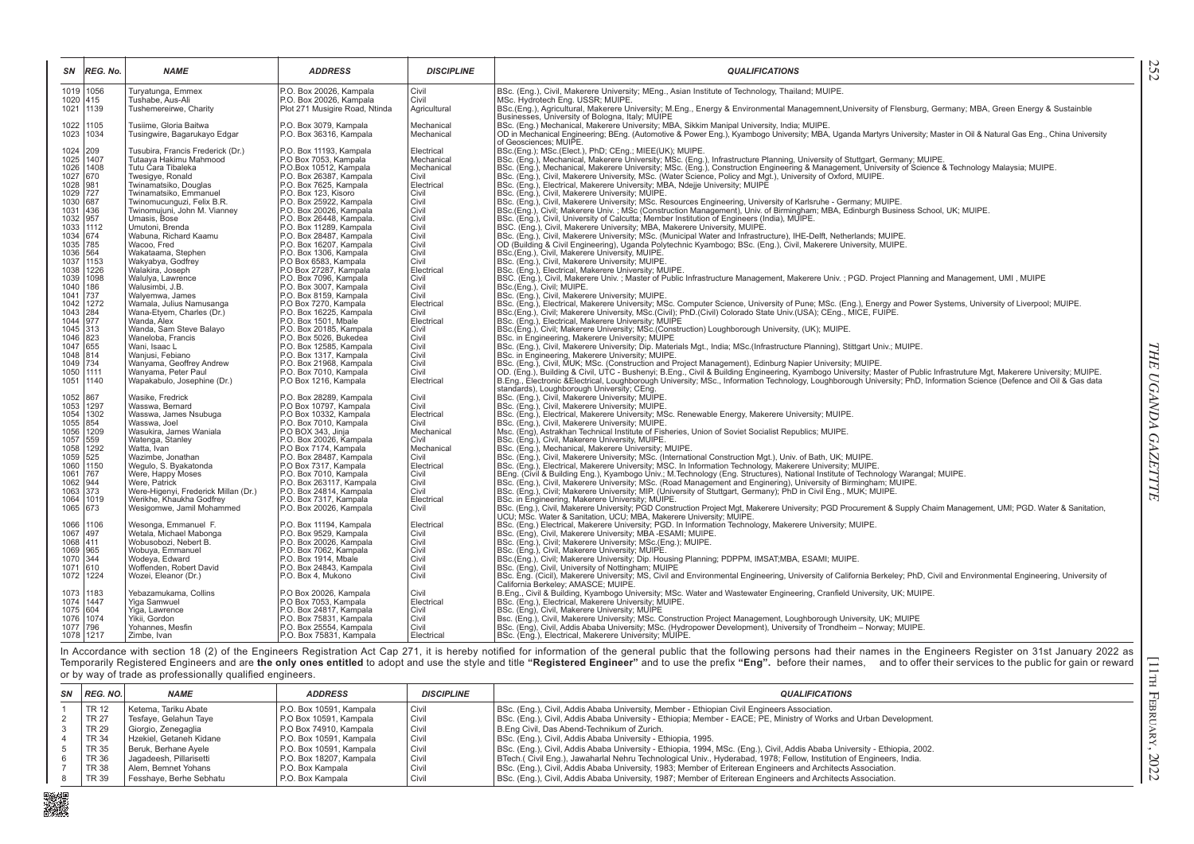| SΝ                                                                        | <b>REG. No.</b>        | <b>NAME</b>                                           | <b>ADDRESS</b>                                      | <b>DISCIPLINE</b>        | <b>QUALIFICATIONS</b>                                                                                                                                                                                                                                                                 |
|---------------------------------------------------------------------------|------------------------|-------------------------------------------------------|-----------------------------------------------------|--------------------------|---------------------------------------------------------------------------------------------------------------------------------------------------------------------------------------------------------------------------------------------------------------------------------------|
|                                                                           | 1019 1056              | Turyatunga, Emmex                                     | P.O. Box 20026, Kampala                             | Civil                    | BSc. (Eng.), Civil, Makerere University; MEng., Asian Institute of Technology, Thailand; MUIPE.                                                                                                                                                                                       |
|                                                                           | 1020 415<br>1021 1139  | Tushabe, Aus-Ali                                      | P.O. Box 20026, Kampala                             | Civil                    | MSc. Hydrotech Eng. USSR; MUIPE.                                                                                                                                                                                                                                                      |
|                                                                           |                        | Tushemereirwe, Charity                                | Plot 271 Musigire Road, Ntinda                      | Agricultural             | BSc.(Eng.), Agricultural, Makerere University; M.Eng., Energy & Environmental Managemnent, University of Flensburg, Germany; MBA, Green Energy & Sustainble<br>Businesses, University of Bologna, Italy; MUIPE                                                                        |
|                                                                           | 1022 1105              | Tusiime, Gloria Baitwa                                | P.O. Box 3079, Kampala                              | Mechanical               | BSc. (Eng.) Mechanical, Makerere University; MBA, Sikkim Manipal University, India; MUIPE.                                                                                                                                                                                            |
|                                                                           | 1023 1034              | Tusingwire, Bagarukayo Edgar                          | P.O. Box 36316, Kampala                             | Mechanical               | OD in Mechanical Engineering; BEng. (Automotive & Power Eng.), Kyambogo University; MBA, Uganda Martyrs University; Master in Oil & Natural Gas Eng., China University                                                                                                                |
|                                                                           |                        |                                                       |                                                     |                          | of Geosciences; MUIPE.                                                                                                                                                                                                                                                                |
| 1024 209                                                                  |                        | Tusubira, Francis Frederick (Dr.)                     | P.O. Box 11193, Kampala                             | Electrical               | BSc.(Eng.); MSc.(Elect.), PhD; CEng.; MIEE(UK); MUIPE.                                                                                                                                                                                                                                |
|                                                                           | 1025 1407<br>1026 1408 | Tutaaya Hakimu Mahmood<br>Tutu Ćara Tibaleka          | P.O Box 7053, Kampala<br>P.O.Box 10512, Kampala     | Mechanical<br>Mechanical | BSc. (Eng.), Mechanical, Makerere University; MSc. (Eng.), Infrastructure Planning, University of Stuttgart, Germany; MUIPE.<br>BSc. (Eng.), Mechanical, Makerere University; MSc. (Eng.), Construction Engineering & Management, University of Science & Technology Malaysia; MUIPE. |
| 1027 670                                                                  |                        | Twesigye, Ronald                                      | P.O. Box 26387, Kampala                             | Civil                    | BSc. (Eng.), Civil, Makerere University, MSc. (Water Science, Policy and Mgt.), University of Oxford, MUIPE.                                                                                                                                                                          |
| 1028 981                                                                  |                        | Twinamatsiko, Douglas                                 | P.O. Box 7625, Kampala                              | Electrical               | BSc. (Eng.), Electrical, Makerere University; MBA, Ndejje University; MUIPE                                                                                                                                                                                                           |
| $\begin{array}{ c c }\n 1029 & 727 \\  \hline\n 1030 & 687\n \end{array}$ |                        | Twinamatsiko, Emmanuel                                | P.O. Box 123, Kisoro                                | Civil                    | BSc. (Eng.), Civil, Makerere University; MUIPE.                                                                                                                                                                                                                                       |
|                                                                           |                        | Twinomucunguzi, Felix B.R.                            | P.O. Box 25922, Kampala                             | Civil                    | BSc. (Eng.), Civil, Makerere University; MSc. Resources Engineering, University of Karlsruhe - Germany; MUIPE.                                                                                                                                                                        |
| 1031 436<br>1032 957                                                      |                        | Twinomujuni, John M. Vianney<br>Umasis, Bose          | P.O. Box 20026, Kampala                             | Civil<br>Civil           | BSc.(Eng.), Civil; Makerere Univ.; MSc (Construction Management), Univ. of Birmingham; MBA, Edinburgh Business School, UK; MUIPE.                                                                                                                                                     |
| 1033 1112                                                                 |                        | Umutoni, Brenda                                       | P.O. Box 26448, Kampala.<br>P.O. Box 11289, Kampala | Civil                    | BSc. (Eng.), Civil, University of Calcutta; Member Institution of Engineers (India), MUIPE.<br>BSC. (Eng.), Civil, Makerere University; MBA, Makerere University, MUIPE.                                                                                                              |
|                                                                           |                        | Wabuna, Richard Kaamu                                 | P.O. Box 28487, Kampala                             | Civil                    | BSc. (Eng.), Civil, Makerere University; MSc. (Municipal Water and Infrastructure), IHE-Delft, Netherlands; MUIPE.                                                                                                                                                                    |
| 1034 674<br>1035 785                                                      |                        | Wacoo, Fred                                           | P.O. Box 16207, Kampala                             | Civil                    | OD (Building & Civil Engineering), Uganda Polytechnic Kyambogo; BSc. (Eng.), Civil, Makerere University, MUIPE.                                                                                                                                                                       |
| 1036 564                                                                  |                        | Wakataama, Stephen                                    | P.O. Box 1306, Kampala                              | Civil                    | BSc.(Eng.), Civil, Makerere University, MUIPE.                                                                                                                                                                                                                                        |
| 1037 1153                                                                 |                        | Wakyabya, Godfrey                                     | P.O Box 6583, Kampala                               | Civil                    | BSc. (Eng.), Civil, Makerere University; MUIPE.                                                                                                                                                                                                                                       |
|                                                                           | 1038 1226              | Walakira, Joseph<br>Walulya, Lawrence                 | P.O Box 27287, Kampala                              | Electrical<br>Civil      | BSc. (Eng.), Electrical, Makerere University; MUIPE.<br>BSC. (Eng.), Civil, Makerere Univ.; Master of Public Infrastructure Management, Makerere Univ.; PGD. Project Planning and Management, UMI, MUIPE                                                                              |
|                                                                           | 1039 1098<br>1040 186  | Walusimbi, J.B.                                       | P.O. Box 7096, Kampala<br>P.O. Box 3007, Kampala    | Civil                    | BSc.(Eng.), Civil; MUIPE.                                                                                                                                                                                                                                                             |
| 1041 737                                                                  |                        | Walyemwa, James                                       | P.O. Box 8159, Kampala                              | Civil                    | BSc. (Eng.), Civil, Makerere University; MUIPE.                                                                                                                                                                                                                                       |
|                                                                           | 1042 1272              | Wamala, Julius Namusanga                              | P.O Box 7270, Kampala                               | Electrical               | BSc. (Eng.), Electrical, Makerere University; MSc. Computer Science, University of Pune; MSc. (Eng.), Energy and Power Systems, University of Liverpool; MUIPE.                                                                                                                       |
| 1043 284                                                                  |                        | Wana-Etyem, Charles (Dr.)                             | P.O. Box 16225, Kampala                             | Civil                    | BSc.(Eng.), Civil; Makerere University, MSc.(Civil); PhD.(Civil) Colorado State Univ.(USA); CEng., MICE, FUIPE.                                                                                                                                                                       |
| 1044 977                                                                  |                        | Wanda, Alex                                           | P.O. Box 1501, Mbale                                | Electrical               | BSc. (Eng.), Electrical, Makerere University; MUIPE                                                                                                                                                                                                                                   |
| 1045 313                                                                  |                        | Wanda, Sam Steve Balayo<br>Waneloba, Francis          | P.O. Box 20185, Kampala<br>P.O. Box 5026, Bukedea   | Civil<br>Civil           | BSc.(Eng.), Civil; Makerere University; MSc.(Construction) Loughborough University, (UK); MUIPE.<br>BSc. in Engineering, Makerere University; MUIPE                                                                                                                                   |
| 1047 655                                                                  |                        | Wani, Isaac L                                         | P.O. Box 12585, Kampala                             | Civil                    | BSc. (Eng.), Civil, Makerere University; Dip. Materials Mgt., India; MSc.(Infrastructure Planning), Stittgart Univ.; MUIPE.                                                                                                                                                           |
| 1048 814                                                                  |                        | Waniusi, Febiano                                      | P.O. Box 1317, Kampala                              | Civil                    | BSc. in Engineering, Makerere University; MUIPE.                                                                                                                                                                                                                                      |
| 1049 734                                                                  |                        | Wanyama, Geoffrey Andrew                              | P.O. Box 21968, Kampala                             | Civil                    | BSc. (Eng.), Civil, MUK; MSc. (Construction and Project Management), Edinburg Napier University; MUIPE.                                                                                                                                                                               |
| 1050 1111                                                                 |                        | Wanyama, Peter Paul                                   | P.O. Box 7010, Kampala                              | Civil                    | OD. (Eng.), Building & Civil, UTC - Bushenyi; B.Eng., Civil & Building Engineering, Kyambogo University; Master of Public Infrastruture Mgt, Makerere University; MUIPE.                                                                                                              |
|                                                                           | 1051 1140              | Wapakabulo, Josephine (Dr.)                           | P.O Box 1216, Kampala                               | Electrical               | B.Eng., Electronic & Electrical, Loughborough University; MSc., Information Technology, Loughborough University; PhD, Information Science (Defence and Oil & Gas data<br>standards), Loughborough University; CEng.                                                                   |
| 1052 867                                                                  |                        | Wasike, Fredrick                                      | P.O. Box 28289, Kampala                             | Civil                    | BSc. (Eng.), Civil, Makerere University; MUIPE.                                                                                                                                                                                                                                       |
|                                                                           | 1053 1297              | Wasswa, Bernard                                       | P.O Box 10797, Kampala                              | Civil                    | BSc. (Eng.), Civil, Makerere University; MUIPE.                                                                                                                                                                                                                                       |
|                                                                           | 1054 1302              | Wasswa, James Nsubuga                                 | P.O Box 10332, Kampala                              | Electrical               | BSc. (Eng.), Electrical, Makerere University; MSc. Renewable Energy, Makerere University; MUIPE.                                                                                                                                                                                      |
| 1055 854                                                                  |                        | Wasswa, Joel                                          | P.O. Box 7010, Kampala                              | Civil                    | BSc. (Eng.), Civil, Makerere University; MUIPE.                                                                                                                                                                                                                                       |
| 1057 559                                                                  | 1056 1209              | Wasukira, James Waniala<br>Watenga, Stanley           | P.O BOX 343, Jinja<br>P.O. Box 20026, Kampala       | Mechanical<br>Civil      | Msc. (Eng), Astrakhan Technical Institute of Fisheries, Union of Soviet Socialist Republics; MUIPE.<br>BSc. (Eng.), Civil, Makerere University, MUIPE.                                                                                                                                |
|                                                                           | 1058 1292              | Watta, Ivan                                           | P.O Box 7174, Kampala                               | Mechanical               | BSc. (Eng.), Mechanical, Makerere University; MUIPE.                                                                                                                                                                                                                                  |
| 1059 525                                                                  |                        | Wazimbe, Jonathan                                     | P.O. Box 28487, Kampala                             | Civil                    | BSc. (Eng.), Civil, Makerere University; MSc. (International Construction Mgt.), Univ. of Bath, UK; MUIPE.                                                                                                                                                                            |
| 1060 1150                                                                 |                        | Wegulo, S. Byakatonda                                 | P.O Box 7317, Kampala                               | Electrical               | BSc. (Eng.), Electrical, Makerere University; MSC. In Information Technology, Makerere University; MUIPE.                                                                                                                                                                             |
|                                                                           |                        | Were, Happy Moses                                     | P.O. Box 7010, Kampala                              | Civil                    | BEng. (Civil & Building Eng.), Kyambogo Univ.; M. Technology (Eng. Structures), National Institute of Technology Warangal; MUIPE.                                                                                                                                                     |
| 1062 944<br>1063 373                                                      |                        | Were, Patrick<br>Were-Higenyi, Frederick Millan (Dr.) | P.O. Box 263117, Kampala<br>P.O. Box 24814, Kampala | Civil<br>Civil           | BSc. (Eng.), Civil, Makerere University, MSc. (Road Management and Enginering), University of Birmingham; MUIPE.<br>BSc. (Eng.), Civil; Makerere University; MIP. (University of Stuttgart, Germany); PhD in Civil Eng., MUK, MUIPE.                                                  |
|                                                                           | 1064 1019              | Werikhe, Khaukha Godfrey                              | P.O. Box 7317, Kampala                              | Electrical               | BSc. in Engineering, Makerere University; MUIPE.                                                                                                                                                                                                                                      |
| 1065 673                                                                  |                        | Wesigomwe, Jamil Mohammed                             | P.O. Box 20026, Kampala                             | Civil                    | BSc. (Eng.), Civil, Makerere University; PGD Construction Project Mgt, Makerere University; PGD Procurement & Supply Chaim Management, UMI; PGD. Water & Sanitation,                                                                                                                  |
|                                                                           |                        |                                                       |                                                     |                          | UCU; MSc. Water & Sanitation, UCU; MBA, Makerere University; MUIPE.                                                                                                                                                                                                                   |
|                                                                           | 1066 1106              | Wesonga, Emmanuel F.                                  | P.O. Box 11194, Kampala                             | Electrical               | BSc. (Eng.) Electrical, Makerere University; PGD. In Information Technology, Makerere University; MUIPE.                                                                                                                                                                              |
| 1067 497<br>1068 411                                                      |                        | Wetala, Michael Mabonga<br>Wobusobozi, Nebert B.      | P.O. Box 9529, Kampala<br>P.O. Box 20026, Kampala   | Civil<br>Civil           | BSc. (Eng), Civil, Makerere University; MBA-ESAMI; MUIPE.<br>BSc. (Eng.), Civil; Makerere University; MSc.(Eng.); MUIPE.                                                                                                                                                              |
| 1069 965                                                                  |                        | Wobuya, Emmanuel                                      | P.O. Box 7062, Kampala                              | Civil                    | BSc. (Eng.), Civil, Makerere University; MUIPE.                                                                                                                                                                                                                                       |
| 1070 344                                                                  |                        | Wodeya, Edward                                        | P.O. Box 1914, Mbale                                | Civil                    | BSc.(Eng.), Civil; Makerere University; Dip. Housing Planning; PDPPM, IMSAT; MBA, ESAMI; MUIPE.                                                                                                                                                                                       |
| 1071 610                                                                  |                        | Woffenden, Robert David                               | P.O. Box 24843, Kampala                             | Civil                    | BSc. (Eng), Civil, University of Nottingham; MUIPE                                                                                                                                                                                                                                    |
| 1072 1224                                                                 |                        | Wozei, Eleanor (Dr.)                                  | P.O. Box 4, Mukono                                  | Civil                    | BSc. Eng. (Cicil), Makerere University; MS, Civil and Environmental Engineering, University of California Berkeley; PhD, Civil and Environmental Engineering, University of                                                                                                           |
|                                                                           |                        |                                                       |                                                     |                          | California Berkeley; AMASCE; MUIPE.                                                                                                                                                                                                                                                   |
|                                                                           | 1073 1183<br>1074 1447 | Yebazamukama, Collins<br>Yiga Samwuel                 | P.O Box 20026, Kampala<br>P.O Box 7053, Kampala     | Civil<br>Electrical      | B.Eng., Civil & Building, Kyambogo University; MSc. Water and Wastewater Engineering, Cranfield University, UK; MUIPE.<br>BSc. (Eng.), Electrical, Makerere University; MUIPE.                                                                                                        |
| 1075 604                                                                  |                        | Yiga, Lawrence                                        | P.O. Box 24817, Kampala                             | Civil                    | BSc. (Eng), Civil, Makerere University; MUIPE                                                                                                                                                                                                                                         |
|                                                                           | 1076 1074              | Yikii, Gordon                                         | P.O. Box 75831, Kampala                             | Civil                    | Bsc. (Eng.), Civil, Makerere University; MSc. Construction Project Management, Loughborough University, UK; MUIPE                                                                                                                                                                     |
| 1077 796                                                                  |                        | Yohannes, Mesfin                                      | P.O. Box 25554, Kampala                             | Civil                    | BSc. (Eng), Civil, Addis Ababa University; MSc. (Hydropower Development), University of Trondheim - Norway; MUIPE.                                                                                                                                                                    |
|                                                                           | 1078 1217              | Zimbe, Ivan                                           | P.O. Box 75831, Kampala                             | Electrical               | BSc. (Eng.), Electrical, Makerere University; MUIPE.                                                                                                                                                                                                                                  |

In Accordance with section 18 (2) of the Engineers Registration Act Cap 271, it is hereby notified for information of the general public that the following persons had their names in the Engineers Register on 31st January

|    | SN REG. NO.  | <b>NAME</b>               | <b>ADDRESS</b>          | <b>DISCIPLINE</b> | <b>QUALIFICATIONS</b>                                                                                                     |
|----|--------------|---------------------------|-------------------------|-------------------|---------------------------------------------------------------------------------------------------------------------------|
|    | $T$ R 12     | Ketema, Tariku Abate      | P.O. Box 10591, Kampala | l Civil           | BSc. (Eng.), Civil, Addis Ababa University, Member - Ethiopian Civil Engineers Association.                               |
|    | <b>TR 27</b> | Tesfave, Gelahun Tave     | P.O Box 10591, Kampala  | I Civil           | BSc. (Eng.), Civil, Addis Ababa University - Ethiopia; Member - EACE; PE, Ministry of Works and Urban Development.        |
|    | TR 29        | Giorgio, Zenegaglia       | P.O Box 74910, Kampala  | l Civil           | B.Eng Civil, Das Abend-Technikum of Zurich.                                                                               |
|    | TR 34        | Hzekiel, Getaneh Kidane   | P.O. Box 10591, Kampala | I Civil           | BSc. (Eng.), Civil, Addis Ababa University - Ethiopia, 1995.                                                              |
|    | <b>TR 35</b> | Beruk, Berhane Avele      | P.O. Box 10591, Kampala | I Civil           | BSc. (Eng.), Civil, Addis Ababa University - Ethiopia, 1994, MSc. (Eng.), Civil, Addis Ababa University - Ethiopia, 2002. |
|    | TR 36        | l Jagadeesh, Pillarisetti | P.O. Box 18207, Kampala | I Civil           | BTech. (Civil Eng.), Jawaharlal Nehru Technological Univ., Hyderabad, 1978; Fellow, Institution of Engineers, India.      |
|    | TR 38        | Alem. Bemnet Yohans       | P.O. Box Kampala        | Civil             | BSc. (Eng.), Civil, Addis Ababa University, 1983; Member of Eriterean Engineers and Architects Association.               |
| 8. | <b>TR 39</b> | Fesshave, Berhe Sebhatu   | P.O. Box Kampala        | Civil             | BSc. (Eng.), Civil, Addis Ababa University, 1987; Member of Eriterean Engineers and Architects Association.               |

灘